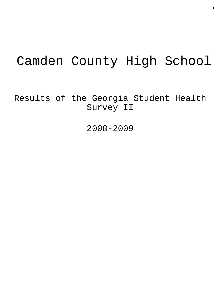# Camden County High School

Results of the Georgia Student Health Survey II

2008-2009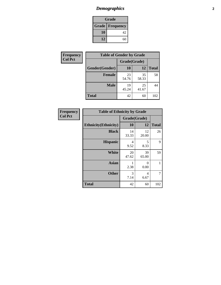## *Demographics* **2**

| Grade                    |    |  |  |
|--------------------------|----|--|--|
| <b>Grade   Frequency</b> |    |  |  |
| 10                       | 42 |  |  |
| 12                       | 60 |  |  |

| Frequency      | <b>Table of Gender by Grade</b> |              |             |              |
|----------------|---------------------------------|--------------|-------------|--------------|
| <b>Col Pct</b> |                                 | Grade(Grade) |             |              |
|                | Gender(Gender)                  | 10           | 12          | <b>Total</b> |
|                | <b>Female</b>                   | 23<br>54.76  | 35<br>58.33 | 58           |
|                | <b>Male</b>                     | 19<br>45.24  | 25<br>41.67 | 44           |
|                | <b>Total</b>                    | 42           | 60          | 102          |

| Frequency      | <b>Table of Ethnicity by Grade</b> |              |                        |              |  |
|----------------|------------------------------------|--------------|------------------------|--------------|--|
| <b>Col Pct</b> |                                    | Grade(Grade) |                        |              |  |
|                | <b>Ethnicity</b> (Ethnicity)       | 10           | 12                     | <b>Total</b> |  |
|                | <b>Black</b>                       | 14<br>33.33  | 12<br>20.00            | 26           |  |
|                | <b>Hispanic</b>                    | 4<br>9.52    | 5<br>8.33              | 9            |  |
|                | <b>White</b>                       | 20<br>47.62  | 39<br>65.00            | 59           |  |
|                | Asian                              | 2.38         | $\Omega$<br>0.00       | 1            |  |
|                | <b>Other</b>                       | 3<br>7.14    | $\overline{4}$<br>6.67 | 7            |  |
|                | <b>Total</b>                       | 42           | 60                     | 102          |  |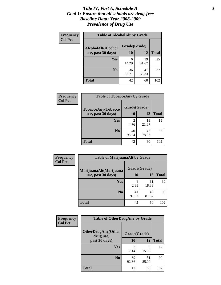#### *Title IV, Part A, Schedule A* **3** *Goal 1: Ensure that all schools are drug-free Baseline Data: Year 2008-2009 Prevalence of Drug Use*

| <b>Frequency</b><br><b>Col Pct</b> | <b>Table of AlcoholAlt by Grade</b> |              |             |              |  |
|------------------------------------|-------------------------------------|--------------|-------------|--------------|--|
|                                    | AlcoholAlt(Alcohol                  | Grade(Grade) |             |              |  |
|                                    | use, past 30 days)                  | 10           | 12          | <b>Total</b> |  |
|                                    | Yes                                 | 6<br>14.29   | 19<br>31.67 | 25           |  |
|                                    | N <sub>0</sub>                      | 36<br>85.71  | 41<br>68.33 | 77           |  |
|                                    | <b>Total</b>                        | 42           | 60          | 102          |  |

| Frequency      | <b>Table of TobaccoAny by Grade</b> |              |             |              |  |
|----------------|-------------------------------------|--------------|-------------|--------------|--|
| <b>Col Pct</b> | <b>TobaccoAny(Tobacco</b>           | Grade(Grade) |             |              |  |
|                | use, past 30 days)                  | <b>10</b>    | 12          | <b>Total</b> |  |
|                | Yes                                 | 2<br>4.76    | 13<br>21.67 | 15           |  |
|                | N <sub>0</sub>                      | 40<br>95.24  | 47<br>78.33 | 87           |  |
|                | Total                               | 42           | 60          | 102          |  |

| Frequency<br><b>Col Pct</b> | <b>Table of MarijuanaAlt by Grade</b> |              |             |              |  |
|-----------------------------|---------------------------------------|--------------|-------------|--------------|--|
|                             | MarijuanaAlt(Marijuana                | Grade(Grade) |             |              |  |
|                             | use, past 30 days)                    | 10           | 12          | <b>Total</b> |  |
|                             | Yes                                   | 2.38         | 11<br>18.33 | 12           |  |
|                             | N <sub>0</sub>                        | 41<br>97.62  | 49<br>81.67 | 90           |  |
|                             | <b>Total</b>                          | 42           | 60          | 102          |  |

| Frequency<br><b>Col Pct</b> | <b>Table of OtherDrugAny by Grade</b>  |              |             |              |
|-----------------------------|----------------------------------------|--------------|-------------|--------------|
|                             | <b>OtherDrugAny(Other</b><br>drug use, | Grade(Grade) |             |              |
|                             | past 30 days)                          | 10           | 12          | <b>Total</b> |
|                             | <b>Yes</b>                             | 3<br>7.14    | 9<br>15.00  | 12           |
|                             | N <sub>0</sub>                         | 39<br>92.86  | 51<br>85.00 | 90           |
|                             | <b>Total</b>                           | 42           | 60          | 102          |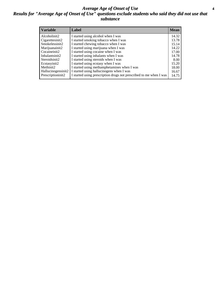#### *Average Age of Onset of Use* **4** *Results for "Average Age of Onset of Use" questions exclude students who said they did not use that substance*

| <b>Variable</b>    | Label                                                              | <b>Mean</b> |
|--------------------|--------------------------------------------------------------------|-------------|
| Alcoholinit2       | I started using alcohol when I was                                 | 14.32       |
| Cigarettesinit2    | I started smoking tobacco when I was                               | 13.78       |
| Smokelessinit2     | I started chewing tobacco when I was                               | 15.14       |
| Marijuanainit2     | I started using marijuana when I was                               | 14.22       |
| Cocaineinit2       | I started using cocaine when I was                                 | 17.00       |
| Inhalantsinit2     | I started using inhalants when I was                               | 14.78       |
| Steroidsinit2      | I started using steroids when I was                                | 8.00        |
| Ecstasyinit2       | I started using ecstasy when I was                                 | 15.20       |
| Methinit2          | I started using methamphetamines when I was                        | 18.00       |
| Hallucinogensinit2 | I started using hallucinogens when I was                           | 16.67       |
| Prescriptioninit2  | I started using prescription drugs not prescribed to me when I was | 14.75       |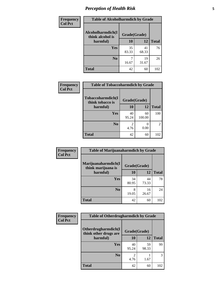## *Perception of Health Risk* **5**

| <b>Frequency</b> | <b>Table of Alcoholharmdich by Grade</b> |              |             |              |
|------------------|------------------------------------------|--------------|-------------|--------------|
| <b>Col Pct</b>   | Alcoholharmdich(I<br>think alcohol is    | Grade(Grade) |             |              |
|                  | harmful)                                 | 10           | 12          | <b>Total</b> |
|                  | <b>Yes</b>                               | 35<br>83.33  | 41<br>68.33 | 76           |
|                  | N <sub>0</sub>                           | 16.67        | 19<br>31.67 | 26           |
|                  | <b>Total</b>                             | 42           | 60          | 102          |

| Frequency      | <b>Table of Tobaccoharmdich by Grade</b> |              |              |              |  |
|----------------|------------------------------------------|--------------|--------------|--------------|--|
| <b>Col Pct</b> | Tobaccoharmdich(I<br>think tobacco is    | Grade(Grade) |              |              |  |
|                | harmful)                                 | 10           | 12           | <b>Total</b> |  |
|                | <b>Yes</b>                               | 40<br>95.24  | 60<br>100.00 | 100          |  |
|                | N <sub>0</sub>                           | 4.76         | 0.00         |              |  |
|                | <b>Total</b>                             | 42           | 60           | 102          |  |

| Frequency      | <b>Table of Marijuanaharmdich by Grade</b> |              |             |              |  |
|----------------|--------------------------------------------|--------------|-------------|--------------|--|
| <b>Col Pct</b> | Marijuanaharmdich(I<br>think marijuana is  | Grade(Grade) |             |              |  |
|                | harmful)                                   | 10           | 12          | <b>Total</b> |  |
|                | Yes                                        | 34<br>80.95  | 44<br>73.33 | 78           |  |
|                | N <sub>0</sub>                             | 19.05        | 16<br>26.67 | 24           |  |
|                | <b>Total</b>                               | 42           | 60          | 102          |  |

| <b>Frequency</b> | <b>Table of Otherdrugharmdich by Grade</b>   |              |             |              |
|------------------|----------------------------------------------|--------------|-------------|--------------|
| <b>Col Pct</b>   | Otherdrugharmdich(I<br>think other drugs are | Grade(Grade) |             |              |
|                  | harmful)                                     | 10           | 12          | <b>Total</b> |
|                  | Yes                                          | 40<br>95.24  | 59<br>98.33 | 99           |
|                  | N <sub>0</sub>                               | 4.76         | 1.67        | 3            |
|                  | <b>Total</b>                                 | 42           | 60          | 102          |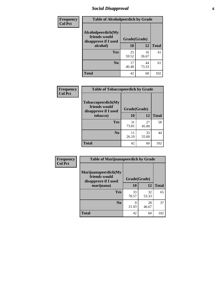## *Social Disapproval* **6**

| <b>Frequency</b> | <b>Table of Alcoholpeerdich by Grade</b>                                |              |             |              |
|------------------|-------------------------------------------------------------------------|--------------|-------------|--------------|
| <b>Col Pct</b>   | Alcoholpeerdich(My<br>friends would<br>disapprove if I used<br>alcohol) | Grade(Grade) |             |              |
|                  |                                                                         | 10           | 12          | <b>Total</b> |
|                  | <b>Yes</b>                                                              | 25<br>59.52  | 16<br>26.67 | 41           |
|                  | N <sub>0</sub>                                                          | 17<br>40.48  | 44<br>73.33 | 61           |
|                  | <b>Total</b>                                                            | 42           | 60          | 102          |

| <b>Frequency</b> |
|------------------|
| <b>Col Pct</b>   |

| <b>Table of Tobaccopeerdich by Grade</b>                    |              |             |              |  |  |  |
|-------------------------------------------------------------|--------------|-------------|--------------|--|--|--|
| Tobaccopeerdich(My<br>friends would<br>disapprove if I used | Grade(Grade) |             |              |  |  |  |
| tobacco)                                                    | 10           | 12          | <b>Total</b> |  |  |  |
| Yes                                                         | 31<br>73.81  | 27<br>45.00 | 58           |  |  |  |
| N <sub>0</sub>                                              | 11<br>26.19  | 33<br>55.00 | 44           |  |  |  |
| <b>Total</b>                                                | 42           | 60          |              |  |  |  |

| Frequency      | <b>Table of Marijuanapeerdich by Grade</b>                    |              |             |              |  |
|----------------|---------------------------------------------------------------|--------------|-------------|--------------|--|
| <b>Col Pct</b> | Marijuanapeerdich(My<br>friends would<br>disapprove if I used | Grade(Grade) |             |              |  |
|                | marijuana)                                                    | 10           | 12          | <b>Total</b> |  |
|                | <b>Yes</b>                                                    | 33<br>78.57  | 32<br>53.33 | 65           |  |
|                | N <sub>0</sub>                                                | 9<br>21.43   | 28<br>46.67 | 37           |  |
|                | <b>Total</b>                                                  | 42           | 60          | 102          |  |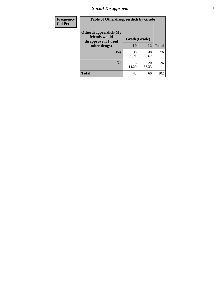## *Social Disapproval* **7**

| Frequency      | <b>Table of Otherdrugpeerdich by Grade</b>                    |              |             |              |  |
|----------------|---------------------------------------------------------------|--------------|-------------|--------------|--|
| <b>Col Pct</b> | Otherdrugpeerdich(My<br>friends would<br>disapprove if I used | Grade(Grade) |             |              |  |
|                | other drugs)                                                  | 10           | 12          | <b>Total</b> |  |
|                | <b>Yes</b>                                                    | 36<br>85.71  | 40<br>66.67 | 76           |  |
|                | N <sub>0</sub>                                                | 6<br>14.29   | 20<br>33.33 | 26           |  |
|                | <b>Total</b>                                                  | 42           | 60          | 102          |  |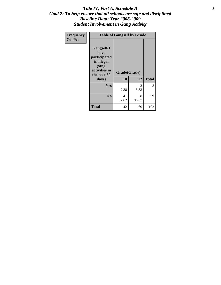#### Title IV, Part A, Schedule A **8** *Goal 2: To help ensure that all schools are safe and disciplined Baseline Data: Year 2008-2009 Student Involvement in Gang Activity*

| Frequency      | <b>Table of Gangself by Grade</b>                                                                 |                    |             |              |
|----------------|---------------------------------------------------------------------------------------------------|--------------------|-------------|--------------|
| <b>Col Pct</b> | Gangself(I<br>have<br>participated<br>in illegal<br>gang<br>activities in<br>the past 30<br>days) | Grade(Grade)<br>10 | 12          | <b>Total</b> |
|                | Yes                                                                                               | 1<br>2.38          | 2<br>3.33   | 3            |
|                | N <sub>0</sub>                                                                                    | 41<br>97.62        | 58<br>96.67 | 99           |
|                | Total                                                                                             | 42                 | 60          | 102          |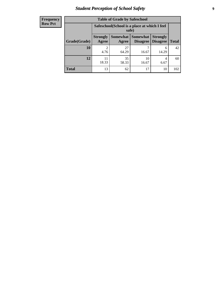## *Student Perception of School Safety* **9**

| <b>Frequency</b><br>Row Pct |
|-----------------------------|
|                             |

| <b>Table of Grade by Safeschool</b> |                          |                                                                                                               |             |            |     |  |  |
|-------------------------------------|--------------------------|---------------------------------------------------------------------------------------------------------------|-------------|------------|-----|--|--|
|                                     |                          | Safeschool (School is a place at which I feel<br>safe)                                                        |             |            |     |  |  |
| Grade(Grade)                        | <b>Strongly</b><br>Agree | <b>Somewhat</b><br><b>Somewhat</b><br><b>Strongly</b><br><b>Disagree</b><br>Disagree<br><b>Total</b><br>Agree |             |            |     |  |  |
| 10                                  | 4.76                     | 27<br>64.29                                                                                                   | 16.67       | 6<br>14.29 | 42  |  |  |
| 12                                  | 18.33                    | 35<br>58.33                                                                                                   | 10<br>16.67 | 4<br>6.67  | 60  |  |  |
| <b>Total</b>                        | 13                       | 62                                                                                                            | 17          | 10         | 102 |  |  |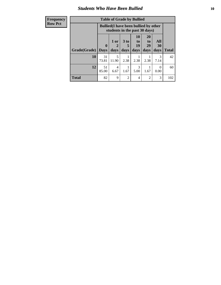#### *Students Who Have Been Bullied* **10**

| <b>Frequency</b> | <b>Table of Grade by Bullied</b>                                              |             |                        |                |                          |                       |                  |              |
|------------------|-------------------------------------------------------------------------------|-------------|------------------------|----------------|--------------------------|-----------------------|------------------|--------------|
| <b>Row Pct</b>   | <b>Bullied</b> (I have been bullied by other<br>students in the past 30 days) |             |                        |                |                          |                       |                  |              |
|                  |                                                                               | $\mathbf 0$ | 1 or<br>$\overline{2}$ | 3 to<br>5      | 10<br>$\mathbf{t}$<br>19 | <b>20</b><br>to<br>29 | All<br>30        |              |
|                  | Grade(Grade)                                                                  | <b>Days</b> | days                   | days           | days                     | days                  | days             | <b>Total</b> |
|                  | <b>10</b>                                                                     | 31<br>73.81 | 5<br>11.90             | 2.38           | 2.38                     | 2.38                  | 3<br>7.14        | 42           |
|                  | 12                                                                            | 51<br>85.00 | 4<br>6.67              | 1.67           | 3<br>5.00                | 1.67                  | $\Omega$<br>0.00 | 60           |
|                  | <b>Total</b>                                                                  | 82          | 9                      | $\overline{2}$ | 4                        | 2                     | 3                | 102          |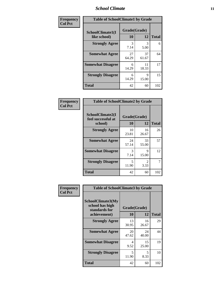#### *School Climate* **11**

| Frequency      | <b>Table of SchoolClimate1 by Grade</b> |                    |             |              |  |
|----------------|-----------------------------------------|--------------------|-------------|--------------|--|
| <b>Col Pct</b> | SchoolClimate1(I<br>like school)        | Grade(Grade)<br>10 | 12          | <b>Total</b> |  |
|                | <b>Strongly Agree</b>                   | 3<br>7.14          | 3<br>5.00   | 6            |  |
|                | <b>Somewhat Agree</b>                   | 27<br>64.29        | 37<br>61.67 | 64           |  |
|                | <b>Somewhat Disagree</b>                | 6<br>14.29         | 11<br>18.33 | 17           |  |
|                | <b>Strongly Disagree</b>                | 6<br>14.29         | 9<br>15.00  | 15           |  |
|                | <b>Total</b>                            | 42                 | 60          | 102          |  |

| <b>Frequency</b> |
|------------------|
| <b>Col Pct</b>   |

| <b>Table of SchoolClimate2 by Grade</b>           |                    |                       |              |  |  |  |
|---------------------------------------------------|--------------------|-----------------------|--------------|--|--|--|
| SchoolClimate2(I<br>feel successful at<br>school) | Grade(Grade)<br>10 | 12                    | <b>Total</b> |  |  |  |
| <b>Strongly Agree</b>                             | 10<br>23.81        | 16<br>26.67           | 26           |  |  |  |
| <b>Somewhat Agree</b>                             | 24<br>57.14        | 33<br>55.00           | 57           |  |  |  |
| <b>Somewhat Disagree</b>                          | 3<br>7.14          | Q<br>15.00            | 12           |  |  |  |
| <b>Strongly Disagree</b>                          | 5<br>11.90         | $\mathcal{L}$<br>3.33 | 7            |  |  |  |
| <b>Total</b>                                      | 42                 | 60                    | 102          |  |  |  |

| Frequency      | <b>Table of SchoolClimate3 by Grade</b>                      |              |             |              |  |  |
|----------------|--------------------------------------------------------------|--------------|-------------|--------------|--|--|
| <b>Col Pct</b> | <b>SchoolClimate3(My</b><br>school has high<br>standards for | Grade(Grade) |             |              |  |  |
|                | achievement)                                                 | <b>10</b>    | 12          | <b>Total</b> |  |  |
|                | <b>Strongly Agree</b>                                        | 13<br>30.95  | 16<br>26.67 | 29           |  |  |
|                | <b>Somewhat Agree</b>                                        | 20<br>47.62  | 24<br>40.00 | 44           |  |  |
|                | <b>Somewhat Disagree</b>                                     | 4<br>9.52    | 15<br>25.00 | 19           |  |  |
|                | <b>Strongly Disagree</b>                                     | 5<br>11.90   | 5<br>8.33   | 10           |  |  |
|                | Total                                                        | 42           | 60          | 102          |  |  |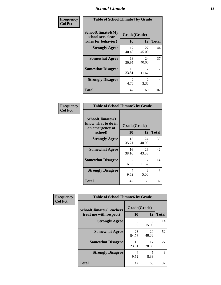#### *School Climate* **12**

| Frequency      | <b>Table of SchoolClimate4 by Grade</b>                       |                        |             |              |
|----------------|---------------------------------------------------------------|------------------------|-------------|--------------|
| <b>Col Pct</b> | SchoolClimate4(My<br>school sets clear<br>rules for behavior) | Grade(Grade)<br>10     | 12          | <b>Total</b> |
|                | <b>Strongly Agree</b>                                         | 17<br>40.48            | 27<br>45.00 | 44           |
|                | <b>Somewhat Agree</b>                                         | 13<br>30.95            | 24<br>40.00 | 37           |
|                | <b>Somewhat Disagree</b>                                      | 10<br>23.81            | 7<br>11.67  | 17           |
|                | <b>Strongly Disagree</b>                                      | $\mathfrak{D}$<br>4.76 | 2<br>3.33   | 4            |
|                | <b>Total</b>                                                  | 42                     | 60          | 102          |

| <b>Table of SchoolClimate5 by Grade</b>                   |              |             |              |  |
|-----------------------------------------------------------|--------------|-------------|--------------|--|
| SchoolClimate5(I<br>know what to do in<br>an emergency at | Grade(Grade) |             |              |  |
| school)                                                   | 10           | 12          | <b>Total</b> |  |
| <b>Strongly Agree</b>                                     | 15<br>35.71  | 24<br>40.00 | 39           |  |
| <b>Somewhat Agree</b>                                     | 16<br>38.10  | 26<br>43.33 | 42           |  |
| <b>Somewhat Disagree</b>                                  | 7<br>16.67   | 7<br>11.67  | 14           |  |
| <b>Strongly Disagree</b>                                  | 4<br>9.52    | 3<br>5.00   | 7            |  |
| Total                                                     | 42           | 60          | 102          |  |

| Frequency      | <b>Table of SchoolClimate6 by Grade</b>                  |                    |             |              |  |
|----------------|----------------------------------------------------------|--------------------|-------------|--------------|--|
| <b>Col Pct</b> | <b>SchoolClimate6(Teachers</b><br>treat me with respect) | Grade(Grade)<br>10 | 12          | <b>Total</b> |  |
|                | <b>Strongly Agree</b>                                    | 5<br>11.90         | 9<br>15.00  | 14           |  |
|                | <b>Somewhat Agree</b>                                    | 23<br>54.76        | 29<br>48.33 | 52           |  |
|                | <b>Somewhat Disagree</b>                                 | 10<br>23.81        | 17<br>28.33 | 27           |  |
|                | <b>Strongly Disagree</b>                                 | 4<br>9.52          | 5<br>8.33   | 9            |  |
|                | <b>Total</b>                                             | 42                 | 60          | 102          |  |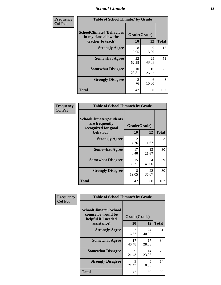#### *School Climate* **13**

| Frequency      | <b>Table of SchoolClimate7 by Grade</b>                                       |                           |             |              |
|----------------|-------------------------------------------------------------------------------|---------------------------|-------------|--------------|
| <b>Col Pct</b> | <b>SchoolClimate7(Behaviors</b><br>in my class allow the<br>teacher to teach) | Grade(Grade)<br><b>10</b> | 12          | <b>Total</b> |
|                | <b>Strongly Agree</b>                                                         | 8<br>19.05                | 9<br>15.00  | 17           |
|                | <b>Somewhat Agree</b>                                                         | 22<br>52.38               | 29<br>48.33 | 51           |
|                | <b>Somewhat Disagree</b>                                                      | 10<br>23.81               | 16<br>26.67 | 26           |
|                | <b>Strongly Disagree</b>                                                      | $\mathfrak{D}$<br>4.76    | 6<br>10.00  | 8            |
|                | <b>Total</b>                                                                  | 42                        | 60          | 102          |

| Frequency      | <b>Table of SchoolClimate8 by Grade</b>                                 |                        |             |              |
|----------------|-------------------------------------------------------------------------|------------------------|-------------|--------------|
| <b>Col Pct</b> | <b>SchoolClimate8(Students</b><br>are frequently<br>recognized for good | Grade(Grade)           |             |              |
|                | behavior)                                                               | 10                     | 12          | <b>Total</b> |
|                | <b>Strongly Agree</b>                                                   | $\mathfrak{D}$<br>4.76 | 1.67        | 3            |
|                | <b>Somewhat Agree</b>                                                   | 17<br>40.48            | 13<br>21.67 | 30           |
|                | <b>Somewhat Disagree</b>                                                | 15<br>35.71            | 24<br>40.00 | 39           |
|                | <b>Strongly Disagree</b>                                                | 8<br>19.05             | 22<br>36.67 | 30           |
|                | <b>Total</b>                                                            | 42                     | 60          | 102          |

| Frequency      | <b>Table of SchoolClimate9 by Grade</b>                                           |                    |             |              |
|----------------|-----------------------------------------------------------------------------------|--------------------|-------------|--------------|
| <b>Col Pct</b> | SchoolClimate9(School<br>counselor would be<br>helpful if I needed<br>assistance) | Grade(Grade)<br>10 | 12          | <b>Total</b> |
|                | <b>Strongly Agree</b>                                                             | 16.67              | 24<br>40.00 | 31           |
|                | <b>Somewhat Agree</b>                                                             | 17<br>40.48        | 17<br>28.33 | 34           |
|                | <b>Somewhat Disagree</b>                                                          | 9<br>21.43         | 14<br>23.33 | 23           |
|                | <b>Strongly Disagree</b>                                                          | 9<br>21.43         | 5<br>8.33   | 14           |
|                | Total                                                                             | 42                 | 60          | 102          |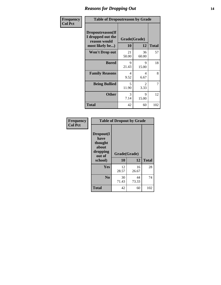## *Reasons for Dropping Out* **14**

| Frequency      | <b>Table of Dropoutreason by Grade</b>                                   |             |                       |              |
|----------------|--------------------------------------------------------------------------|-------------|-----------------------|--------------|
| <b>Col Pct</b> | Dropoutreason(If<br>I dropped out the<br>reason would<br>most likely be) | 10          | Grade(Grade)<br>12    | <b>Total</b> |
|                | Won't Drop out                                                           | 21<br>50.00 | 36<br>60.00           | 57           |
|                | <b>Bored</b>                                                             | 9<br>21.43  | 9<br>15.00            | 18           |
|                | <b>Family Reasons</b>                                                    | 4<br>9.52   | 4<br>6.67             | 8            |
|                | <b>Being Bullied</b>                                                     | 5<br>11.90  | $\mathcal{L}$<br>3.33 | 7            |
|                | <b>Other</b>                                                             | 3<br>7.14   | 9<br>15.00            | 12           |
|                | Total                                                                    | 42          | 60                    | 102          |

| Frequency<br><b>Col Pct</b> | <b>Table of Dropout by Grade</b>                                       |                    |             |              |  |
|-----------------------------|------------------------------------------------------------------------|--------------------|-------------|--------------|--|
|                             | Dropout(I<br>have<br>thought<br>about<br>dropping<br>out of<br>school) | Grade(Grade)<br>10 | 12          | <b>Total</b> |  |
|                             |                                                                        |                    |             |              |  |
|                             | Yes                                                                    | 12<br>28.57        | 16<br>26.67 | 28           |  |
|                             | N <sub>0</sub>                                                         | 30<br>71.43        | 44<br>73.33 | 74           |  |
|                             | <b>Total</b>                                                           | 42                 | 60          | 102          |  |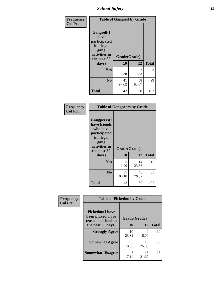*School Safety* **15**

| Frequency      | <b>Table of Gangself by Grade</b>                                                        |              |                       |              |
|----------------|------------------------------------------------------------------------------------------|--------------|-----------------------|--------------|
| <b>Col Pct</b> | Gangself(I<br>have<br>participated<br>in illegal<br>gang<br>activities in<br>the past 30 | Grade(Grade) |                       |              |
|                | days)                                                                                    | 10           | 12                    | <b>Total</b> |
|                | Yes                                                                                      | 1<br>2.38    | $\mathcal{L}$<br>3.33 | 3            |
|                | N <sub>0</sub>                                                                           | 41<br>97.62  | 58<br>96.67           | 99           |
|                | <b>Total</b>                                                                             | 42           | 60                    | 102          |

| Frequency<br><b>Col Pct</b> | <b>Table of Gangpeers by Grade</b>                                                                                             |                    |             |              |
|-----------------------------|--------------------------------------------------------------------------------------------------------------------------------|--------------------|-------------|--------------|
|                             | <b>Gangpeers</b> (I<br>have friends<br>who have<br>participated<br>in illegal<br>gang<br>activities in<br>the past 30<br>days) | Grade(Grade)<br>10 | 12          | <b>Total</b> |
|                             | Yes                                                                                                                            | 5<br>11.90         | 14<br>23.33 | 19           |
|                             | N <sub>0</sub>                                                                                                                 | 37<br>88.10        | 46<br>76.67 | 83           |
|                             | <b>Total</b>                                                                                                                   | 42                 | 60          | 102          |

| Frequency      | <b>Table of Pickedon by Grade</b>                                   |              |             |              |
|----------------|---------------------------------------------------------------------|--------------|-------------|--------------|
| <b>Col Pct</b> | <b>Pickedon</b> (I have<br>been picked on or<br>teased at school in | Grade(Grade) |             |              |
|                | the past 30 days)                                                   | 10           | 12          | <b>Total</b> |
|                | <b>Strongly Agree</b>                                               | 10<br>23.81  | 9<br>15.00  | 19           |
|                | <b>Somewhat Agree</b>                                               | 8<br>19.05   | 15<br>25.00 | 23           |
|                | <b>Somewhat Disagree</b>                                            | 3<br>7.14    | 13<br>21.67 | 16           |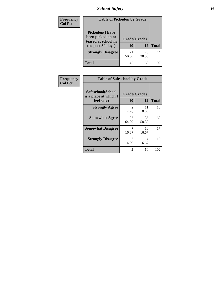## *School Safety* **16**

| <b>Frequency</b> | <b>Table of Pickedon by Grade</b>                                                        |                    |             |              |
|------------------|------------------------------------------------------------------------------------------|--------------------|-------------|--------------|
| <b>Col Pct</b>   | <b>Pickedon</b> (I have<br>been picked on or<br>teased at school in<br>the past 30 days) | Grade(Grade)<br>10 | 12          | <b>Total</b> |
|                  | <b>Strongly Disagree</b>                                                                 | 21<br>50.00        | 23<br>38.33 | 44           |
|                  | Total                                                                                    | 42                 | 60          | 102          |

| Frequency      |                                                          | <b>Table of Safeschool by Grade</b> |             |              |  |  |  |  |  |  |
|----------------|----------------------------------------------------------|-------------------------------------|-------------|--------------|--|--|--|--|--|--|
| <b>Col Pct</b> | Safeschool(School<br>is a place at which I<br>feel safe) | Grade(Grade)<br>10                  | 12          | <b>Total</b> |  |  |  |  |  |  |
|                | <b>Strongly Agree</b>                                    | 2<br>4.76                           | 11<br>18.33 | 13           |  |  |  |  |  |  |
|                | <b>Somewhat Agree</b>                                    | 27<br>64.29                         | 35<br>58.33 | 62           |  |  |  |  |  |  |
|                | <b>Somewhat Disagree</b>                                 | 7<br>16.67                          | 10<br>16.67 | 17           |  |  |  |  |  |  |
|                | <b>Strongly Disagree</b>                                 | 6<br>14.29                          | 4<br>6.67   | 10           |  |  |  |  |  |  |
|                | <b>Total</b>                                             | 42                                  | 60          | 102          |  |  |  |  |  |  |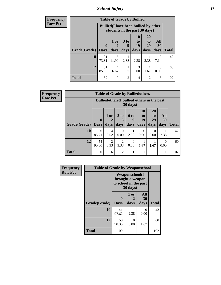*School Safety* **17**

| <b>Frequency</b> | <b>Table of Grade by Bullied</b>                                              |              |            |                      |                   |                       |           |              |  |
|------------------|-------------------------------------------------------------------------------|--------------|------------|----------------------|-------------------|-----------------------|-----------|--------------|--|
| Row Pct          | <b>Bullied</b> (I have been bullied by other<br>students in the past 30 days) |              |            |                      |                   |                       |           |              |  |
|                  |                                                                               | $\mathbf{0}$ | 1 or       | 3 <sub>to</sub><br>5 | 10<br>to to<br>19 | <b>20</b><br>to<br>29 | All<br>30 |              |  |
|                  | Grade(Grade)                                                                  | $\vert$ Days | days       | days                 | days              | days                  | days      | <b>Total</b> |  |
|                  | 10                                                                            | 31<br>73.81  | 5<br>11.90 | 2.38                 | 2.38              | 2.38                  | 3<br>7.14 | 42           |  |
|                  | 12                                                                            | 51<br>85.00  | 4<br>6.67  | 1.67                 | 3<br>5.00         | 1.67                  | 0<br>0.00 | 60           |  |
|                  | <b>Total</b>                                                                  | 82           | 9          | $\mathfrak{D}$       | 4                 | $\overline{2}$        | 3         | 102          |  |

| Frequency      | <b>Table of Grade by Bulliedothers</b> |                                 |                        |                         |                   |                                                    |                               |                   |              |
|----------------|----------------------------------------|---------------------------------|------------------------|-------------------------|-------------------|----------------------------------------------------|-------------------------------|-------------------|--------------|
| <b>Row Pct</b> |                                        |                                 |                        |                         | $30 \text{ days}$ | <b>Bulliedothers</b> (I bullied others in the past |                               |                   |              |
|                | <b>Grade(Grade)</b>                    | $\boldsymbol{0}$<br><b>Days</b> | $1$ or<br>2<br>days    | 3 <sub>to</sub><br>days | 6 to<br>9<br>days | <b>10</b><br>to<br>19<br>days                      | <b>20</b><br>to<br>29<br>days | All<br>30<br>days | <b>Total</b> |
|                | 10                                     | 36<br>85.71                     | 4<br>9.52              | 0<br>0.00               | 2.38              | $\Omega$<br>0.00                                   | $\Omega$<br>0.00              | 2.38              | 42           |
|                | 12                                     | 54<br>90.00                     | $\overline{2}$<br>3.33 | $\overline{2}$<br>3.33  | $\Omega$<br>0.00  | 1.67                                               | 1.67                          | $\Omega$<br>0.00  | 60           |
|                | <b>Total</b>                           | 90                              | 6                      | 2                       |                   |                                                    |                               |                   | 102          |

| Frequency      |              | <b>Table of Grade by Weaponschool</b> |                                                                         |                   |              |  |  |  |
|----------------|--------------|---------------------------------------|-------------------------------------------------------------------------|-------------------|--------------|--|--|--|
| <b>Row Pct</b> |              |                                       | Weaponschool(I<br>brought a weapon<br>to school in the past<br>30 days) |                   |              |  |  |  |
|                | Grade(Grade) | $\bf{0}$<br><b>Days</b>               | 1 or<br>2<br>days                                                       | All<br>30<br>days | <b>Total</b> |  |  |  |
|                | 10           | 41<br>97.62                           | 2.38                                                                    | $\Omega$<br>0.00  | 42           |  |  |  |
|                | 12           | 59<br>98.33                           | 0<br>0.00                                                               | 1.67              | 60           |  |  |  |
|                | <b>Total</b> | 100                                   | 1                                                                       |                   | 102          |  |  |  |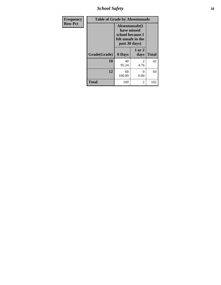*School Safety* **18**

| Frequency      | <b>Table of Grade by Absentunsafe</b> |                                                                                           |                        |              |
|----------------|---------------------------------------|-------------------------------------------------------------------------------------------|------------------------|--------------|
| <b>Row Pct</b> |                                       | Absentunsafe(I)<br>have missed<br>school because I<br>felt unsafe in the<br>past 30 days) |                        |              |
|                | Grade(Grade)                          | 0 Days                                                                                    | 1 or 2<br>days         | <b>Total</b> |
|                | 10                                    | 40<br>95.24                                                                               | $\mathfrak{D}$<br>4.76 | 42           |
|                | 12                                    | 60<br>100.00                                                                              | 0<br>0.00              | 60           |
|                | <b>Total</b>                          | 100                                                                                       | 2                      | 102          |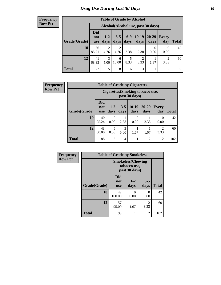## *Drug Use During Last 30 Days* **19**

#### **Frequency Row Pct**

| <b>Table of Grade by Alcohol</b> |                          |                                    |                        |               |                        |                   |                  |       |
|----------------------------------|--------------------------|------------------------------------|------------------------|---------------|------------------------|-------------------|------------------|-------|
|                                  |                          | Alcohol(Alcohol use, past 30 days) |                        |               |                        |                   |                  |       |
| Grade(Grade)                     | <b>Did</b><br>not<br>use | $1-2$<br>days                      | $3 - 5$<br>days        | $6-9$<br>days | $10-19$<br>days        | $20 - 29$<br>days | Every<br>day     | Total |
| 10                               | 36<br>85.71              | $\overline{2}$<br>4.76             | $\overline{2}$<br>4.76 | 2.38          | 2.38                   | 0<br>0.00         | $\Omega$<br>0.00 | 42    |
| 12                               | 41<br>68.33              | 3<br>5.00                          | 6<br>10.00             | 5<br>8.33     | $\overline{2}$<br>3.33 | 1.67              | 2<br>3.33        | 60    |
| <b>Total</b>                     | 77                       | 5                                  | 8                      | 6             | 3                      |                   | 2                | 102   |

| Frequency      |              | <b>Table of Grade by Cigarettes</b>               |                  |                 |                 |                   |                        |              |  |
|----------------|--------------|---------------------------------------------------|------------------|-----------------|-----------------|-------------------|------------------------|--------------|--|
| <b>Row Pct</b> |              | Cigarettes (Smoking tobacco use,<br>past 30 days) |                  |                 |                 |                   |                        |              |  |
|                | Grade(Grade) | <b>Did</b><br>not<br><b>use</b>                   | $1-2$<br>days    | $3 - 5$<br>days | $10-19$<br>days | $20 - 29$<br>days | Every<br>day           | <b>Total</b> |  |
|                | 10           | 40<br>95.24                                       | $\Omega$<br>0.00 | 2.38            | 0<br>0.00       | 2.38              | $\Omega$<br>0.00       | 42           |  |
|                | 12           | 48<br>80.00                                       | 8.33             | 3<br>5.00       | 1.67            | 1.67              | $\overline{c}$<br>3.33 | 60           |  |
|                | <b>Total</b> | 88                                                | 5                | 4               |                 | 2                 | $\overline{2}$         | 102          |  |

| Frequency      |              | <b>Table of Grade by Smokeless</b> |                                                           |                        |              |
|----------------|--------------|------------------------------------|-----------------------------------------------------------|------------------------|--------------|
| <b>Row Pct</b> |              |                                    | <b>Smokeless(Chewing</b><br>tobacco use,<br>past 30 days) |                        |              |
|                | Grade(Grade) | <b>Did</b><br>not<br><b>use</b>    | $1-2$<br>days                                             | $3 - 5$<br>days        | <b>Total</b> |
|                | 10           | 42<br>100.00                       | 0<br>0.00                                                 | 0<br>0.00              | 42           |
|                | 12           | 57<br>95.00                        | 1.67                                                      | $\overline{2}$<br>3.33 | 60           |
|                | <b>Total</b> | 99                                 |                                                           | 2                      | 102          |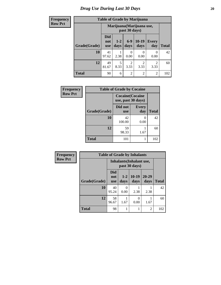## *Drug Use During Last 30 Days* 20

## **Frequency**  $\overline{\text{Row}}$

|--|

| <u>uvilvy</u> |              |                                 |               |                        | Table of Graue by Infarroama |                     |              |
|---------------|--------------|---------------------------------|---------------|------------------------|------------------------------|---------------------|--------------|
| Pct           |              |                                 |               | past 30 days)          | Marijuana (Marijuana use,    |                     |              |
|               | Grade(Grade) | <b>Did</b><br>not<br><b>use</b> | $1-2$<br>days | $6 - 9$<br>days        | $10-19$<br>days              | <b>Every</b><br>day | <b>Total</b> |
|               | 10           | 41<br>97.62                     | 2.38          | 0<br>0.00              | 0<br>0.00                    | $\theta$<br>0.00    | 42           |
|               | 12           | 49<br>81.67                     | 5<br>8.33     | $\overline{2}$<br>3.33 | 2<br>3.33                    | 2<br>3.33           | 60           |
|               | <b>Total</b> | 90                              | 6             | $\overline{2}$         | $\overline{2}$               | $\overline{2}$      | 102          |

| Frequency      | <b>Table of Grade by Cocaine</b> |                                              |                     |              |
|----------------|----------------------------------|----------------------------------------------|---------------------|--------------|
| <b>Row Pct</b> |                                  | <b>Cocaine(Cocaine</b><br>use, past 30 days) |                     |              |
|                | Grade(Grade)                     | Did not<br><b>use</b>                        | <b>Every</b><br>day | <b>Total</b> |
|                | 10                               | 42<br>100.00                                 | 0.00                | 42           |
|                | 12                               | 59<br>98.33                                  | 1.67                | 60           |
|                | <b>Total</b>                     | 101                                          |                     | 102          |

| Frequency      | <b>Table of Grade by Inhalants</b> |                                 |                                                  |                 |                |              |
|----------------|------------------------------------|---------------------------------|--------------------------------------------------|-----------------|----------------|--------------|
| <b>Row Pct</b> |                                    |                                 | <b>Inhalants</b> (Inhalant use,<br>past 30 days) |                 |                |              |
|                | Grade(Grade)                       | <b>Did</b><br>not<br><b>use</b> | $1 - 2$<br>days                                  | $10-19$<br>days | 20-29<br>days  | <b>Total</b> |
|                | 10                                 | 40<br>95.24                     | $\Omega$<br>0.00                                 | 2.38            | 2.38           | 42           |
|                | 12                                 | 58<br>96.67                     | 1.67                                             | 0<br>0.00       | 1.67           | 60           |
|                | <b>Total</b>                       | 98                              |                                                  |                 | $\overline{c}$ | 102          |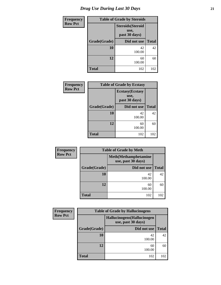| <b>Frequency</b> | <b>Table of Grade by Steroids</b> |                                                   |              |  |  |
|------------------|-----------------------------------|---------------------------------------------------|--------------|--|--|
| <b>Row Pct</b>   |                                   | <b>Steroids</b> (Steroid<br>use,<br>past 30 days) |              |  |  |
|                  | Grade(Grade)                      | Did not use                                       | <b>Total</b> |  |  |
|                  | 10                                | 42<br>100.00                                      | 42           |  |  |
|                  | 12                                | 60<br>100.00                                      | 60           |  |  |
|                  | <b>Total</b>                      | 102                                               | 102          |  |  |

| <b>Frequency</b> | <b>Table of Grade by Ecstasy</b> |                                                  |              |  |
|------------------|----------------------------------|--------------------------------------------------|--------------|--|
| <b>Row Pct</b>   |                                  | <b>Ecstasy</b> (Ecstasy<br>use,<br>past 30 days) |              |  |
|                  | Grade(Grade)                     | Did not use                                      | <b>Total</b> |  |
|                  | 10                               | 42<br>100.00                                     | 42           |  |
|                  | 12                               | 60<br>100.00                                     | 60           |  |
|                  | <b>Total</b>                     | 102                                              | 102          |  |

| Frequency      | <b>Table of Grade by Meth</b> |                                                    |              |  |  |  |
|----------------|-------------------------------|----------------------------------------------------|--------------|--|--|--|
| <b>Row Pct</b> |                               | <b>Meth</b> (Methamphetamine<br>use, past 30 days) |              |  |  |  |
|                | Grade(Grade)                  | Did not use                                        | <b>Total</b> |  |  |  |
|                | 10                            | 42<br>100.00                                       | 42           |  |  |  |
|                | 12                            | 60<br>100.00                                       | 60           |  |  |  |
|                | <b>Total</b>                  | 102                                                | 102          |  |  |  |

| <b>Frequency</b> | <b>Table of Grade by Hallucinogens</b> |                                                   |              |  |  |
|------------------|----------------------------------------|---------------------------------------------------|--------------|--|--|
| <b>Row Pct</b>   |                                        | Hallucinogens (Hallucinogen<br>use, past 30 days) |              |  |  |
|                  | Grade(Grade)                           | Did not use                                       | <b>Total</b> |  |  |
|                  | 10                                     | 42<br>100.00                                      | 42           |  |  |
|                  | 12                                     | 60<br>100.00                                      | 60           |  |  |
|                  | <b>Total</b>                           | 102                                               | 102          |  |  |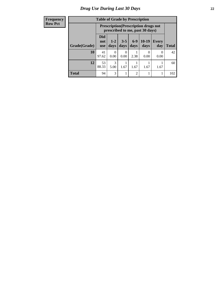#### **Frequency Row Pct**

| <b>Table of Grade by Prescription</b> |                          |                                                                                |                           |                 |                 |                     |              |
|---------------------------------------|--------------------------|--------------------------------------------------------------------------------|---------------------------|-----------------|-----------------|---------------------|--------------|
|                                       |                          | <b>Prescription</b> (Prescription drugs not<br>prescribed to me, past 30 days) |                           |                 |                 |                     |              |
| Grade(Grade)                          | Did<br>not<br><b>use</b> | $1 - 2$<br>days                                                                | $3 - 5$<br>days           | $6 - 9$<br>days | $10-19$<br>days | <b>Every</b><br>day | <b>Total</b> |
| 10                                    | 41<br>97.62              | 0<br>0.00                                                                      | $\mathbf{\Omega}$<br>0.00 | 2.38            | 0<br>0.00       | $\theta$<br>0.00    | 42           |
| 12                                    | 53<br>88.33              | 3<br>5.00                                                                      | 1.67                      | 1.67            | 1.67            | 1.67                | 60           |
| <b>Total</b>                          | 94                       | 3                                                                              |                           | $\mathfrak{D}$  |                 |                     | 102          |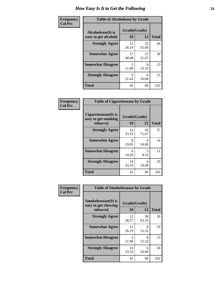| Frequency      | <b>Table of Alcoholease by Grade</b>              |                    |             |              |  |
|----------------|---------------------------------------------------|--------------------|-------------|--------------|--|
| <b>Col Pct</b> | <b>Alcoholease</b> (It is<br>easy to get alcohol) | Grade(Grade)<br>10 | 12          | <b>Total</b> |  |
|                | <b>Strongly Agree</b>                             | 11<br>26.19        | 33<br>55.00 | 44           |  |
|                | <b>Somewhat Agree</b>                             | 17<br>40.48        | 13<br>21.67 | 30           |  |
|                | <b>Somewhat Disagree</b>                          | 5<br>11.90         | 8<br>13.33  | 13           |  |
|                | <b>Strongly Disagree</b>                          | 9<br>21.43         | 6<br>10.00  | 15           |  |
|                | <b>Total</b>                                      | 42                 | 60          | 102          |  |

| Frequency      | <b>Table of Cigarettesease by Grade</b>                 |                    |             |              |  |  |
|----------------|---------------------------------------------------------|--------------------|-------------|--------------|--|--|
| <b>Col Pct</b> | Cigarettesease(It is<br>easy to get smoking<br>tobacco) | Grade(Grade)<br>10 | 12          | <b>Total</b> |  |  |
|                | <b>Strongly Agree</b>                                   | 14<br>33.33        | 43<br>71.67 | 57           |  |  |
|                | <b>Somewhat Agree</b>                                   | 8<br>19.05         | 6<br>10.00  | 14           |  |  |
|                | <b>Somewhat Disagree</b>                                | 6<br>14.29         | 5<br>8.33   | 11           |  |  |
|                | <b>Strongly Disagree</b>                                | 14<br>33.33        | 6<br>10.00  | 20           |  |  |

| Frequency      | <b>Table of Smokelessease by Grade</b>             |              |             |              |  |
|----------------|----------------------------------------------------|--------------|-------------|--------------|--|
| <b>Col Pct</b> | <b>Smokelessease</b> (It is<br>easy to get chewing | Grade(Grade) |             |              |  |
|                | tobacco)                                           | 10           | 12          | <b>Total</b> |  |
|                | <b>Strongly Agree</b>                              | 12<br>28.57  | 38<br>63.33 | 50           |  |
|                | <b>Somewhat Agree</b>                              | 11<br>26.19  | 8<br>13.33  | 19           |  |
|                | <b>Somewhat Disagree</b>                           | 5<br>11.90   | 8<br>13.33  | 13           |  |
|                | <b>Strongly Disagree</b>                           | 14<br>33.33  | 6<br>10.00  | 20           |  |
|                | <b>Total</b>                                       | 42           | 60          | 102          |  |

**Total** 42 60 102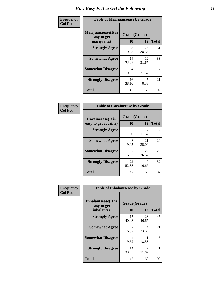| Frequency      | <b>Table of Marijuanaease by Grade</b>           |                    |             |              |  |
|----------------|--------------------------------------------------|--------------------|-------------|--------------|--|
| <b>Col Pct</b> | Marijuanaease(It is<br>easy to get<br>marijuana) | Grade(Grade)<br>10 | 12          | <b>Total</b> |  |
|                | <b>Strongly Agree</b>                            | 8<br>19.05         | 23<br>38.33 | 31           |  |
|                | <b>Somewhat Agree</b>                            | 14<br>33.33        | 19<br>31.67 | 33           |  |
|                | <b>Somewhat Disagree</b>                         | 4<br>9.52          | 13<br>21.67 | 17           |  |
|                | <b>Strongly Disagree</b>                         | 16<br>38.10        | 5<br>8.33   | 21           |  |
|                | <b>Total</b>                                     | 42                 | 60          | 102          |  |

| <b>Table of Cocaineease by Grade</b>              |                    |              |     |  |  |
|---------------------------------------------------|--------------------|--------------|-----|--|--|
| <b>Cocaineease</b> (It is<br>easy to get cocaine) | Grade(Grade)<br>10 | <b>Total</b> |     |  |  |
| <b>Strongly Agree</b>                             | 5<br>11.90         | 11.67        | 12  |  |  |
| <b>Somewhat Agree</b>                             | 8<br>19.05         | 21<br>35.00  | 29  |  |  |
| <b>Somewhat Disagree</b>                          | 16.67              | 22<br>36.67  | 29  |  |  |
| <b>Strongly Disagree</b>                          | 22<br>52.38        | 10<br>16.67  | 32  |  |  |
| <b>Total</b>                                      | 42                 | 60           | 102 |  |  |

| Frequency      | <b>Table of Inhalantsease by Grade</b>                   |                    |             |              |  |
|----------------|----------------------------------------------------------|--------------------|-------------|--------------|--|
| <b>Col Pct</b> | <b>Inhalantsease</b> (It is<br>easy to get<br>inhalants) | Grade(Grade)<br>10 | 12          | <b>Total</b> |  |
|                | <b>Strongly Agree</b>                                    | 17<br>40.48        | 28<br>46.67 | 45           |  |
|                | <b>Somewhat Agree</b>                                    | 7<br>16.67         | 14<br>23.33 | 21           |  |
|                | <b>Somewhat Disagree</b>                                 | 4<br>9.52          | 11<br>18.33 | 15           |  |
|                | <b>Strongly Disagree</b>                                 | 14<br>33.33        | 7<br>11.67  | 21           |  |
|                | <b>Total</b>                                             | 42                 | 60          | 102          |  |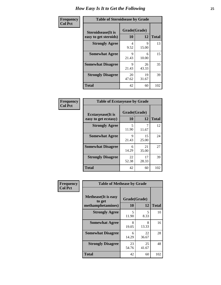| Frequency      | <b>Table of Steroidsease by Grade</b>               |                    |             |              |  |  |  |  |
|----------------|-----------------------------------------------------|--------------------|-------------|--------------|--|--|--|--|
| <b>Col Pct</b> | <b>Steroidsease</b> (It is<br>easy to get steroids) | Grade(Grade)<br>10 | 12          | <b>Total</b> |  |  |  |  |
|                | <b>Strongly Agree</b>                               | 4<br>9.52          | 9<br>15.00  | 13           |  |  |  |  |
|                | <b>Somewhat Agree</b>                               | 9<br>21.43         | 6<br>10.00  | 15           |  |  |  |  |
|                | <b>Somewhat Disagree</b>                            | 9<br>21.43         | 26<br>43.33 | 35           |  |  |  |  |
|                | <b>Strongly Disagree</b>                            | 20<br>47.62        | 19<br>31.67 | 39           |  |  |  |  |
|                | <b>Total</b>                                        | 42                 | 60          | 102          |  |  |  |  |

| Frequency      | <b>Table of Ecstasyease by Grade</b>              |                    |             |              |
|----------------|---------------------------------------------------|--------------------|-------------|--------------|
| <b>Col Pct</b> | <b>Ecstasyease</b> (It is<br>easy to get ecstasy) | Grade(Grade)<br>10 | 12          | <b>Total</b> |
|                | <b>Strongly Agree</b>                             | 5<br>11.90         | 11.67       | 12           |
|                | <b>Somewhat Agree</b>                             | 9<br>21.43         | 15<br>25.00 | 24           |
|                | <b>Somewhat Disagree</b>                          | 6<br>14.29         | 21<br>35.00 | 27           |
|                | <b>Strongly Disagree</b>                          | 22<br>52.38        | 17<br>28.33 | 39           |
|                | <b>Total</b>                                      | 42                 | 60          | 102          |

| Frequency      | <b>Table of Methease by Grade</b>                          |                           |             |              |  |  |  |  |  |
|----------------|------------------------------------------------------------|---------------------------|-------------|--------------|--|--|--|--|--|
| <b>Col Pct</b> | <b>Methease</b> (It is easy<br>to get<br>methamphetamines) | Grade(Grade)<br><b>10</b> | 12          | <b>Total</b> |  |  |  |  |  |
|                | <b>Strongly Agree</b>                                      | 5<br>11.90                | 5<br>8.33   | 10           |  |  |  |  |  |
|                | <b>Somewhat Agree</b>                                      | 8<br>19.05                | 8<br>13.33  | 16           |  |  |  |  |  |
|                | <b>Somewhat Disagree</b>                                   | 6<br>14.29                | 22<br>36.67 | 28           |  |  |  |  |  |
|                | <b>Strongly Disagree</b>                                   | 23<br>54.76               | 25<br>41.67 | 48           |  |  |  |  |  |
|                | Total                                                      | 42                        | 60          | 102          |  |  |  |  |  |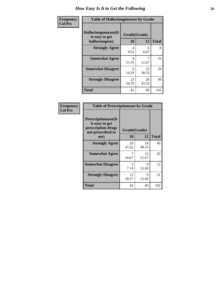| <b>Frequency</b> | <b>Table of Hallucinogensease by Grade</b>               |                    |             |              |  |  |  |  |  |
|------------------|----------------------------------------------------------|--------------------|-------------|--------------|--|--|--|--|--|
| <b>Col Pct</b>   | Hallucinogensease(It<br>is easy to get<br>hallucinogens) | Grade(Grade)<br>10 | 12          | <b>Total</b> |  |  |  |  |  |
|                  | <b>Strongly Agree</b>                                    | 4<br>9.52          | 4<br>6.67   | 8            |  |  |  |  |  |
|                  | <b>Somewhat Agree</b>                                    | Q<br>21.43         | 7<br>11.67  | 16           |  |  |  |  |  |
|                  | <b>Somewhat Disagree</b>                                 | 6<br>14.29         | 23<br>38.33 | 29           |  |  |  |  |  |
|                  | <b>Strongly Disagree</b>                                 | 23<br>54.76        | 26<br>43.33 | 49           |  |  |  |  |  |
|                  | <b>Total</b>                                             | 42                 | 60          | 102          |  |  |  |  |  |

| Frequency<br>  Col Pct |
|------------------------|
|                        |

| <b>Table of Prescriptionease by Grade</b>                                                |             |              |              |  |  |  |
|------------------------------------------------------------------------------------------|-------------|--------------|--------------|--|--|--|
| <b>Prescriptionease</b> (It<br>is easy to get<br>prescription drugs<br>not prescribed to |             | Grade(Grade) |              |  |  |  |
| me)                                                                                      | 10          | 12           | <b>Total</b> |  |  |  |
| <b>Strongly Agree</b>                                                                    | 20<br>47.62 | 29<br>48.33  | 49           |  |  |  |
| <b>Somewhat Agree</b>                                                                    | 7<br>16.67  | 13<br>21.67  | 20           |  |  |  |
| <b>Somewhat Disagree</b>                                                                 | 3<br>7.14   | 9<br>15.00   | 12           |  |  |  |
| <b>Strongly Disagree</b>                                                                 | 12<br>28.57 | Q<br>15.00   | 21           |  |  |  |
| <b>Total</b>                                                                             | 42          | 60           | 102          |  |  |  |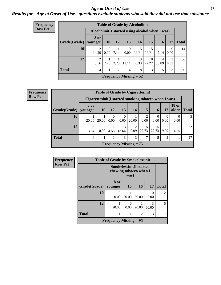#### *Age at Onset of Use* **27** *Results for "Age at Onset of Use" questions exclude students who said they did not use that substance*

| <b>Frequency</b> |              |                        |                                                  |                | <b>Table of Grade by Alcoholinit</b> |            |            |             |           |              |
|------------------|--------------|------------------------|--------------------------------------------------|----------------|--------------------------------------|------------|------------|-------------|-----------|--------------|
| <b>Row Pct</b>   |              |                        | Alcoholinit (I started using alcohol when I was) |                |                                      |            |            |             |           |              |
|                  | Grade(Grade) | 8 or<br>younger        | 10                                               | 12             | 13                                   | 14         | 15         | 16          | 17        | <b>Total</b> |
|                  | 10           | 2<br>14.29             | $\overline{0}$<br>$0.00^{\circ}$                 | 7.14           | $\Omega$<br>0.00                     | 5<br>35.71 | 5<br>35.71 | 7.14        | 0<br>0.00 | 14           |
|                  | 12           | $\overline{2}$<br>5.56 | 2.78                                             |                | $\overline{4}$<br>$2.78$   11.11     | 3<br>8.33  | 8<br>22.22 | 14<br>38.89 | 3<br>8.33 | 36           |
|                  | <b>Total</b> | $\overline{4}$         |                                                  | $\mathfrak{D}$ | $\overline{4}$                       | 8          | 13         | 15          | 3         | 50           |
|                  |              |                        |                                                  |                | <b>Frequency Missing = 52</b>        |            |            |             |           |              |

**Frequency Row Pct**

| <b>Table of Grade by Cigarettesinit</b>                                  |                                                                                                                         |                                                       |                  |                  |                               |            |                  |                        |                  |    |
|--------------------------------------------------------------------------|-------------------------------------------------------------------------------------------------------------------------|-------------------------------------------------------|------------------|------------------|-------------------------------|------------|------------------|------------------------|------------------|----|
|                                                                          |                                                                                                                         | Cigarettesinit (I started smoking tobacco when I was) |                  |                  |                               |            |                  |                        |                  |    |
| Grade(Grade)                                                             | <b>18 or</b><br><b>8 or</b><br><b>15</b><br>12<br>13<br>older<br><b>10</b><br>14<br>17<br><b>Total</b><br>16<br>vounger |                                                       |                  |                  |                               |            |                  |                        |                  |    |
| 10                                                                       | 20.00                                                                                                                   | 20.00                                                 | $\theta$<br>0.00 | $\Omega$<br>0.00 | 20.00                         | 2<br>40.00 | $\theta$<br>0.00 | $\Omega$<br>0.00       | $\Omega$<br>0.00 |    |
| 12                                                                       | 3<br>13.64                                                                                                              | $\Omega$<br>0.00                                      | 4.55             | 3<br>13.64       | $\overline{2}$<br>9.09        | 5<br>22.73 | 22.73            | $\overline{2}$<br>9.09 | 4.55             | 22 |
| <b>Total</b><br>3<br>3<br>$\mathcal{I}$<br>5<br>$\overline{2}$<br>4<br>1 |                                                                                                                         |                                                       |                  |                  |                               |            |                  |                        |                  | 27 |
|                                                                          |                                                                                                                         |                                                       |                  |                  | <b>Frequency Missing = 75</b> |            |                  |                        |                  |    |

| <b>Frequency</b> | <b>Table of Grade by Smokelessinit</b> |                                                                  |                  |       |                  |                |  |
|------------------|----------------------------------------|------------------------------------------------------------------|------------------|-------|------------------|----------------|--|
| <b>Row Pct</b>   |                                        | <b>Smokelessinit(I started</b><br>chewing tobacco when I<br>was) |                  |       |                  |                |  |
|                  | Grade(Grade)                           | 8 or<br>younger                                                  | 15               | 16    | 17               | <b>Total</b>   |  |
|                  | 10                                     | 0.00                                                             | 50.00            | 50.00 | $\Omega$<br>0.00 | $\mathfrak{D}$ |  |
|                  | 12                                     | 20.00                                                            | $\Omega$<br>0.00 | 20.00 | 3<br>60.00       | 5              |  |
|                  | <b>Total</b><br>$\overline{c}$         |                                                                  |                  |       |                  | 7              |  |
|                  |                                        | <b>Frequency Missing = 95</b>                                    |                  |       |                  |                |  |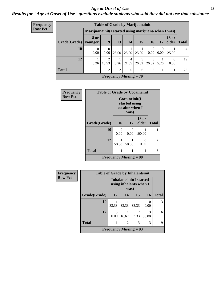#### *Age at Onset of Use* **28**

*Results for "Age at Onset of Use" questions exclude students who said they did not use that substance*

| <b>Frequency</b> | <b>Table of Grade by Marijuanainit</b> |                                                      |                         |       |                                            |            |                      |                  |                       |              |
|------------------|----------------------------------------|------------------------------------------------------|-------------------------|-------|--------------------------------------------|------------|----------------------|------------------|-----------------------|--------------|
| <b>Row Pct</b>   |                                        | Marijuanainit (I started using marijuana when I was) |                         |       |                                            |            |                      |                  |                       |              |
|                  | Grade(Grade)                           | 8 or<br>younger                                      | 9                       | 13    | 14                                         | 15         | 16 <sup>1</sup>      | 17               | <b>18 or</b><br>older | <b>Total</b> |
|                  | 10                                     | $\Omega$<br>0.00                                     | $\theta$<br>0.00        | 25.00 | 25.00                                      | 25.00      | $\left($<br>$0.00\,$ | $\Omega$<br>0.00 | 25.00                 | 4            |
|                  | 12                                     | 5.26                                                 | $\overline{2}$<br>10.53 | 5.26  | 4<br>21.05                                 | 5<br>26.32 | 5<br>26.32           | 5.26             | $\Omega$<br>0.00      | 19           |
|                  | <b>Total</b>                           |                                                      | $\overline{2}$          | 2     | 5                                          | 6          | 5                    |                  |                       | 23           |
|                  |                                        |                                                      |                         |       | <b>Frequency Missing <math>= 79</math></b> |            |                      |                  |                       |              |

| <b>Frequency</b> | <b>Table of Grade by Cocaineinit</b> |                               |                                                          |                       |              |  |  |
|------------------|--------------------------------------|-------------------------------|----------------------------------------------------------|-----------------------|--------------|--|--|
| <b>Row Pct</b>   |                                      |                               | Cocaineinit(I<br>started using<br>cocaine when I<br>was) |                       |              |  |  |
|                  | Grade(Grade)                         | 16                            | 17                                                       | <b>18</b> or<br>older | <b>Total</b> |  |  |
|                  | 10                                   | 0<br>0.00                     | 0<br>0.00                                                | 100.00                |              |  |  |
|                  | 12                                   | 50.00                         | $\mathbf{\Omega}$<br>50.00<br>0.00                       |                       |              |  |  |
|                  | <b>Total</b>                         |                               | 3                                                        |                       |              |  |  |
|                  |                                      | <b>Frequency Missing = 99</b> |                                                          |                       |              |  |  |

| Frequency      | <b>Table of Grade by Inhalantsinit</b> |                          |       |                                                          |            |              |  |  |
|----------------|----------------------------------------|--------------------------|-------|----------------------------------------------------------|------------|--------------|--|--|
| <b>Row Pct</b> |                                        |                          | was)  | <b>Inhalantsinit(I started</b><br>using inhalants when I |            |              |  |  |
|                | Grade(Grade)                           | 12                       | 14    | 15                                                       | 16         | <b>Total</b> |  |  |
|                | 10                                     | 33.33                    | 33.33 | 33.33                                                    | 0.00       | 3            |  |  |
|                | 12                                     | 0.00                     | 16.67 | $\mathfrak{D}$<br>33.33                                  | 3<br>50.00 | 6            |  |  |
|                | <b>Total</b><br>3<br>3<br>2            |                          |       |                                                          |            |              |  |  |
|                |                                        | Frequency Missing $= 93$ |       |                                                          |            |              |  |  |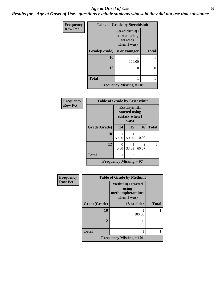#### *Age at Onset of Use* **29**

*Results for "Age at Onset of Use" questions exclude students who said they did not use that substance*

| Frequency      | <b>Table of Grade by Steroidsinit</b> |                                                            |              |  |  |
|----------------|---------------------------------------|------------------------------------------------------------|--------------|--|--|
| <b>Row Pct</b> |                                       | Steroidsinit(I<br>started using<br>steroids<br>when I was) |              |  |  |
|                | Grade(Grade)                          | 8 or younger                                               | <b>Total</b> |  |  |
|                | 10                                    | 100.00                                                     |              |  |  |
|                | 12                                    | 0                                                          | 0            |  |  |
|                | <b>Total</b>                          |                                                            |              |  |  |
|                |                                       | <b>Frequency Missing = 101</b>                             |              |  |  |

| Frequency<br><b>Row Pct</b> | <b>Table of Grade by Ecstasyinit</b> |                                                          |       |                           |              |  |
|-----------------------------|--------------------------------------|----------------------------------------------------------|-------|---------------------------|--------------|--|
|                             |                                      | Ecstasyinit(I<br>started using<br>ecstasy when I<br>was) |       |                           |              |  |
|                             | Grade(Grade)                         | 14                                                       | 15    | 16                        | <b>Total</b> |  |
|                             | 10                                   | 50.00                                                    | 50.00 | $\mathbf{\Omega}$<br>0.00 | 2            |  |
|                             | 12                                   | 0<br>0.00                                                | 33.33 | 2<br>66.67                | 3            |  |
|                             | <b>Total</b>                         | 1                                                        | 2     | 2                         | 5            |  |
|                             | <b>Frequency Missing = 97</b>        |                                                          |       |                           |              |  |

| Frequency      | <b>Table of Grade by Methinit</b> |                                                                       |              |  |
|----------------|-----------------------------------|-----------------------------------------------------------------------|--------------|--|
| <b>Row Pct</b> |                                   | <b>Methinit(I started</b><br>using<br>methamphetamines<br>when I was) |              |  |
|                | Grade(Grade)                      | 18 or older                                                           | <b>Total</b> |  |
|                | 10                                | 100.00                                                                |              |  |
|                | 12                                | 0                                                                     | 0            |  |
|                | <b>Total</b>                      |                                                                       |              |  |
|                |                                   | Frequency Missing $= 101$                                             |              |  |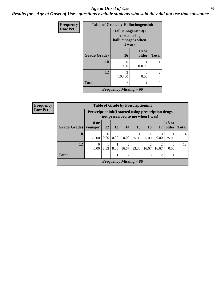#### Age at Onset of Use **30**

*Results for "Age at Onset of Use" questions exclude students who said they did not use that substance*

| <b>Frequency</b> | <b>Table of Grade by Hallucinogensinit</b> |                                                                      |                       |                |  |
|------------------|--------------------------------------------|----------------------------------------------------------------------|-----------------------|----------------|--|
| <b>Row Pct</b>   |                                            | Hallucinogensinit(I<br>started using<br>hallucinogens when<br>I was) |                       |                |  |
|                  | Grade(Grade)                               | <b>16</b>                                                            | <b>18 or</b><br>older | <b>Total</b>   |  |
|                  | 10                                         | $\mathbf{\Omega}$<br>0.00                                            | 100.00                |                |  |
|                  | 12                                         | $\mathcal{D}$<br>100.00                                              | 0.00                  | $\mathfrak{D}$ |  |
|                  | <b>Total</b>                               | $\mathfrak{D}$                                                       |                       | 3              |  |
|                  |                                            | <b>Frequency Missing = 99</b>                                        |                       |                |  |

| <b>Frequency</b> | <b>Table of Grade by Prescriptioninit</b>                                                       |           |                  |                  |                               |            |                         |            |                       |              |
|------------------|-------------------------------------------------------------------------------------------------|-----------|------------------|------------------|-------------------------------|------------|-------------------------|------------|-----------------------|--------------|
| <b>Row Pct</b>   | <b>Prescriptioninit (I started using prescription drugs</b><br>not prescribed to me when I was) |           |                  |                  |                               |            |                         |            |                       |              |
|                  | Grade(Grade)   younger                                                                          | 8 or      | <b>12</b>        | 13               | 14                            | 15         | <b>16</b>               | 17         | <b>18 or</b><br>older | <b>Total</b> |
|                  | 10                                                                                              | 25.00     | $\Omega$<br>0.00 | $\theta$<br>0.00 | 0<br>0.00                     | 25.00      | 25.00                   | 0.00       | 25.00                 | 4            |
|                  | 12                                                                                              | 0<br>0.00 | 8.33             | 8.33             | 2<br>16.67                    | 4<br>33.33 | $\mathfrak{D}$<br>16.67 | ∍<br>16.67 | 0.00                  | 12           |
|                  | <b>Total</b>                                                                                    |           |                  |                  | $\overline{c}$                | 5          | 3                       | 2          |                       | 16           |
|                  |                                                                                                 |           |                  |                  | <b>Frequency Missing = 86</b> |            |                         |            |                       |              |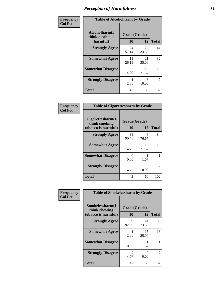| Frequency      | <b>Table of Alcoholharm by Grade</b>          |                    |             |              |
|----------------|-----------------------------------------------|--------------------|-------------|--------------|
| <b>Col Pct</b> | Alcoholharm(I<br>think alcohol is<br>harmful) | Grade(Grade)<br>10 | 12          | <b>Total</b> |
|                | <b>Strongly Agree</b>                         | 24<br>57.14        | 20<br>33.33 | 44           |
|                | <b>Somewhat Agree</b>                         | 11<br>26.19        | 21<br>35.00 | 32           |
|                | <b>Somewhat Disagree</b>                      | 6<br>14.29         | 13<br>21.67 | 19           |
|                | <b>Strongly Disagree</b>                      | 2.38               | 6<br>10.00  | 7            |
|                | <b>Total</b>                                  | 42                 | 60          | 102          |

| <b>Table of Cigarettesharm by Grade</b>                  |                        |                           |              |  |  |
|----------------------------------------------------------|------------------------|---------------------------|--------------|--|--|
| Cigarettesharm(I<br>think smoking<br>tobacco is harmful) | Grade(Grade)<br>10     | 12                        | <b>Total</b> |  |  |
| <b>Strongly Agree</b>                                    | 38<br>90.48            | 46<br>76.67               | 84           |  |  |
| <b>Somewhat Agree</b>                                    | 2<br>4.76              | 13<br>21.67               | 15           |  |  |
| <b>Somewhat Disagree</b>                                 | 0<br>0.00              | 1.67                      | 1            |  |  |
| <b>Strongly Disagree</b>                                 | $\mathfrak{D}$<br>4.76 | $\mathbf{\Omega}$<br>0.00 | 2            |  |  |
| <b>Total</b>                                             | 42                     | 60                        | 102          |  |  |

| Frequency      | <b>Table of Smokelessharm by Grade</b>                  |                           |             |              |
|----------------|---------------------------------------------------------|---------------------------|-------------|--------------|
| <b>Col Pct</b> | Smokelessharm(I<br>think chewing<br>tobacco is harmful) | Grade(Grade)<br><b>10</b> | 12          | <b>Total</b> |
|                | <b>Strongly Agree</b>                                   | 39<br>92.86               | 44<br>73.33 | 83           |
|                | <b>Somewhat Agree</b>                                   | 2.38                      | 15<br>25.00 | 16           |
|                | <b>Somewhat Disagree</b>                                | 0<br>0.00                 | 1.67        |              |
|                | <b>Strongly Disagree</b>                                | $\mathfrak{D}$<br>4.76    | 0<br>0.00   | 2            |
|                | <b>Total</b>                                            | 42                        | 60          | 102          |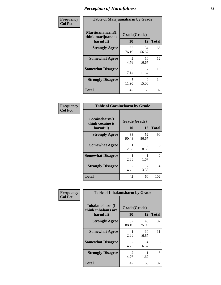| Frequency      | <b>Table of Marijuanaharm by Grade</b>            |                    |             |              |
|----------------|---------------------------------------------------|--------------------|-------------|--------------|
| <b>Col Pct</b> | Marijuanaharm(I<br>think marijuana is<br>harmful) | Grade(Grade)<br>10 | 12          | <b>Total</b> |
|                | <b>Strongly Agree</b>                             | 32<br>76.19        | 34<br>56.67 | 66           |
|                | <b>Somewhat Agree</b>                             | 2<br>4.76          | 10<br>16.67 | 12           |
|                | <b>Somewhat Disagree</b>                          | 3<br>7.14          | 11.67       | 10           |
|                | <b>Strongly Disagree</b>                          | 5<br>11.90         | 9<br>15.00  | 14           |
|                | <b>Total</b>                                      | 42                 | 60          | 102          |

| <b>Table of Cocaineharm by Grade</b>          |                        |                        |              |  |  |
|-----------------------------------------------|------------------------|------------------------|--------------|--|--|
| Cocaineharm(I<br>think cocaine is<br>harmful) | Grade(Grade)<br>10     | 12                     | <b>Total</b> |  |  |
| <b>Strongly Agree</b>                         | 38<br>90.48            | 52<br>86.67            | 90           |  |  |
| <b>Somewhat Agree</b>                         | 2.38                   | 5<br>8.33              | 6            |  |  |
| <b>Somewhat Disagree</b>                      | 2.38                   | 1.67                   | 2            |  |  |
| <b>Strongly Disagree</b>                      | $\mathfrak{D}$<br>4.76 | $\mathfrak{D}$<br>3.33 | 4            |  |  |
| <b>Total</b>                                  | 42                     | 60                     | 102          |  |  |

| Frequency      | <b>Table of Inhalantsharm by Grade</b>             |                           |             |              |
|----------------|----------------------------------------------------|---------------------------|-------------|--------------|
| <b>Col Pct</b> | Inhalantsharm(I<br>think inhalants are<br>harmful) | Grade(Grade)<br><b>10</b> | 12          | <b>Total</b> |
|                | <b>Strongly Agree</b>                              | 37<br>88.10               | 45<br>75.00 | 82           |
|                | <b>Somewhat Agree</b>                              | 2.38                      | 10<br>16.67 | 11           |
|                | <b>Somewhat Disagree</b>                           | $\mathfrak{D}$<br>4.76    | 4<br>6.67   | 6            |
|                | <b>Strongly Disagree</b>                           | $\mathfrak{D}$<br>4.76    | 1.67        | 3            |
|                | <b>Total</b>                                       | 42                        | 60          | 102          |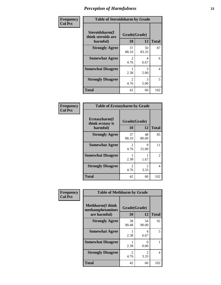| Frequency      | <b>Table of Steroidsharm by Grade</b>            |                                     |             |              |
|----------------|--------------------------------------------------|-------------------------------------|-------------|--------------|
| <b>Col Pct</b> | Steroidsharm(I<br>think steroids are<br>harmful) | Grade(Grade)<br>10                  | 12          | <b>Total</b> |
|                | <b>Strongly Agree</b>                            | 37<br>88.10                         | 50<br>83.33 | 87           |
|                | <b>Somewhat Agree</b>                            | $\mathcal{L}$<br>4.76               | 4<br>6.67   | 6            |
|                | <b>Somewhat Disagree</b>                         | 2.38                                | 3<br>5.00   | 4            |
|                | <b>Strongly Disagree</b>                         | $\mathcal{D}_{\mathcal{L}}$<br>4.76 | 3<br>5.00   | 5            |
|                | <b>Total</b>                                     | 42                                  | 60          | 102          |

| <b>Table of Ecstasyharm by Grade</b>          |                        |                        |                |  |  |
|-----------------------------------------------|------------------------|------------------------|----------------|--|--|
| Ecstasyharm(I<br>think ecstasy is<br>harmful) | Grade(Grade)<br>10     | <b>Total</b>           |                |  |  |
| <b>Strongly Agree</b>                         | 37<br>88.10            | 48<br>80.00            | 85             |  |  |
| <b>Somewhat Agree</b>                         | $\mathfrak{D}$<br>4.76 | 9<br>15.00             | 11             |  |  |
| <b>Somewhat Disagree</b>                      | 2.38                   | 1.67                   | $\mathfrak{D}$ |  |  |
| <b>Strongly Disagree</b>                      | $\mathfrak{D}$<br>4.76 | $\mathfrak{D}$<br>3.33 | 4              |  |  |
| Total                                         | 42                     | 60                     | 102            |  |  |

| Frequency      | <b>Table of Methharm by Grade</b>                            |                    |                       |              |
|----------------|--------------------------------------------------------------|--------------------|-----------------------|--------------|
| <b>Col Pct</b> | <b>Methharm</b> (I think<br>methamphetamines<br>are harmful) | Grade(Grade)<br>10 | 12                    | <b>Total</b> |
|                | <b>Strongly Agree</b>                                        | 38<br>90.48        | 54<br>90.00           | 92           |
|                | <b>Somewhat Agree</b>                                        | 2.38               | 4<br>6.67             | 5            |
|                | <b>Somewhat Disagree</b>                                     | 2.38               | 0<br>0.00             |              |
|                | <b>Strongly Disagree</b>                                     | 2<br>4.76          | $\mathcal{L}$<br>3.33 | 4            |
|                | <b>Total</b>                                                 | 42                 | 60                    | 102          |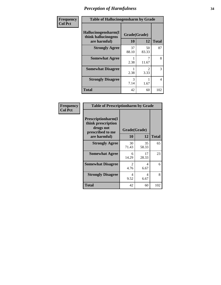| Frequency      | <b>Table of Hallucinogensharm by Grade</b>                 |                    |                       |              |
|----------------|------------------------------------------------------------|--------------------|-----------------------|--------------|
| <b>Col Pct</b> | Hallucinogensharm(I<br>think hallucinogens<br>are harmful) | Grade(Grade)<br>10 | 12                    | <b>Total</b> |
|                | <b>Strongly Agree</b>                                      | 37<br>88.10        | 50<br>83.33           | 87           |
|                | <b>Somewhat Agree</b>                                      | 2.38               | 7<br>11.67            | 8            |
|                | <b>Somewhat Disagree</b>                                   | 2.38               | $\mathcal{L}$<br>3.33 | 3            |
|                | <b>Strongly Disagree</b>                                   | 3<br>7.14          | 1.67                  | 4            |
|                | <b>Total</b>                                               | 42                 | 60                    | 102          |

| <b>Frequency</b> |
|------------------|
| Col Pct          |

| <b>Table of Prescriptionharm by Grade</b>                                         |                        |              |              |  |
|-----------------------------------------------------------------------------------|------------------------|--------------|--------------|--|
| <b>Prescriptionharm</b> (I<br>think prescription<br>drugs not<br>prescribed to me |                        | Grade(Grade) |              |  |
| are harmful)                                                                      | 10                     | 12           | <b>Total</b> |  |
| <b>Strongly Agree</b>                                                             | 30<br>71.43            | 35<br>58.33  | 65           |  |
| <b>Somewhat Agree</b>                                                             | 6<br>14.29             | 17<br>28.33  | 23           |  |
| <b>Somewhat Disagree</b>                                                          | $\mathfrak{D}$<br>4.76 | 4<br>6.67    | 6            |  |
| <b>Strongly Disagree</b>                                                          | 4<br>9.52              | 4<br>6.67    | 8            |  |
| Total                                                                             | 42                     | 60           | 102          |  |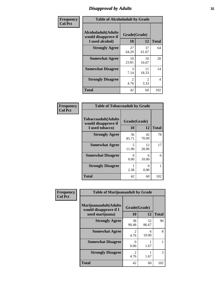## *Disapproval by Adults* **35**

| Frequency      | <b>Table of Alcoholadult by Grade</b>                                 |                        |                        |              |
|----------------|-----------------------------------------------------------------------|------------------------|------------------------|--------------|
| <b>Col Pct</b> | <b>Alcoholadult</b> (Adults<br>would disapprove if<br>I used alcohol) | Grade(Grade)<br>10     | 12                     | <b>Total</b> |
|                | <b>Strongly Agree</b>                                                 | 27<br>64.29            | 37<br>61.67            | 64           |
|                | <b>Somewhat Agree</b>                                                 | 10<br>23.81            | 10<br>16.67            | 20           |
|                | <b>Somewhat Disagree</b>                                              | 3<br>7.14              | 11<br>18.33            | 14           |
|                | <b>Strongly Disagree</b>                                              | $\overline{2}$<br>4.76 | $\mathfrak{D}$<br>3.33 | 4            |
|                | <b>Total</b>                                                          | 42                     | 60                     | 102          |

| <b>Table of Tobaccoadult by Grade</b>                                 |                    |             |              |  |  |
|-----------------------------------------------------------------------|--------------------|-------------|--------------|--|--|
| <b>Tobaccoadult</b> (Adults<br>would disapprove if<br>I used tobacco) | Grade(Grade)<br>10 | 12          | <b>Total</b> |  |  |
| <b>Strongly Agree</b>                                                 | 36<br>85.71        | 42<br>70.00 | 78           |  |  |
| <b>Somewhat Agree</b>                                                 | 5<br>11.90         | 12<br>20.00 | 17           |  |  |
| <b>Somewhat Disagree</b>                                              | 0<br>0.00          | 6<br>10.00  | 6            |  |  |
| <b>Strongly Disagree</b>                                              | 2.38               | ∩<br>0.00   | 1            |  |  |
| <b>Total</b>                                                          | 42                 | 60          | 102          |  |  |

| Frequency<br><b>Col Pct</b> | <b>Table of Marijuanaadult by Grade</b>                           |                        |             |              |
|-----------------------------|-------------------------------------------------------------------|------------------------|-------------|--------------|
|                             | Marijuanaadult(Adults<br>would disapprove if I<br>used marijuana) | Grade(Grade)<br>10     | 12          | <b>Total</b> |
|                             | <b>Strongly Agree</b>                                             | 38<br>90.48            | 52<br>86.67 | 90           |
|                             | <b>Somewhat Agree</b>                                             | $\mathfrak{D}$<br>4.76 | 6<br>10.00  | 8            |
|                             | <b>Somewhat Disagree</b>                                          | 0<br>0.00              | 1.67        |              |
|                             | <b>Strongly Disagree</b>                                          | $\mathfrak{D}$<br>4.76 | 1.67        | 3            |
|                             | <b>Total</b>                                                      | 42                     | 60          | 102          |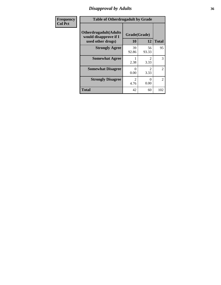## *Disapproval by Adults* **36**

| <b>Frequency</b> | <b>Table of Otherdrugadult by Grade</b>                                     |                        |                               |                |
|------------------|-----------------------------------------------------------------------------|------------------------|-------------------------------|----------------|
| <b>Col Pct</b>   | <b>Otherdrugadult</b> (Adults<br>would disapprove if I<br>used other drugs) | Grade(Grade)<br>10     | 12                            | <b>Total</b>   |
|                  | <b>Strongly Agree</b>                                                       | 39<br>92.86            | 56<br>93.33                   | 95             |
|                  | <b>Somewhat Agree</b>                                                       | 2.38                   | $\mathcal{D}_{\cdot}$<br>3.33 | 3              |
|                  | <b>Somewhat Disagree</b>                                                    | 0<br>0.00              | 2<br>3.33                     | $\overline{2}$ |
|                  | <b>Strongly Disagree</b>                                                    | $\mathfrak{D}$<br>4.76 | 0<br>0.00                     | 2              |
|                  | <b>Total</b>                                                                | 42                     | 60                            | 102            |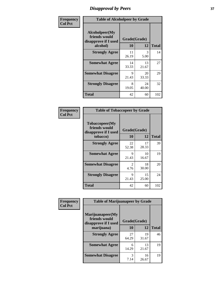# *Disapproval by Peers* **37**

| Frequency      | <b>Table of Alcoholpeer by Grade</b>                    |              |             |              |  |
|----------------|---------------------------------------------------------|--------------|-------------|--------------|--|
| <b>Col Pct</b> | Alcoholpeer(My<br>friends would<br>disapprove if I used | Grade(Grade) |             |              |  |
|                | alcohol)                                                | 10           | 12          | <b>Total</b> |  |
|                | <b>Strongly Agree</b>                                   | 11<br>26.19  | 3<br>5.00   | 14           |  |
|                | <b>Somewhat Agree</b>                                   | 14<br>33.33  | 13<br>21.67 | 27           |  |
|                | <b>Somewhat Disagree</b>                                | 9<br>21.43   | 20<br>33.33 | 29           |  |
|                | <b>Strongly Disagree</b>                                | 8<br>19.05   | 24<br>40.00 | 32           |  |
|                | Total                                                   | 42           | 60          | 102          |  |

| Frequency      | <b>Table of Tobaccopeer by Grade</b>                                |                       |             |              |
|----------------|---------------------------------------------------------------------|-----------------------|-------------|--------------|
| <b>Col Pct</b> | Tobaccopeer(My<br>friends would<br>disapprove if I used<br>tobacco) | Grade(Grade)<br>10    | 12          | <b>Total</b> |
|                | <b>Strongly Agree</b>                                               | 22<br>52.38           | 17<br>28.33 | 39           |
|                | <b>Somewhat Agree</b>                                               | 9<br>21.43            | 10<br>16.67 | 19           |
|                | <b>Somewhat Disagree</b>                                            | $\mathcal{L}$<br>4.76 | 18<br>30.00 | 20           |
|                | <b>Strongly Disagree</b>                                            | 9<br>21.43            | 15<br>25.00 | 24           |
|                | Total                                                               | 42                    | 60          | 102          |

| Frequency<br><b>Col Pct</b> | <b>Table of Marijuanapeer by Grade</b> |              |             |              |
|-----------------------------|----------------------------------------|--------------|-------------|--------------|
|                             | Marijuanapeer(My<br>friends would      | Grade(Grade) |             |              |
|                             | disapprove if I used<br>marijuana)     | 10           | 12          | <b>Total</b> |
|                             | <b>Strongly Agree</b>                  | 27<br>64.29  | 19<br>31.67 | 46           |
|                             | <b>Somewhat Agree</b>                  | 6<br>14.29   | 13<br>21.67 | 19           |
|                             | <b>Somewhat Disagree</b>               | 3<br>7.14    | 16<br>26.67 | 19           |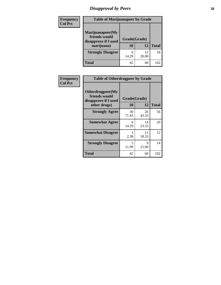# *Disapproval by Peers* **38**

| Frequency<br><b>Col Pct</b> | <b>Table of Marijuanapeer by Grade</b>                                  |                    |             |              |
|-----------------------------|-------------------------------------------------------------------------|--------------------|-------------|--------------|
|                             | Marijuanapeer(My<br>friends would<br>disapprove if I used<br>marijuana) | Grade(Grade)<br>10 | 12          | <b>Total</b> |
|                             | <b>Strongly Disagree</b>                                                | 6<br>14.29         | 12<br>20.00 | 18           |
|                             | Total                                                                   | 42                 | 60          | 102          |

| Frequency      | <b>Table of Otherdrugpeer by Grade</b>                                    |                    |             |              |
|----------------|---------------------------------------------------------------------------|--------------------|-------------|--------------|
| <b>Col Pct</b> | Otherdrugpeer(My<br>friends would<br>disapprove if I used<br>other drugs) | Grade(Grade)<br>10 | 12          | <b>Total</b> |
|                | <b>Strongly Agree</b>                                                     | 30<br>71.43        | 26<br>43.33 | 56           |
|                | <b>Somewhat Agree</b>                                                     | 6<br>14.29         | 14<br>23.33 | 20           |
|                | <b>Somewhat Disagree</b>                                                  | 2.38               | 11<br>18.33 | 12           |
|                | <b>Strongly Disagree</b>                                                  | 5<br>11.90         | 9<br>15.00  | 14           |
|                | Total                                                                     | 42                 | 60          | 102          |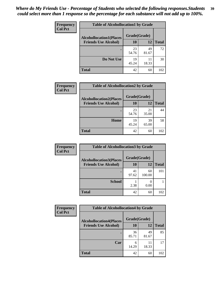| Frequency      | <b>Table of Alcohollocation1 by Grade</b> |              |             |              |
|----------------|-------------------------------------------|--------------|-------------|--------------|
| <b>Col Pct</b> | <b>Alcohollocation1(Places</b>            | Grade(Grade) |             |              |
|                | <b>Friends Use Alcohol)</b>               | 10           | 12          | <b>Total</b> |
|                |                                           | 23<br>54.76  | 49<br>81.67 | 72           |
|                | Do Not Use                                | 19<br>45.24  | 11<br>18.33 | 30           |
|                | <b>Total</b>                              | 42           | 60          | 102          |

| <b>Frequency</b> | <b>Table of Alcohollocation2 by Grade</b>                     |                    |             |              |
|------------------|---------------------------------------------------------------|--------------------|-------------|--------------|
| <b>Col Pct</b>   | <b>Alcohollocation2(Places</b><br><b>Friends Use Alcohol)</b> | Grade(Grade)<br>10 | 12          | <b>Total</b> |
|                  |                                                               | 23<br>54.76        | 21<br>35.00 | 44           |
|                  | Home                                                          | 19<br>45.24        | 39<br>65.00 | 58           |
|                  | <b>Total</b>                                                  | 42                 | 60          | 102          |

| Frequency<br><b>Col Pct</b> | <b>Table of Alcohollocation 3 by Grade</b>                    |                    |              |              |
|-----------------------------|---------------------------------------------------------------|--------------------|--------------|--------------|
|                             | <b>Alcohollocation3(Places</b><br><b>Friends Use Alcohol)</b> | Grade(Grade)<br>10 | 12           | <b>Total</b> |
|                             |                                                               | 41<br>97.62        | 60<br>100.00 | 101          |
|                             | <b>School</b>                                                 | 2.38               | 0.00         |              |
|                             | <b>Total</b>                                                  | 42                 | 60           | 102          |

| <b>Frequency</b> | <b>Table of Alcohollocation4 by Grade</b> |              |             |              |
|------------------|-------------------------------------------|--------------|-------------|--------------|
| <b>Col Pct</b>   | <b>Alcohollocation4(Places</b>            | Grade(Grade) |             |              |
|                  | <b>Friends Use Alcohol)</b>               | <b>10</b>    | 12          | <b>Total</b> |
|                  |                                           | 36<br>85.71  | 49<br>81.67 | 85           |
|                  | Car                                       | 6<br>14.29   | 11<br>18.33 | 17           |
|                  | <b>Total</b>                              | 42           | 60          | 102          |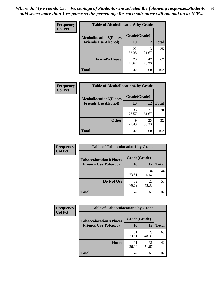| Frequency<br><b>Col Pct</b> | <b>Table of Alcohollocation5 by Grade</b> |              |             |              |  |
|-----------------------------|-------------------------------------------|--------------|-------------|--------------|--|
|                             | <b>Alcohollocation5(Places</b>            | Grade(Grade) |             |              |  |
|                             | <b>Friends Use Alcohol)</b>               | 10           | 12          | <b>Total</b> |  |
|                             |                                           | 22<br>52.38  | 13<br>21.67 | 35           |  |
|                             | <b>Friend's House</b>                     | 20<br>47.62  | 47<br>78.33 | 67           |  |
|                             | <b>Total</b>                              | 42           | 60          | 102          |  |

| Frequency      | <b>Table of Alcohollocation6 by Grade</b> |                    |             |              |
|----------------|-------------------------------------------|--------------------|-------------|--------------|
| <b>Col Pct</b> | <b>Alcohollocation6(Places</b>            | Grade(Grade)<br>10 |             |              |
|                | <b>Friends Use Alcohol)</b>               |                    | <b>12</b>   | <b>Total</b> |
|                |                                           | 33<br>78.57        | 37<br>61.67 | 70           |
|                | <b>Other</b>                              | q<br>21.43         | 23<br>38.33 | 32           |
|                | <b>Total</b>                              | 42                 | 60          | 102          |

| Frequency<br><b>Col Pct</b> | <b>Table of Tobaccolocation1 by Grade</b> |              |             |              |
|-----------------------------|-------------------------------------------|--------------|-------------|--------------|
|                             | <b>Tobaccolocation1(Places</b>            | Grade(Grade) |             |              |
|                             | <b>Friends Use Tobacco)</b>               | 10           | <b>12</b>   | <b>Total</b> |
|                             |                                           | 10<br>23.81  | 34<br>56.67 | 44           |
|                             | Do Not Use                                | 32<br>76.19  | 26<br>43.33 | 58           |
|                             | <b>Total</b>                              | 42           | 60          | 102          |

| <b>Frequency</b> | <b>Table of Tobaccolocation2 by Grade</b> |              |             |              |  |
|------------------|-------------------------------------------|--------------|-------------|--------------|--|
| <b>Col Pct</b>   | <b>Tobaccolocation2(Places</b>            | Grade(Grade) |             |              |  |
|                  | <b>Friends Use Tobacco)</b>               | <b>10</b>    | 12          | <b>Total</b> |  |
|                  |                                           | 31<br>73.81  | 29<br>48.33 | 60           |  |
|                  | Home                                      | 11<br>26.19  | 31<br>51.67 | 42           |  |
|                  | <b>Total</b>                              | 42           | 60          | 102          |  |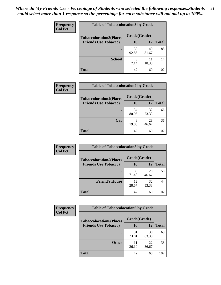| Frequency      | <b>Table of Tobaccolocation 3 by Grade</b> |              |             |              |  |
|----------------|--------------------------------------------|--------------|-------------|--------------|--|
| <b>Col Pct</b> | <b>Tobaccolocation3(Places</b>             | Grade(Grade) |             |              |  |
|                | <b>Friends Use Tobacco)</b>                | 10           | <b>12</b>   | <b>Total</b> |  |
|                |                                            | 39<br>92.86  | 49<br>81.67 | 88           |  |
|                | <b>School</b>                              | 3<br>7.14    | 11<br>18.33 | 14           |  |
|                | <b>Total</b>                               | 42           | 60          | 102          |  |

| Frequency<br><b>Col Pct</b> |                                | <b>Table of Tobaccolocation4 by Grade</b> |             |              |
|-----------------------------|--------------------------------|-------------------------------------------|-------------|--------------|
|                             | <b>Tobaccolocation4(Places</b> | Grade(Grade)                              |             |              |
|                             | <b>Friends Use Tobacco)</b>    | 10                                        | 12          | <b>Total</b> |
|                             |                                | 34<br>80.95                               | 32<br>53.33 | 66           |
|                             | Car                            | 8<br>19.05                                | 28<br>46.67 | 36           |
|                             | <b>Total</b>                   | 42                                        | 60          | 102          |

| Frequency      | <b>Table of Tobaccolocation5 by Grade</b> |              |             |              |
|----------------|-------------------------------------------|--------------|-------------|--------------|
| <b>Col Pct</b> | <b>Tobaccolocation5(Places</b>            | Grade(Grade) |             |              |
|                | <b>Friends Use Tobacco)</b>               | 10           | <b>12</b>   | <b>Total</b> |
|                |                                           | 30<br>71.43  | 28<br>46.67 | 58           |
|                | <b>Friend's House</b>                     | 12<br>28.57  | 32<br>53.33 | 44           |
|                | <b>Total</b>                              | 42           | 60          | 102          |

| <b>Frequency</b> | <b>Table of Tobaccolocation6 by Grade</b> |              |             |              |  |
|------------------|-------------------------------------------|--------------|-------------|--------------|--|
| <b>Col Pct</b>   | <b>Tobaccolocation6(Places</b>            | Grade(Grade) |             |              |  |
|                  | <b>Friends Use Tobacco)</b>               | 10           | 12          | <b>Total</b> |  |
|                  |                                           | 31<br>73.81  | 38<br>63.33 | 69           |  |
|                  | <b>Other</b>                              | 11<br>26.19  | 22<br>36.67 | 33           |  |
|                  | <b>Total</b>                              | 42           | 60          | 102          |  |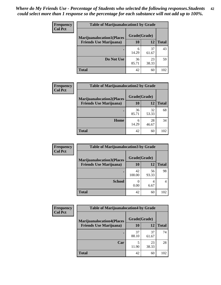| <b>Frequency</b> | <b>Table of Marijuanalocation1 by Grade</b> |              |             |              |
|------------------|---------------------------------------------|--------------|-------------|--------------|
| <b>Col Pct</b>   | <b>Marijuanalocation1(Places</b>            | Grade(Grade) |             |              |
|                  | <b>Friends Use Marijuana</b> )              | 10           | 12          | <b>Total</b> |
|                  |                                             | 6<br>14.29   | 37<br>61.67 | 43           |
|                  | Do Not Use                                  | 36<br>85.71  | 23<br>38.33 | 59           |
|                  | <b>Total</b>                                | 42           | 60          | 102          |

| <b>Frequency</b> | <b>Table of Marijuanalocation2 by Grade</b>                        |                    |             |              |
|------------------|--------------------------------------------------------------------|--------------------|-------------|--------------|
| <b>Col Pct</b>   | <b>Marijuanalocation2(Places</b><br><b>Friends Use Marijuana</b> ) | Grade(Grade)<br>10 | 12          | <b>Total</b> |
|                  |                                                                    | 36<br>85.71        | 32<br>53.33 | 68           |
|                  | Home                                                               | 6<br>14.29         | 28<br>46.67 | 34           |
|                  | <b>Total</b>                                                       | 42                 | 60          | 102          |

| Frequency<br><b>Col Pct</b> | <b>Table of Marijuanalocation3 by Grade</b> |              |             |       |
|-----------------------------|---------------------------------------------|--------------|-------------|-------|
|                             | <b>Marijuanalocation3</b> (Places           | Grade(Grade) |             |       |
|                             | <b>Friends Use Marijuana</b> )              | 10           | 12          | Total |
|                             |                                             | 42<br>100.00 | 56<br>93.33 | 98    |
|                             | <b>School</b>                               | 0.00         | 4<br>6.67   |       |
|                             | <b>Total</b>                                | 42           | 60          | 102   |

| <b>Frequency</b> | <b>Table of Marijuanalocation4 by Grade</b> |              |             |              |  |
|------------------|---------------------------------------------|--------------|-------------|--------------|--|
| <b>Col Pct</b>   | <b>Marijuanalocation4(Places</b>            | Grade(Grade) |             |              |  |
|                  | <b>Friends Use Marijuana</b> )              | <b>10</b>    | 12          | <b>Total</b> |  |
|                  |                                             | 37<br>88.10  | 37<br>61.67 | 74           |  |
|                  | Car                                         | 11.90        | 23<br>38.33 | 28           |  |
|                  | <b>Total</b>                                | 42           | 60          | 102          |  |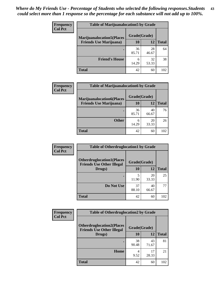| <b>Frequency</b> | <b>Table of Marijuanalocation5 by Grade</b> |              |             |              |
|------------------|---------------------------------------------|--------------|-------------|--------------|
| <b>Col Pct</b>   | <b>Marijuanalocation5(Places)</b>           | Grade(Grade) |             |              |
|                  | <b>Friends Use Marijuana</b> )              | 10           | 12          | <b>Total</b> |
|                  |                                             | 36<br>85.71  | 28<br>46.67 | 64           |
|                  | <b>Friend's House</b>                       | 6<br>14.29   | 32<br>53.33 | 38           |
|                  | <b>Total</b>                                | 42           | 60          | 102          |

| <b>Frequency</b> | <b>Table of Marijuanalocation6 by Grade</b>                        |                    |             |              |
|------------------|--------------------------------------------------------------------|--------------------|-------------|--------------|
| <b>Col Pct</b>   | <b>Marijuanalocation6(Places</b><br><b>Friends Use Marijuana</b> ) | Grade(Grade)<br>10 | 12          | <b>Total</b> |
|                  |                                                                    | 36<br>85.71        | 40<br>66.67 | 76           |
|                  | <b>Other</b>                                                       | 6<br>14.29         | 20<br>33.33 | 26           |
|                  | <b>Total</b>                                                       | 42                 | 60          | 102          |

| <b>Frequency</b> | <b>Table of Otherdruglocation1 by Grade</b>                          |              |             |              |
|------------------|----------------------------------------------------------------------|--------------|-------------|--------------|
| <b>Col Pct</b>   | <b>Otherdruglocation1(Places</b><br><b>Friends Use Other Illegal</b> | Grade(Grade) |             |              |
|                  | Drugs)                                                               | 10           | <b>12</b>   | <b>Total</b> |
|                  |                                                                      | 5<br>11.90   | 20<br>33.33 | 25           |
|                  | Do Not Use                                                           | 37<br>88.10  | 40<br>66.67 | 77           |
|                  | <b>Total</b>                                                         | 42           | 60          | 102          |

| <b>Frequency</b> | <b>Table of Otherdruglocation2 by Grade</b>                          |              |             |              |
|------------------|----------------------------------------------------------------------|--------------|-------------|--------------|
| <b>Col Pct</b>   | <b>Otherdruglocation2(Places</b><br><b>Friends Use Other Illegal</b> | Grade(Grade) |             |              |
|                  | Drugs)                                                               | 10           | 12          | <b>Total</b> |
|                  |                                                                      | 38<br>90.48  | 43<br>71.67 | 81           |
|                  | Home                                                                 | 4<br>9.52    | 17<br>28.33 | 21           |
|                  | <b>Total</b>                                                         | 42           | 60          | 102          |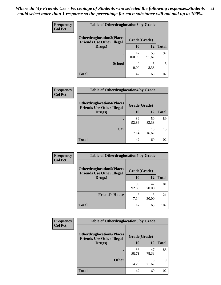| <b>Frequency</b> | <b>Table of Otherdruglocation 3 by Grade</b>                         |              |             |              |
|------------------|----------------------------------------------------------------------|--------------|-------------|--------------|
| <b>Col Pct</b>   | <b>Otherdruglocation3(Places</b><br><b>Friends Use Other Illegal</b> | Grade(Grade) |             |              |
|                  | Drugs)                                                               | 10           | 12          | <b>Total</b> |
|                  |                                                                      | 42<br>100.00 | 55<br>91.67 | 97           |
|                  | <b>School</b>                                                        | 0.00         | 8.33        |              |
|                  | <b>Total</b>                                                         | 42           | 60          | 102          |

| <b>Frequency</b> | <b>Table of Otherdruglocation4 by Grade</b>                          |              |             |              |
|------------------|----------------------------------------------------------------------|--------------|-------------|--------------|
| <b>Col Pct</b>   | <b>Otherdruglocation4(Places</b><br><b>Friends Use Other Illegal</b> | Grade(Grade) |             |              |
|                  | Drugs)                                                               | 10           | 12          | <b>Total</b> |
|                  |                                                                      | 39<br>92.86  | 50<br>83.33 | 89           |
|                  | Car                                                                  | 7.14         | 10<br>16.67 | 13           |
|                  | <b>Total</b>                                                         | 42           | 60          | 102          |

| <b>Frequency</b> | <b>Table of Otherdruglocation5 by Grade</b>                          |              |             |              |
|------------------|----------------------------------------------------------------------|--------------|-------------|--------------|
| <b>Col Pct</b>   | <b>Otherdruglocation5(Places</b><br><b>Friends Use Other Illegal</b> | Grade(Grade) |             |              |
|                  | Drugs)                                                               | 10           | 12          | <b>Total</b> |
|                  |                                                                      | 39<br>92.86  | 42<br>70.00 | 81           |
|                  | <b>Friend's House</b>                                                | 3<br>7.14    | 18<br>30.00 | 21           |
|                  | <b>Total</b>                                                         | 42           | 60          | 102          |

| Frequency      | <b>Table of Otherdruglocation6 by Grade</b>                          |              |             |              |
|----------------|----------------------------------------------------------------------|--------------|-------------|--------------|
| <b>Col Pct</b> | <b>Otherdruglocation6(Places</b><br><b>Friends Use Other Illegal</b> | Grade(Grade) |             |              |
|                | Drugs)                                                               | 10           | 12          | <b>Total</b> |
|                |                                                                      | 36<br>85.71  | 47<br>78.33 | 83           |
|                | <b>Other</b>                                                         | 6<br>14.29   | 13<br>21.67 | 19           |
|                | <b>Total</b>                                                         | 42           | 60          | 102          |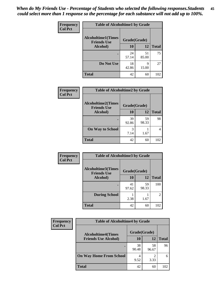| Frequency      | <b>Table of Alcoholtime1 by Grade</b> |              |             |              |
|----------------|---------------------------------------|--------------|-------------|--------------|
| <b>Col Pct</b> | <b>Alcoholtime1(Times</b>             | Grade(Grade) |             |              |
|                | <b>Friends Use</b><br>Alcohol)        | 10           | 12          | <b>Total</b> |
|                |                                       | 24<br>57.14  | 51<br>85.00 | 75           |
|                | Do Not Use                            | 18<br>42.86  | 9<br>15.00  | 27           |
|                | <b>Total</b>                          | 42           | 60          | 102          |

| Frequency      | <b>Table of Alcoholtime2 by Grade</b>           |              |             |              |
|----------------|-------------------------------------------------|--------------|-------------|--------------|
| <b>Col Pct</b> | <b>Alcoholtime2(Times</b><br><b>Friends Use</b> | Grade(Grade) |             |              |
|                | Alcohol)                                        | 10           | 12          | <b>Total</b> |
|                |                                                 | 39<br>92.86  | 59<br>98.33 | 98           |
|                | <b>On Way to School</b>                         | 3<br>7.14    | 1.67        |              |
|                | <b>Total</b>                                    | 42           | 60          | 102          |

| Frequency      | <b>Table of Alcoholtime3 by Grade</b>           |              |             |                |
|----------------|-------------------------------------------------|--------------|-------------|----------------|
| <b>Col Pct</b> | <b>Alcoholtime3(Times</b><br><b>Friends Use</b> | Grade(Grade) |             |                |
|                | Alcohol)                                        | 10           | 12          | <b>Total</b>   |
|                |                                                 | 41<br>97.62  | 59<br>98.33 | 100            |
|                | <b>During School</b>                            | 2.38         | 1.67        | $\overline{c}$ |
|                | Total                                           | 42           | 60          | 102            |

| Frequency<br><b>Col Pct</b> | <b>Table of Alcoholtime4 by Grade</b> |              |                                     |              |
|-----------------------------|---------------------------------------|--------------|-------------------------------------|--------------|
|                             | <b>Alcoholtime4(Times</b>             | Grade(Grade) |                                     |              |
|                             | <b>Friends Use Alcohol)</b>           | 10           | 12                                  | <b>Total</b> |
|                             |                                       | 38<br>90.48  | 58<br>96.67                         | 96           |
|                             | <b>On Way Home From School</b>        | 9.52         | $\mathcal{D}_{\mathcal{A}}$<br>3.33 | 6            |
|                             | <b>Total</b>                          | 42           | 60                                  | 102          |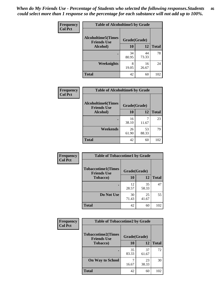*When do My Friends Use - Percentage of Students who selected the following responses.Students could select more than 1 response so the percentage for each substance will not add up to 100%.* **46**

| <b>Frequency</b> | <b>Table of Alcoholtime5 by Grade</b>           |              |             |              |
|------------------|-------------------------------------------------|--------------|-------------|--------------|
| <b>Col Pct</b>   | <b>Alcoholtime5(Times</b><br><b>Friends Use</b> | Grade(Grade) |             |              |
|                  | Alcohol)                                        | 10           | 12          | <b>Total</b> |
|                  |                                                 | 34<br>80.95  | 44<br>73.33 | 78           |
|                  | Weeknights                                      | 8<br>19.05   | 16<br>26.67 | 24           |
|                  | <b>Total</b>                                    | 42           | 60          | 102          |

| <b>Frequency</b> | <b>Table of Alcoholtime6 by Grade</b>           |              |             |              |
|------------------|-------------------------------------------------|--------------|-------------|--------------|
| <b>Col Pct</b>   | <b>Alcoholtime6(Times</b><br><b>Friends Use</b> | Grade(Grade) |             |              |
|                  | Alcohol)                                        | 10           | 12          | <b>Total</b> |
|                  |                                                 | 16<br>38.10  | 11.67       | 23           |
|                  | Weekends                                        | 26<br>61.90  | 53<br>88.33 | 79           |
|                  | <b>Total</b>                                    | 42           | 60          | 102          |

| Frequency      | <b>Table of Tobaccotime1 by Grade</b>           |              |             |              |
|----------------|-------------------------------------------------|--------------|-------------|--------------|
| <b>Col Pct</b> | <b>Tobaccotime1(Times</b><br><b>Friends Use</b> | Grade(Grade) |             |              |
|                | <b>Tobacco</b> )                                | 10           | 12          | <b>Total</b> |
|                | $\bullet$                                       | 12<br>28.57  | 35<br>58.33 | 47           |
|                | Do Not Use                                      | 30<br>71.43  | 25<br>41.67 | 55           |
|                | <b>Total</b>                                    | 42           | 60          | 102          |

| <b>Frequency</b> |                                                 | <b>Table of Tobaccotime2 by Grade</b> |             |              |  |
|------------------|-------------------------------------------------|---------------------------------------|-------------|--------------|--|
| <b>Col Pct</b>   | <b>Tobaccotime2(Times</b><br><b>Friends Use</b> | Grade(Grade)                          |             |              |  |
|                  | <b>Tobacco</b> )                                | 10                                    | 12          | <b>Total</b> |  |
|                  |                                                 | 35<br>83.33                           | 37<br>61.67 | 72           |  |
|                  | <b>On Way to School</b>                         | 16.67                                 | 23<br>38.33 | 30           |  |
|                  | <b>Total</b>                                    | 42                                    | 60          | 102          |  |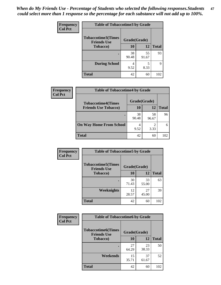| Frequency      | <b>Table of Tobaccotime3 by Grade</b>           |              |             |              |  |
|----------------|-------------------------------------------------|--------------|-------------|--------------|--|
| <b>Col Pct</b> | <b>Tobaccotime3(Times</b><br><b>Friends Use</b> | Grade(Grade) |             |              |  |
|                | <b>Tobacco</b> )                                | 10           | 12          | <b>Total</b> |  |
|                | ٠                                               | 38<br>90.48  | 55<br>91.67 | 93           |  |
|                | <b>During School</b>                            | 4<br>9.52    | 5<br>8.33   | 9            |  |
|                | <b>Total</b>                                    | 42           | 60          | 102          |  |

| Frequency      | <b>Table of Tobaccotime4 by Grade</b> |              |             |              |
|----------------|---------------------------------------|--------------|-------------|--------------|
| <b>Col Pct</b> | <b>Tobaccotime4(Times</b>             | Grade(Grade) |             |              |
|                | <b>Friends Use Tobacco)</b>           | 10           | 12          | <b>Total</b> |
|                |                                       | 38<br>90.48  | 58<br>96.67 | 96           |
|                | <b>On Way Home From School</b>        | 4<br>9.52    | 3.33        |              |
|                | <b>Total</b>                          | 42           | 60          | 102          |

| Frequency      | <b>Table of Tobaccotime5 by Grade</b>            |              |             |              |
|----------------|--------------------------------------------------|--------------|-------------|--------------|
| <b>Col Pct</b> | <b>Tobaccotime5</b> (Times<br><b>Friends Use</b> | Grade(Grade) |             |              |
|                | <b>Tobacco</b> )                                 | 10           | 12          | <b>Total</b> |
|                |                                                  | 30<br>71.43  | 33<br>55.00 | 63           |
|                | Weeknights                                       | 12<br>28.57  | 27<br>45.00 | 39           |
|                | <b>Total</b>                                     | 42           | 60          | 102          |

| Frequency<br><b>Col Pct</b> | <b>Table of Tobaccotime6 by Grade</b>                           |             |             |              |
|-----------------------------|-----------------------------------------------------------------|-------------|-------------|--------------|
|                             | <b>Tobaccotime6(Times</b><br>Grade(Grade)<br><b>Friends Use</b> |             |             |              |
|                             | <b>Tobacco</b> )                                                | 10          | 12          | <b>Total</b> |
|                             |                                                                 | 27<br>64.29 | 23<br>38.33 | 50           |
|                             | Weekends                                                        | 15<br>35.71 | 37<br>61.67 | 52           |
|                             | <b>Total</b>                                                    | 42          | 60          | 102          |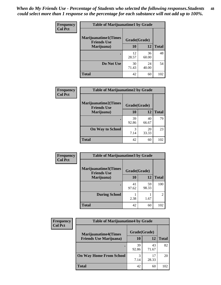| <b>Frequency</b> | <b>Table of Marijuanatime1 by Grade</b>           |              |             |              |
|------------------|---------------------------------------------------|--------------|-------------|--------------|
| <b>Col Pct</b>   | <b>Marijuanatime1(Times</b><br><b>Friends Use</b> | Grade(Grade) |             |              |
|                  | Marijuana)                                        | 10           | 12          | <b>Total</b> |
|                  |                                                   | 12<br>28.57  | 36<br>60.00 | 48           |
|                  | Do Not Use                                        | 30<br>71.43  | 24<br>40.00 | 54           |
|                  | <b>Total</b>                                      | 42           | 60          | 102          |

| Frequency      | <b>Table of Marijuanatime2 by Grade</b>           |              |             |              |
|----------------|---------------------------------------------------|--------------|-------------|--------------|
| <b>Col Pct</b> | <b>Marijuanatime2(Times</b><br><b>Friends Use</b> | Grade(Grade) |             |              |
|                | Marijuana)                                        | 10           | 12          | <b>Total</b> |
|                |                                                   | 39<br>92.86  | 40<br>66.67 | 79           |
|                | <b>On Way to School</b>                           | 3<br>7.14    | 20<br>33.33 | 23           |
|                | <b>Total</b>                                      | 42           | 60          | 102          |

| <b>Frequency</b> | <b>Table of Marijuanatime3 by Grade</b>    |              |             |                                                                                                                                                                 |
|------------------|--------------------------------------------|--------------|-------------|-----------------------------------------------------------------------------------------------------------------------------------------------------------------|
| <b>Col Pct</b>   | Marijuanatime3(Times<br><b>Friends Use</b> | Grade(Grade) |             |                                                                                                                                                                 |
|                  | Marijuana)                                 | 10           | 12          | <b>Total</b>                                                                                                                                                    |
|                  |                                            | 41<br>97.62  | 59<br>98.33 | 100                                                                                                                                                             |
|                  | <b>During School</b>                       | 2.38         | 1.67        | $\mathcal{D}_{\mathcal{A}}^{\mathcal{A}}(\mathcal{A})=\mathcal{D}_{\mathcal{A}}^{\mathcal{A}}(\mathcal{A})\mathcal{D}_{\mathcal{A}}^{\mathcal{A}}(\mathcal{A})$ |
|                  | <b>Total</b>                               | 42           | 60          | 102                                                                                                                                                             |

| <b>Frequency</b> | <b>Table of Marijuanatime4 by Grade</b> |              |             |              |
|------------------|-----------------------------------------|--------------|-------------|--------------|
| <b>Col Pct</b>   | <b>Marijuanatime4</b> (Times            | Grade(Grade) |             |              |
|                  | <b>Friends Use Marijuana</b> )          | 10           | 12          | <b>Total</b> |
|                  |                                         | 39<br>92.86  | 43<br>71.67 | 82           |
|                  | <b>On Way Home From School</b>          | 3<br>7.14    | 17<br>28.33 | 20           |
|                  | <b>Total</b>                            | 42           | 60          | 102          |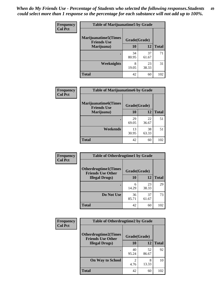| Frequency      | <b>Table of Marijuanatime5 by Grade</b>            |              |             |              |
|----------------|----------------------------------------------------|--------------|-------------|--------------|
| <b>Col Pct</b> | <b>Marijuanatime5</b> (Times<br><b>Friends Use</b> | Grade(Grade) |             |              |
|                | Marijuana)                                         | 10           | 12          | <b>Total</b> |
|                |                                                    | 34<br>80.95  | 37<br>61.67 | 71           |
|                | Weeknights                                         | 8<br>19.05   | 23<br>38.33 | 31           |
|                | <b>Total</b>                                       | 42           | 60          | 102          |

| Frequency      | <b>Table of Marijuanatime6 by Grade</b>            |              |             |              |
|----------------|----------------------------------------------------|--------------|-------------|--------------|
| <b>Col Pct</b> | <b>Marijuanatime6</b> (Times<br><b>Friends Use</b> | Grade(Grade) |             |              |
|                | Marijuana)                                         | 10           | 12          | <b>Total</b> |
|                |                                                    | 29<br>69.05  | 22<br>36.67 | 51           |
|                | Weekends                                           | 13<br>30.95  | 38<br>63.33 | 51           |
|                | <b>Total</b>                                       | 42           | 60          | 102          |

| <b>Frequency</b> | <b>Table of Otherdrugtime1 by Grade</b>                 |              |             |              |
|------------------|---------------------------------------------------------|--------------|-------------|--------------|
| <b>Col Pct</b>   | <b>Otherdrugtime1(Times</b><br><b>Friends Use Other</b> | Grade(Grade) |             |              |
|                  | <b>Illegal Drugs</b> )                                  | 10           | 12          | <b>Total</b> |
|                  |                                                         | 6<br>14.29   | 23<br>38.33 | 29           |
|                  | Do Not Use                                              | 36<br>85.71  | 37<br>61.67 | 73           |
|                  | <b>Total</b>                                            | 42           | 60          | 102          |

| <b>Frequency</b> | <b>Table of Otherdrugtime2 by Grade</b>                 |                                  |             |              |  |  |
|------------------|---------------------------------------------------------|----------------------------------|-------------|--------------|--|--|
| <b>Col Pct</b>   | <b>Otherdrugtime2(Times</b><br><b>Friends Use Other</b> | Grade(Grade)                     |             |              |  |  |
|                  | <b>Illegal Drugs</b> )                                  | 10                               | 12          | <b>Total</b> |  |  |
|                  |                                                         | 40<br>95.24                      | 52<br>86.67 | 92           |  |  |
|                  | <b>On Way to School</b>                                 | $\overline{\mathcal{L}}$<br>4.76 | 8<br>13.33  | 10           |  |  |
|                  | Total                                                   | 42                               | 60          | 102          |  |  |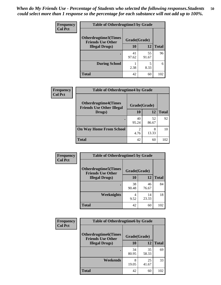| <b>Frequency</b> | <b>Table of Otherdrugtime3 by Grade</b>          |              |             |              |  |  |
|------------------|--------------------------------------------------|--------------|-------------|--------------|--|--|
| <b>Col Pct</b>   | Otherdrugtime3(Times<br><b>Friends Use Other</b> | Grade(Grade) |             |              |  |  |
|                  | <b>Illegal Drugs</b> )                           | 10           | 12          | <b>Total</b> |  |  |
|                  |                                                  | 41<br>97.62  | 55<br>91.67 | 96           |  |  |
|                  | <b>During School</b>                             | 2.38         | 5<br>8.33   | 6            |  |  |
|                  | Total                                            | 42           | 60          | 102          |  |  |

| Frequency      | <b>Table of Otherdrugtime4 by Grade</b>                         |                                  |             |              |  |  |
|----------------|-----------------------------------------------------------------|----------------------------------|-------------|--------------|--|--|
| <b>Col Pct</b> | <b>Otherdrugtime4(Times</b><br><b>Friends Use Other Illegal</b> | Grade(Grade)                     |             |              |  |  |
|                | Drugs)                                                          | 10                               | 12          | <b>Total</b> |  |  |
|                | ٠                                                               | 40<br>95.24                      | 52<br>86.67 | 92           |  |  |
|                | <b>On Way Home From School</b>                                  | $\overline{\mathcal{L}}$<br>4.76 | 8<br>13.33  | 10           |  |  |
|                | <b>Total</b>                                                    | 42                               | 60          | 102          |  |  |

| <b>Frequency</b><br><b>Col Pct</b> | <b>Table of Otherdrugtime5 by Grade</b>                  |              |             |              |  |  |
|------------------------------------|----------------------------------------------------------|--------------|-------------|--------------|--|--|
|                                    | <b>Otherdrugtime5</b> (Times<br><b>Friends Use Other</b> | Grade(Grade) |             |              |  |  |
|                                    | <b>Illegal Drugs</b> )                                   | 10           | 12          | <b>Total</b> |  |  |
|                                    |                                                          | 38<br>90.48  | 46<br>76.67 | 84           |  |  |
|                                    | <b>Weeknights</b>                                        | 4<br>9.52    | 14<br>23.33 | 18           |  |  |
|                                    | <b>Total</b>                                             | 42           | 60          | 102          |  |  |

| <b>Frequency</b> | <b>Table of Otherdrugtime6 by Grade</b>                 |              |             |              |  |  |
|------------------|---------------------------------------------------------|--------------|-------------|--------------|--|--|
| <b>Col Pct</b>   | <b>Otherdrugtime6(Times</b><br><b>Friends Use Other</b> | Grade(Grade) |             |              |  |  |
|                  | <b>Illegal Drugs</b> )                                  | 10           | 12          | <b>Total</b> |  |  |
|                  |                                                         | 34<br>80.95  | 35<br>58.33 | 69           |  |  |
|                  | Weekends                                                | 8<br>19.05   | 25<br>41.67 | 33           |  |  |
|                  | <b>Total</b>                                            | 42           | 60          | 102          |  |  |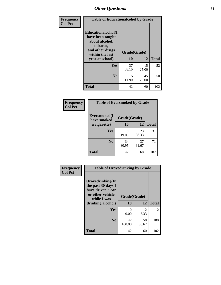| Frequency      | <b>Table of Educationalcohol by Grade</b>                                                                  |              |             |              |  |  |
|----------------|------------------------------------------------------------------------------------------------------------|--------------|-------------|--------------|--|--|
| <b>Col Pct</b> | Educationalcohol(I<br>have been taught<br>about alcohol,<br>tobacco,<br>and other drugs<br>within the last | Grade(Grade) |             |              |  |  |
|                | year at school)                                                                                            | 10           | 12          | <b>Total</b> |  |  |
|                | Yes                                                                                                        | 37<br>88.10  | 15<br>25.00 | 52           |  |  |
|                | N <sub>0</sub>                                                                                             | 5<br>11.90   | 45<br>75.00 | 50           |  |  |
|                | <b>Total</b>                                                                                               | 42           | 60          | 102          |  |  |

| Frequency      | <b>Table of Eversmoked by Grade</b>         |             |             |              |  |  |  |
|----------------|---------------------------------------------|-------------|-------------|--------------|--|--|--|
| <b>Col Pct</b> | Eversmoked(I<br>Grade(Grade)<br>have smoked |             |             |              |  |  |  |
|                | a cigarette)                                | 10          | 12          | <b>Total</b> |  |  |  |
|                | Yes                                         | 8<br>19.05  | 23<br>38.33 | 31           |  |  |  |
|                | N <sub>0</sub>                              | 34<br>80.95 | 37<br>61.67 | 71           |  |  |  |
|                | <b>Total</b>                                | 42          | 60          | 102          |  |  |  |

| Frequency<br><b>Col Pct</b> | <b>Table of Drovedrinking by Grade</b>                                                                                                    |              |                        |              |  |  |
|-----------------------------|-------------------------------------------------------------------------------------------------------------------------------------------|--------------|------------------------|--------------|--|--|
|                             | Drovedrinking(In<br>the past 30 days I<br>have driven a car<br>or other vehicle<br>Grade(Grade)<br>while I was<br>10<br>drinking alcohol) |              | 12                     | <b>Total</b> |  |  |
|                             | <b>Yes</b>                                                                                                                                | 0<br>0.00    | $\mathfrak{D}$<br>3.33 | 2            |  |  |
|                             | N <sub>0</sub>                                                                                                                            | 42<br>100.00 | 58<br>96.67            | 100          |  |  |
|                             | <b>Total</b>                                                                                                                              | 42           | 60                     | 102          |  |  |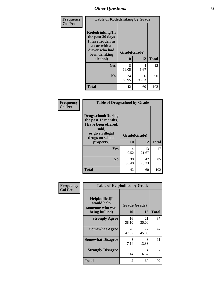| Frequency      | <b>Table of Rodedrinking by Grade</b>                                                                      |              |             |              |  |  |
|----------------|------------------------------------------------------------------------------------------------------------|--------------|-------------|--------------|--|--|
| <b>Col Pct</b> | Rodedrinking(In<br>the past 30 days<br>I have ridden in<br>a car with a<br>driver who had<br>been drinking | Grade(Grade) |             |              |  |  |
|                | alcohol)                                                                                                   | 10           | 12          | <b>Total</b> |  |  |
|                | <b>Yes</b>                                                                                                 | 8<br>19.05   | 4<br>6.67   | 12           |  |  |
|                | N <sub>0</sub>                                                                                             | 34<br>80.95  | 56<br>93.33 | 90           |  |  |
|                | <b>Total</b>                                                                                               | 42           | 60          | 102          |  |  |

#### **Frequency Col Pct**

| <b>Table of Drugsschool by Grade</b>                                                                                      |              |             |              |  |  |  |  |
|---------------------------------------------------------------------------------------------------------------------------|--------------|-------------|--------------|--|--|--|--|
| <b>Drugsschool</b> (During<br>the past 12 months,<br>I have been offered,<br>sold,<br>or given illegal<br>drugs on school | Grade(Grade) |             |              |  |  |  |  |
| property)                                                                                                                 | 10           | 12          | <b>Total</b> |  |  |  |  |
| Yes                                                                                                                       | 4<br>9.52    | 13<br>21.67 | 17           |  |  |  |  |
| N <sub>0</sub>                                                                                                            | 38<br>90.48  | 47<br>78.33 | 85           |  |  |  |  |
| Total                                                                                                                     | 42           | 60          | 102          |  |  |  |  |

| Frequency      | <b>Table of Helpbullied by Grade</b>                                   |                           |             |              |
|----------------|------------------------------------------------------------------------|---------------------------|-------------|--------------|
| <b>Col Pct</b> | $Helpb$ ullied $(I$<br>would help<br>someone who was<br>being bullied) | Grade(Grade)<br><b>10</b> | 12          | <b>Total</b> |
|                |                                                                        |                           |             |              |
|                | <b>Strongly Agree</b>                                                  | 16<br>38.10               | 21<br>35.00 | 37           |
|                | <b>Somewhat Agree</b>                                                  | 20<br>47.62               | 27<br>45.00 | 47           |
|                | <b>Somewhat Disagree</b>                                               | 3<br>7.14                 | 8<br>13.33  | 11           |
|                | <b>Strongly Disagree</b>                                               | 3<br>7.14                 | 4<br>6.67   | 7            |
|                | <b>Total</b>                                                           | 42                        | 60          | 102          |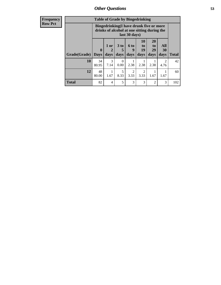| Frequency      | <b>Table of Grade by Bingedrinking</b>                                                                  |                             |                     |                              |                        |                                         |                               |                        |              |
|----------------|---------------------------------------------------------------------------------------------------------|-----------------------------|---------------------|------------------------------|------------------------|-----------------------------------------|-------------------------------|------------------------|--------------|
| <b>Row Pct</b> | Bingedrinking(I have drunk five or more<br>drinks of alcohol at one sitting during the<br>last 30 days) |                             |                     |                              |                        |                                         |                               |                        |              |
|                | Grade(Grade)                                                                                            | $\mathbf{0}$<br><b>Days</b> | $1$ or<br>2<br>days | 3 <sub>to</sub><br>5<br>days | 6 to<br>9<br>days      | <b>10</b><br>$\mathbf{t}$<br>19<br>days | <b>20</b><br>to<br>29<br>days | All<br>30<br>days      | <b>Total</b> |
|                | <b>10</b>                                                                                               | 34<br>80.95                 | 3<br>7.14           | $\Omega$<br>0.00             | 2.38                   | 2.38                                    | 2.38                          | $\mathfrak{D}$<br>4.76 | 42           |
|                | 12                                                                                                      | 48<br>80.00                 | 1.67                | 5<br>8.33                    | $\overline{2}$<br>3.33 | 2<br>3.33                               | 1.67                          | 1.67                   | 60           |
|                | <b>Total</b>                                                                                            | 82                          | 4                   | 5                            | 3                      | 3                                       | $\overline{2}$                | 3                      | 102          |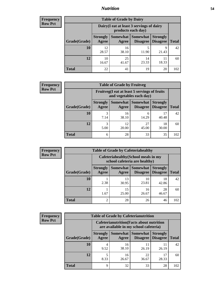## *Nutrition* **54**

| <b>Frequency</b><br>Row Pct |
|-----------------------------|
|                             |

| <b>Table of Grade by Dairy</b> |                          |                                                                 |                             |                                    |              |  |  |
|--------------------------------|--------------------------|-----------------------------------------------------------------|-----------------------------|------------------------------------|--------------|--|--|
|                                |                          | Dairy (I eat at least 3 servings of dairy<br>products each day) |                             |                                    |              |  |  |
| Grade(Grade)                   | <b>Strongly</b><br>Agree | Somewhat  <br>Agree                                             | <b>Somewhat</b><br>Disagree | <b>Strongly</b><br><b>Disagree</b> | <b>Total</b> |  |  |
| 10                             | 12.<br>28.57             | 16<br>38.10                                                     | 5<br>11.90                  | 9<br>21.43                         | 42           |  |  |
| 12                             | 10<br>16.67              | 25<br>41.67                                                     | 14<br>23.33                 | 18.33                              | 60           |  |  |
| <b>Total</b>                   | 22                       | 41                                                              | 19                          | 20                                 | 102          |  |  |

| Frequency      | <b>Table of Grade by Fruitveg</b> |                          |                                                                          |                 |                                    |              |  |  |
|----------------|-----------------------------------|--------------------------|--------------------------------------------------------------------------|-----------------|------------------------------------|--------------|--|--|
| <b>Row Pct</b> |                                   |                          | Fruitveg(I eat at least 5 servings of fruits<br>and vegetables each day) |                 |                                    |              |  |  |
|                | Grade(Grade)                      | <b>Strongly</b><br>Agree | <b>Somewhat Somewhat</b><br>Agree                                        | <b>Disagree</b> | <b>Strongly</b><br><b>Disagree</b> | <b>Total</b> |  |  |
|                | 10                                | 3<br>7.14                | 16<br>38.10                                                              | 6<br>14.29      | 17<br>40.48                        | 42           |  |  |
|                | 12                                | 3<br>5.00                | 12<br>20.00                                                              | 27<br>45.00     | 18<br>30.00                        | 60           |  |  |
|                | <b>Total</b>                      | 6                        | 28                                                                       | 33              | 35                                 | 102          |  |  |

| Frequency      | <b>Table of Grade by Cafeteriahealthy</b> |                                                                       |             |                                      |                                    |              |  |  |
|----------------|-------------------------------------------|-----------------------------------------------------------------------|-------------|--------------------------------------|------------------------------------|--------------|--|--|
| <b>Row Pct</b> |                                           | Cafeteriahealthy (School meals in my<br>school cafeteria are healthy) |             |                                      |                                    |              |  |  |
|                | Grade(Grade)                              | <b>Strongly</b><br>Agree                                              | Agree       | Somewhat Somewhat<br><b>Disagree</b> | <b>Strongly</b><br><b>Disagree</b> | <b>Total</b> |  |  |
|                | 10                                        | 2.38                                                                  | 13<br>30.95 | 10<br>23.81                          | 18<br>42.86                        | 42           |  |  |
|                | 12                                        | 1.67                                                                  | 15<br>25.00 | 16<br>26.67                          | 28<br>46.67                        | 60           |  |  |
|                | <b>Total</b>                              | $\overline{2}$                                                        | 28          | 26                                   | 46                                 | 102          |  |  |

| <b>Frequency</b> | <b>Table of Grade by Cafeterianutrition</b> |                          |                                                                                           |                                          |                                    |              |  |  |
|------------------|---------------------------------------------|--------------------------|-------------------------------------------------------------------------------------------|------------------------------------------|------------------------------------|--------------|--|--|
| <b>Row Pct</b>   |                                             |                          | <b>Cafeterianutrition</b> (Facts about nutrition<br>are available in my school cafeteria) |                                          |                                    |              |  |  |
|                  | Grade(Grade)                                | <b>Strongly</b><br>Agree | Agree                                                                                     | Somewhat   Somewhat  <br><b>Disagree</b> | <b>Strongly</b><br><b>Disagree</b> | <b>Total</b> |  |  |
|                  | 10                                          | 9.52                     | 16<br>38.10                                                                               | 11<br>26.19                              | 26.19                              | 42           |  |  |
|                  | 12                                          | 8.33                     | 16<br>26.67                                                                               | 22<br>36.67                              | 17<br>28.33                        | 60           |  |  |
|                  | <b>Total</b>                                | 9                        | 32                                                                                        | 33                                       | 28                                 | 102          |  |  |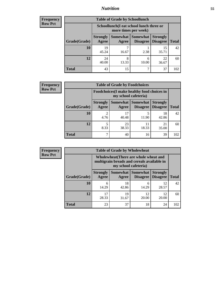## *Nutrition* **55**

| <b>Frequency</b> |
|------------------|
| Row Pct          |

| <b>Table of Grade by Schoollunch</b> |                                                                 |            |                               |                                    |              |  |  |
|--------------------------------------|-----------------------------------------------------------------|------------|-------------------------------|------------------------------------|--------------|--|--|
|                                      | Schoollunch(I eat school lunch three or<br>more times per week) |            |                               |                                    |              |  |  |
| Grade(Grade)                         | <b>Strongly</b><br>Agree                                        | Agree      | Somewhat Somewhat<br>Disagree | <b>Strongly</b><br><b>Disagree</b> | <b>Total</b> |  |  |
| 10                                   | 19<br>45.24                                                     | 16.67      | 2.38                          | 15<br>35.71                        | 42           |  |  |
| 12                                   | 24<br>40.00                                                     | 8<br>13.33 | 6<br>10.00                    | 22<br>36.67                        | 60           |  |  |
| <b>Total</b>                         | 43                                                              | 15         | ℸ                             | 37                                 | 102          |  |  |

| Frequency      | <b>Table of Grade by Foodchoices</b> |                                                                            |                     |                      |                                    |              |  |  |
|----------------|--------------------------------------|----------------------------------------------------------------------------|---------------------|----------------------|------------------------------------|--------------|--|--|
| <b>Row Pct</b> |                                      | <b>Foodchoices</b> (I make healthy food choices in<br>my school cafeteria) |                     |                      |                                    |              |  |  |
|                | Grade(Grade)                         | <b>Strongly</b><br>Agree                                                   | Somewhat  <br>Agree | Somewhat<br>Disagree | <b>Strongly</b><br><b>Disagree</b> | <b>Total</b> |  |  |
|                | 10                                   | 4.76                                                                       | 17<br>40.48         | 11.90                | 18<br>42.86                        | 42           |  |  |
|                | 12                                   | 8.33                                                                       | 23<br>38.33         | 18.33                | 21<br>35.00                        | 60           |  |  |
|                | <b>Total</b>                         | ┑                                                                          | 40                  | 16                   | 39                                 | 102          |  |  |

| Frequency      | <b>Table of Grade by Wholewheat</b> |                                                                                                             |             |                                        |                                    |              |  |
|----------------|-------------------------------------|-------------------------------------------------------------------------------------------------------------|-------------|----------------------------------------|------------------------------------|--------------|--|
| <b>Row Pct</b> |                                     | Wholewheat (There are whole wheat and<br>multigrain breads and cereals available in<br>my school cafeteria) |             |                                        |                                    |              |  |
|                | Grade(Grade)                        | <b>Strongly</b><br>Agree                                                                                    | Agree       | Somewhat   Somewhat<br><b>Disagree</b> | <b>Strongly</b><br><b>Disagree</b> | <b>Total</b> |  |
|                | 10                                  | 6<br>14.29                                                                                                  | 18<br>42.86 | 6<br>14.29                             | 12<br>28.57                        | 42           |  |
|                | 12                                  | 17<br>28.33                                                                                                 | 19<br>31.67 | 12<br>20.00                            | 12<br>20.00                        | 60           |  |
|                | <b>Total</b>                        | 23                                                                                                          | 37          | 18                                     | 24                                 | 102          |  |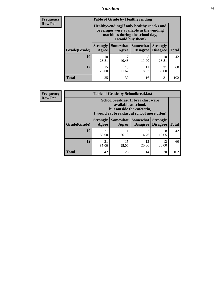## *Nutrition* **56**

**Frequency Row Pct**

| <b>Table of Grade by Healthyvending</b> |                                                                                                                                               |                     |                             |                                    |              |  |  |
|-----------------------------------------|-----------------------------------------------------------------------------------------------------------------------------------------------|---------------------|-----------------------------|------------------------------------|--------------|--|--|
|                                         | Healthyvending (If only healthy snacks and<br>beverages were available in the vending<br>machines during the school day,<br>I would buy them) |                     |                             |                                    |              |  |  |
| Grade(Grade)                            | <b>Strongly</b><br>Agree                                                                                                                      | Somewhat  <br>Agree | Somewhat<br><b>Disagree</b> | <b>Strongly</b><br><b>Disagree</b> | <b>Total</b> |  |  |
| 10                                      | 10<br>23.81                                                                                                                                   | 17<br>40.48         | 5<br>11.90                  | 10<br>23.81                        | 42           |  |  |
| 12                                      | 15<br>25.00                                                                                                                                   | 13<br>21.67         | 11<br>18.33                 | 21<br>35.00                        | 60           |  |  |
| <b>Total</b>                            | 25                                                                                                                                            | 30                  | 16                          | 31                                 | 102          |  |  |

**Frequency Row Pct**

| <b>Table of Grade by Schoolbreakfast</b> |                                                                                                                                        |             |                                               |                                    |              |  |  |
|------------------------------------------|----------------------------------------------------------------------------------------------------------------------------------------|-------------|-----------------------------------------------|------------------------------------|--------------|--|--|
|                                          | Schoolbreakfast(If breakfast were<br>available at school,<br>but outside the cafeteria,<br>I would eat breakfast at school more often) |             |                                               |                                    |              |  |  |
| Grade(Grade)                             | <b>Strongly</b><br><b>Agree</b>                                                                                                        | Agree       | <b>Somewhat   Somewhat</b><br><b>Disagree</b> | <b>Strongly</b><br><b>Disagree</b> | <b>Total</b> |  |  |
| 10                                       | 21<br>50.00                                                                                                                            | 11<br>26.19 | 2<br>4.76                                     | 8<br>19.05                         | 42           |  |  |
| 12                                       | 21<br>35.00                                                                                                                            | 15<br>25.00 | 12<br>20.00                                   | 12<br>20.00                        | 60           |  |  |
| <b>Total</b>                             | 42                                                                                                                                     | 26          | 14                                            | 20                                 | 102          |  |  |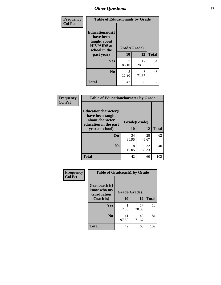| Frequency<br><b>Col Pct</b> | <b>Table of Educationaids by Grade</b>                                                                    |                    |             |              |  |
|-----------------------------|-----------------------------------------------------------------------------------------------------------|--------------------|-------------|--------------|--|
|                             | <b>Educationaids</b> (I<br>have been<br>taught about<br><b>HIV/AIDS</b> at<br>school in the<br>past year) | Grade(Grade)<br>10 | 12          | <b>Total</b> |  |
|                             | <b>Yes</b>                                                                                                | 37<br>88.10        | 17<br>28.33 | 54           |  |
|                             | N <sub>0</sub>                                                                                            | 5<br>11.90         | 43<br>71.67 | 48           |  |
|                             | <b>Total</b>                                                                                              | 42                 | 60          | 102          |  |

| Frequency      | <b>Table of Educationcharacter by Grade</b>                         |              |           |              |
|----------------|---------------------------------------------------------------------|--------------|-----------|--------------|
| <b>Col Pct</b> | <b>Educationcharacter(I)</b><br>have been taught<br>about character | Grade(Grade) |           |              |
|                | education in the past                                               | 10           |           |              |
|                | year at school)                                                     |              | <b>12</b> | <b>Total</b> |
|                | Yes                                                                 | 34           | 28        | 62           |
|                |                                                                     | 80.95        | 46.67     |              |
|                | N <sub>0</sub>                                                      | 8            | 32        | 40           |
|                |                                                                     | 19.05        | 53.33     |              |
|                | <b>Total</b>                                                        | 42           | 60        | 102          |

| Frequency      | <b>Table of Gradcoach1 by Grade</b>              |              |             |              |
|----------------|--------------------------------------------------|--------------|-------------|--------------|
| <b>Col Pct</b> | Gradcoach1(I<br>know who my<br><b>Graduation</b> | Grade(Grade) |             |              |
|                | Coach is)                                        | 10           | 12          | <b>Total</b> |
|                | Yes                                              | 2.38         | 17<br>28.33 | 18           |
|                | N <sub>0</sub>                                   | 41<br>97.62  | 43<br>71.67 | 84           |
|                | <b>Total</b>                                     | 42           | 60          | 102          |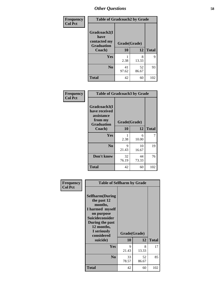| Frequency      | <b>Table of Gradcoach2 by Grade</b> |              |             |              |
|----------------|-------------------------------------|--------------|-------------|--------------|
| <b>Col Pct</b> |                                     |              |             |              |
|                | Gradcoach2(I<br>have                |              |             |              |
|                | contacted my<br><b>Graduation</b>   | Grade(Grade) |             |              |
|                | Coach)                              | 10           | 12          | <b>Total</b> |
|                | Yes                                 | 2.38         | 8<br>13.33  | 9            |
|                | N <sub>0</sub>                      | 41<br>97.62  | 52<br>86.67 | 93           |
|                | <b>Total</b>                        | 42           | 60          | 102          |

| Frequency<br><b>Col Pct</b> | <b>Table of Gradcoach3 by Grade</b>                                         |              |             |              |
|-----------------------------|-----------------------------------------------------------------------------|--------------|-------------|--------------|
|                             | Gradcoach3(I<br>have received<br>assistance<br>from my<br><b>Graduation</b> | Grade(Grade) |             |              |
|                             | Coach)                                                                      | 10           | 12          | <b>Total</b> |
|                             | <b>Yes</b>                                                                  | 2.38         | 6<br>10.00  | 7            |
|                             | N <sub>0</sub>                                                              | 9<br>21.43   | 10<br>16.67 | 19           |
|                             | Don't know                                                                  | 32<br>76.19  | 44<br>73.33 | 76           |
|                             | <b>Total</b>                                                                | 42           | 60          | 102          |

| Frequency      | <b>Table of Selfharm by Grade</b>                                                                                                                                                      |                    |             |              |
|----------------|----------------------------------------------------------------------------------------------------------------------------------------------------------------------------------------|--------------------|-------------|--------------|
| <b>Col Pct</b> | <b>Selfharm</b> (During<br>the past 12<br>months,<br>I harmed myself<br>on purpose<br><b>Suicideconsider</b><br>During the past<br>12 months,<br>I seriously<br>considered<br>suicide) | Grade(Grade)<br>10 | 12          | <b>Total</b> |
|                | Yes                                                                                                                                                                                    | 9<br>21.43         | 8<br>13.33  | 17           |
|                | N <sub>0</sub>                                                                                                                                                                         | 33<br>78.57        | 52<br>86.67 | 85           |
|                | <b>Total</b>                                                                                                                                                                           | 42                 | 60          | 102          |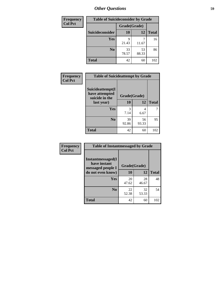| <b>Frequency</b> | <b>Table of Suicideconsider by Grade</b> |              |             |              |
|------------------|------------------------------------------|--------------|-------------|--------------|
| <b>Col Pct</b>   |                                          | Grade(Grade) |             |              |
|                  | Suicideconsider                          | <b>10</b>    | 12          | <b>Total</b> |
|                  | <b>Yes</b>                               | 21.43        | 11.67       | 16           |
|                  | N <sub>0</sub>                           | 33<br>78.57  | 53<br>88.33 | 86           |
|                  | <b>Total</b>                             | 42           | 60          | 102          |

| Frequency      | <b>Table of Suicideattempt by Grade</b>              |              |             |              |
|----------------|------------------------------------------------------|--------------|-------------|--------------|
| <b>Col Pct</b> | Suicideattempt(I<br>have attempted<br>suicide in the | Grade(Grade) |             |              |
|                | last year)                                           | 10           | 12          | <b>Total</b> |
|                | Yes                                                  | 3<br>7.14    | 4<br>6.67   | 7            |
|                | $\bf No$                                             | 39<br>92.86  | 56<br>93.33 | 95           |
|                | <b>Total</b>                                         | 42           | 60          | 102          |

| Frequency      | <b>Table of Instantmessaged by Grade</b>                |              |             |              |
|----------------|---------------------------------------------------------|--------------|-------------|--------------|
| <b>Col Pct</b> | Instantmessaged(I)<br>have instant<br>messaged people I | Grade(Grade) |             |              |
|                | do not even know)                                       | 10           | 12          | <b>Total</b> |
|                | Yes                                                     | 20<br>47.62  | 28<br>46.67 | 48           |
|                | N <sub>0</sub>                                          | 22<br>52.38  | 32<br>53.33 | 54           |
|                | <b>Total</b>                                            | 42           | 60          | 102          |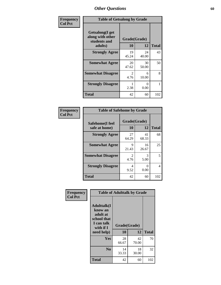| Frequency      |                                                             | <b>Table of Getsalong by Grade</b> |              |              |  |
|----------------|-------------------------------------------------------------|------------------------------------|--------------|--------------|--|
| <b>Col Pct</b> | <b>Getsalong</b> (I get<br>along with other<br>students and |                                    | Grade(Grade) |              |  |
|                | adults)                                                     | 10                                 | 12           | <b>Total</b> |  |
|                | <b>Strongly Agree</b>                                       | 19<br>45.24                        | 24<br>40.00  | 43           |  |
|                | <b>Somewhat Agree</b>                                       | 20<br>47.62                        | 30<br>50.00  | 50           |  |
|                | <b>Somewhat Disagree</b>                                    | 2<br>4.76                          | 6<br>10.00   | 8            |  |
|                | <b>Strongly Disagree</b>                                    | 2.38                               | 0<br>0.00    |              |  |
|                | <b>Total</b>                                                | 42                                 | 60           | 102          |  |

| Frequency      | <b>Table of Safehome by Grade</b> |                        |             |              |
|----------------|-----------------------------------|------------------------|-------------|--------------|
| <b>Col Pct</b> | Safehome(I feel<br>safe at home)  | Grade(Grade)<br>10     | 12          | <b>Total</b> |
|                | <b>Strongly Agree</b>             | 27<br>64.29            | 41<br>68.33 | 68           |
|                | <b>Somewhat Agree</b>             | 9<br>21.43             | 16<br>26.67 | 25           |
|                | <b>Somewhat Disagree</b>          | $\overline{2}$<br>4.76 | 3<br>5.00   | 5            |
|                | <b>Strongly Disagree</b>          | 4<br>9.52              | 0<br>0.00   | 4            |
|                | <b>Total</b>                      | 42                     | 60          | 102          |

| Frequency      | <b>Table of Adulttalk by Grade</b>                                                   |              |             |              |
|----------------|--------------------------------------------------------------------------------------|--------------|-------------|--------------|
| <b>Col Pct</b> | <b>Adulttalk</b> (I<br>know an<br>adult at<br>school that<br>I can talk<br>with if I | Grade(Grade) |             |              |
|                | need help)                                                                           | 10           | 12          | <b>Total</b> |
|                | <b>Yes</b>                                                                           | 28<br>66.67  | 42<br>70.00 | 70           |
|                | N <sub>0</sub>                                                                       | 14<br>33.33  | 18<br>30.00 | 32           |
|                | <b>Total</b>                                                                         | 42           | 60          | 102          |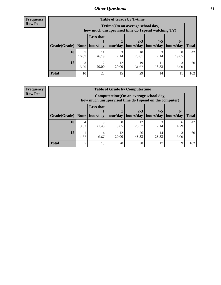| <b>Frequency</b> |
|------------------|
| <b>Row Pct</b>   |

| <b>Table of Grade by Tytime</b> |            |                                                                                                                                                                                                                                              |             |             |           |            |     |  |  |
|---------------------------------|------------|----------------------------------------------------------------------------------------------------------------------------------------------------------------------------------------------------------------------------------------------|-------------|-------------|-----------|------------|-----|--|--|
|                                 |            | Tvtime(On an average school day,<br>how much unsupervised time do I spend watching TV)<br><b>Less that</b><br>$2 - 3$<br>$4 - 5$<br>$6+$<br>Grade(Grade)   None   hour/day   hour/day<br>hours/day<br>hours/day<br>hours/day<br><b>Total</b> |             |             |           |            |     |  |  |
|                                 |            |                                                                                                                                                                                                                                              |             |             |           |            |     |  |  |
| 10                              | 7<br>16.67 | 11<br>26.19                                                                                                                                                                                                                                  | 3<br>7.14   | 10<br>23.81 | 3<br>7.14 | 8<br>19.05 | 42  |  |  |
| 12                              | 3<br>5.00  | 12<br>20.00                                                                                                                                                                                                                                  | 12<br>20.00 | 19<br>31.67 | 18.33     | 5.00       | 60  |  |  |
| <b>Total</b>                    | 10         | 23                                                                                                                                                                                                                                           | 15          | 29          | 14        |            | 102 |  |  |

**Frequency Row Pct**

| <b>Table of Grade by Computertime</b> |           |                                                                                                  |             |             |                                  |                   |              |  |  |
|---------------------------------------|-----------|--------------------------------------------------------------------------------------------------|-------------|-------------|----------------------------------|-------------------|--------------|--|--|
|                                       |           | Computertime(On an average school day,<br>how much unsupervised time do I spend on the computer) |             |             |                                  |                   |              |  |  |
| Grade(Grade)                          | None      | <b>Less that</b><br>hour/day                                                                     | hour/day    | $2 - 3$     | $4 - 5$<br>hours/day   hours/day | $6+$<br>hours/day | <b>Total</b> |  |  |
|                                       |           |                                                                                                  |             |             |                                  |                   |              |  |  |
| 10                                    | 4<br>9.52 | 9<br>21.43                                                                                       | 8<br>19.05  | 12<br>28.57 | 7.14                             | h<br>14.29        | 42           |  |  |
| 12                                    | 1.67      | 4<br>6.67                                                                                        | 12<br>20.00 | 26<br>43.33 | 14<br>23.33                      | 5.00              | 60           |  |  |
| <b>Total</b>                          |           | 13                                                                                               | 20          | 38          | 17                               | 9                 | 102          |  |  |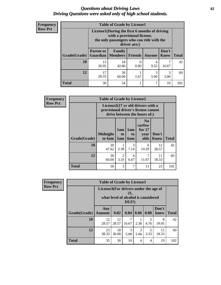#### *Questions about Driving Laws* **62** *Driving Questions were asked only of high school students.*

| <b>Frequency</b> |
|------------------|
| <b>Row Pct</b>   |

| <b>Table of Grade by License1</b> |                  |                                                                                                                                           |         |           |               |              |  |  |  |
|-----------------------------------|------------------|-------------------------------------------------------------------------------------------------------------------------------------------|---------|-----------|---------------|--------------|--|--|--|
|                                   |                  | License1(During the first 6 months of driving<br>with a provisional license,<br>the only passengers who can ride with the<br>driver are:) |         |           |               |              |  |  |  |
| Grade(Grade)                      | <b>Parent or</b> | Family<br><b>Guardian</b>   Members                                                                                                       | Friends | Anyone    | Don't<br>Know | <b>Total</b> |  |  |  |
| 10                                | 13<br>30.95      | 18<br>42.86                                                                                                                               | 0.00    | 4<br>9.52 | ⇁<br>16.67    | 42           |  |  |  |
| 12                                | 17<br>28.33      | 36<br>60.00                                                                                                                               | 1.67    | 3<br>5.00 | 3<br>5.00     | 60           |  |  |  |
| Total                             | 30               | 54                                                                                                                                        |         | 7         | 10            | 102          |  |  |  |

| <b>Frequency</b> | <b>Table of Grade by License2</b> |                                                                                                          |                              |                              |                                                      |                      |              |  |  |
|------------------|-----------------------------------|----------------------------------------------------------------------------------------------------------|------------------------------|------------------------------|------------------------------------------------------|----------------------|--------------|--|--|
| <b>Row Pct</b>   |                                   | License2(17 yr old drivers with a<br>provisional driver's license cannot<br>drive between the hours of:) |                              |                              |                                                      |                      |              |  |  |
|                  | <b>Grade(Grade)</b>               | <b>Midnight</b><br>to 6am                                                                                | 1am<br>t <sub>0</sub><br>5am | 1am<br>t <sub>0</sub><br>6am | N <sub>0</sub><br>curfew<br>for $17$<br>year<br>olds | Don't<br><b>Know</b> | <b>Total</b> |  |  |
|                  | 10                                | 20<br>47.62                                                                                              | 2.38                         | 3<br>7.14                    | 6<br>14.29                                           | 12<br>28.57          | 42           |  |  |
|                  | 12                                | 36<br>60.00                                                                                              | $\overline{2}$<br>3.33       | 4<br>6.67                    | 7<br>11.67                                           | 11<br>18.33          | 60           |  |  |
|                  | <b>Total</b>                      | 56                                                                                                       | 3                            | 7                            | 13                                                   | 23                   | 102          |  |  |

| Frequency      |              | <b>Table of Grade by License3</b>     |             |                                                        |           |                        |               |              |  |
|----------------|--------------|---------------------------------------|-------------|--------------------------------------------------------|-----------|------------------------|---------------|--------------|--|
| <b>Row Pct</b> |              | License3(For drivers under the age of |             | 21,<br>what level of alcohol is considered<br>$DUI$ ?) |           |                        |               |              |  |
|                | Grade(Grade) | Any<br><b>Amount</b>                  | 0.02        | 0.04                                                   | 0.06      | 0.08                   | Don't<br>know | <b>Total</b> |  |
|                | 10           | 12<br>28.57                           | 12<br>28.57 | 7<br>16.67                                             | 2.38      | 2<br>4.76              | 8<br>19.05    | 42           |  |
|                | 12           | 23<br>38.33                           | 18<br>30.00 | 3<br>5.00                                              | 3<br>5.00 | $\mathfrak{D}$<br>3.33 | 11<br>18.33   | 60           |  |
|                | <b>Total</b> | 35                                    | 30          | 10                                                     | 4         | 4                      | 19            | 102          |  |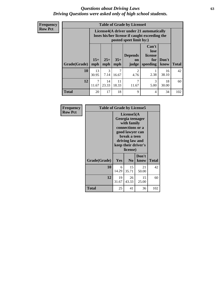#### *Questions about Driving Laws* **63** *Driving Questions were asked only of high school students.*

**Frequency Row Pct**

| <b>Table of Grade by License4</b> |                         |                                                                                                                                                      |             |                        |           |             |     |  |  |
|-----------------------------------|-------------------------|------------------------------------------------------------------------------------------------------------------------------------------------------|-------------|------------------------|-----------|-------------|-----|--|--|
|                                   |                         | License4(A driver under 21 automatically<br>loses his/her license if caught exceeding the<br>posted speet limit by:)                                 |             |                        |           |             |     |  |  |
| Grade(Grade)                      | $15+$<br>mph            | Can't<br>lose<br><b>Depends</b><br>license<br>$25+$<br>$35+$<br>Don't<br>for<br><b>on</b><br><b>Total</b><br>speeding<br>mph<br>know<br>mph<br>judge |             |                        |           |             |     |  |  |
| 10                                | 13<br>30.95             | $\mathcal{R}$<br>7.14                                                                                                                                | 7<br>16.67  | $\overline{2}$<br>4.76 | 2.38      | 16<br>38.10 | 42  |  |  |
| 12                                | $\overline{7}$<br>11.67 | 14<br>23.33                                                                                                                                          | 11<br>18.33 | 7<br>11.67             | 3<br>5.00 | 18<br>30.00 | 60  |  |  |
| <b>Total</b>                      | 20                      | 17                                                                                                                                                   | 18          | 9                      | 4         | 34          | 102 |  |  |

| Frequency      | <b>Table of Grade by License5</b> |             |                                                                                                                                                             |               |       |
|----------------|-----------------------------------|-------------|-------------------------------------------------------------------------------------------------------------------------------------------------------------|---------------|-------|
| <b>Row Pct</b> |                                   |             | License5(A)<br>Georgia teenager<br>with family<br>connections or a<br>good lawyer can<br>break a teen<br>driving law and<br>keep their driver's<br>license) |               |       |
|                | Grade(Grade)                      | Yes         | N <sub>0</sub>                                                                                                                                              | Don't<br>know | Total |
|                | 10                                | 6<br>14.29  | 15<br>35.71                                                                                                                                                 | 21<br>50.00   | 42    |
|                | 12                                | 19<br>31.67 | 26<br>43.33                                                                                                                                                 | 15<br>25.00   | 60    |
|                | <b>Total</b>                      | 25          | 41                                                                                                                                                          | 36            | 102   |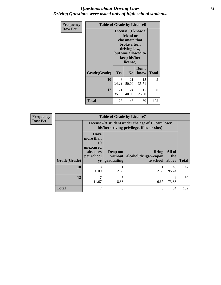#### *Questions about Driving Laws* **64** *Driving Questions were asked only of high school students.*

| <b>Frequency</b> | <b>Table of Grade by License6</b> |                                        |                                                                                                                                                 |              |     |
|------------------|-----------------------------------|----------------------------------------|-------------------------------------------------------------------------------------------------------------------------------------------------|--------------|-----|
| <b>Row Pct</b>   |                                   |                                        | License <sub>6</sub> (I know a<br>friend or<br>classmate that<br>broke a teen<br>driving law,<br>but was allowed to<br>keep his/her<br>license) |              |     |
|                  | Grade(Grade)                      | Don't<br>Yes<br>N <sub>0</sub><br>know |                                                                                                                                                 | <b>Total</b> |     |
|                  | 10                                | 6<br>14.29                             | 21<br>50.00                                                                                                                                     | 15<br>35.71  | 42  |
|                  | 12                                | 21<br>35.00                            | 24<br>40.00                                                                                                                                     | 15<br>25.00  | 60  |
|                  | Total                             | 27                                     | 45                                                                                                                                              | 30           | 102 |

| <b>Frequency</b> |              |                                                                                               | <b>Table of Grade by License7</b> |                                            |                        |              |
|------------------|--------------|-----------------------------------------------------------------------------------------------|-----------------------------------|--------------------------------------------|------------------------|--------------|
| <b>Row Pct</b>   |              | License7(A student under the age of 18 cam loser<br>his/her driving privileges if he or she:) |                                   |                                            |                        |              |
|                  | Grade(Grade) | <b>Have</b><br>more than<br>10<br>unexcused<br>absences<br>per school<br>yr                   | Drop out<br>without<br>graduating | Bring<br>alcohol/drugs/weapon<br>to school | All of<br>the<br>above | <b>Total</b> |
|                  | 10           | $\Omega$<br>0.00                                                                              | 2.38                              | 2.38                                       | 40<br>95.24            | 42           |
|                  | 12           | 11.67                                                                                         | 5<br>8.33                         | 4<br>6.67                                  | 44<br>73.33            | 60           |
|                  | <b>Total</b> | 7                                                                                             | 6                                 |                                            | 84                     | 102          |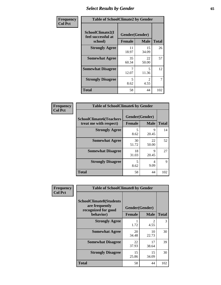# *Select Results by Gender* **65**

| Frequency      | <b>Table of SchoolClimate2 by Gender</b>          |                                 |                       |              |  |  |
|----------------|---------------------------------------------------|---------------------------------|-----------------------|--------------|--|--|
| <b>Col Pct</b> | SchoolClimate2(I<br>feel successful at<br>school) | Gender(Gender)<br><b>Female</b> | <b>Male</b>           | <b>Total</b> |  |  |
|                | <b>Strongly Agree</b>                             | 11<br>18.97                     | 15<br>34.09           | 26           |  |  |
|                | <b>Somewhat Agree</b>                             | 35<br>60.34                     | 22<br>50.00           | 57           |  |  |
|                | <b>Somewhat Disagree</b>                          | 12.07                           | 5<br>11.36            | 12           |  |  |
|                | <b>Strongly Disagree</b>                          | 5<br>8.62                       | $\mathcal{L}$<br>4.55 | 7            |  |  |
|                | <b>Total</b>                                      | 58                              | 44                    | 102          |  |  |

| Frequency      | <b>Table of SchoolClimate6 by Gender</b>                 |                                 |             |              |  |  |  |
|----------------|----------------------------------------------------------|---------------------------------|-------------|--------------|--|--|--|
| <b>Col Pct</b> | <b>SchoolClimate6(Teachers</b><br>treat me with respect) | Gender(Gender)<br><b>Female</b> | <b>Male</b> | <b>Total</b> |  |  |  |
|                | <b>Strongly Agree</b>                                    | 5<br>8.62                       | 9<br>20.45  | 14           |  |  |  |
|                | <b>Somewhat Agree</b>                                    | 30<br>51.72                     | 22<br>50.00 | 52           |  |  |  |
|                | <b>Somewhat Disagree</b>                                 | 18<br>31.03                     | Q<br>20.45  | 27           |  |  |  |
|                | <b>Strongly Disagree</b>                                 | 5<br>8.62                       | 4<br>9.09   | 9            |  |  |  |
|                | <b>Total</b>                                             | 58                              | 44          | 102          |  |  |  |

| Frequency      | <b>Table of SchoolClimate8 by Gender</b>                                             |                                 |                             |              |
|----------------|--------------------------------------------------------------------------------------|---------------------------------|-----------------------------|--------------|
| <b>Col Pct</b> | <b>SchoolClimate8(Students</b><br>are frequently<br>recognized for good<br>behavior) | Gender(Gender)<br><b>Female</b> | <b>Male</b>                 | <b>Total</b> |
|                | <b>Strongly Agree</b>                                                                | 1.72                            | $\mathcal{D}_{\mathcal{L}}$ | 3            |
|                | <b>Somewhat Agree</b>                                                                | 20                              | 4.55<br>10                  | 30           |
|                |                                                                                      | 34.48                           | 22.73                       |              |
|                | <b>Somewhat Disagree</b>                                                             | 22<br>37.93                     | 17<br>38.64                 | 39           |
|                | <b>Strongly Disagree</b>                                                             | 15<br>25.86                     | 15<br>34.09                 | 30           |
|                | Total                                                                                | 58                              | 44                          | 102          |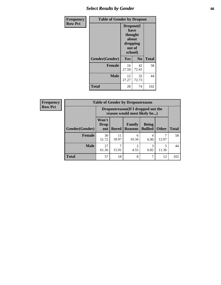# *Select Results by Gender* **66**

| Frequency      | <b>Table of Gender by Dropout</b> |                                                                        |                |              |
|----------------|-----------------------------------|------------------------------------------------------------------------|----------------|--------------|
| <b>Row Pct</b> |                                   | Dropout(I<br>have<br>thought<br>about<br>dropping<br>out of<br>school) |                |              |
|                | Gender(Gender)                    | <b>Yes</b>                                                             | N <sub>0</sub> | <b>Total</b> |
|                | <b>Female</b>                     | 16<br>27.59                                                            | 42<br>72.41    | 58           |
|                | <b>Male</b>                       | 12<br>27.27                                                            | 32<br>72.73    | 44           |
|                | <b>Total</b>                      | 28                                                                     | 74             | 102          |

| <b>Frequency</b> |                        | <b>Table of Gender by Dropoutreason</b>                            |              |                          |                                |              |              |
|------------------|------------------------|--------------------------------------------------------------------|--------------|--------------------------|--------------------------------|--------------|--------------|
| <b>Row Pct</b>   |                        | Dropoutreason(If I dropped out the<br>reason would most likely be) |              |                          |                                |              |              |
|                  | <b>Gender</b> (Gender) | Won't<br><b>Drop</b><br>out                                        | <b>Bored</b> | Family<br><b>Reasons</b> | <b>Being</b><br><b>Bullied</b> | <b>Other</b> | <b>Total</b> |
|                  | Female                 | 30<br>51.72                                                        | 11<br>18.97  | 6<br>10.34               | 4<br>6.90                      | 12.07        | 58           |
|                  | <b>Male</b>            | 27<br>61.36                                                        | 7<br>15.91   | っ<br>4.55                | 3<br>6.82                      | 5<br>11.36   | 44           |
|                  | <b>Total</b>           | 57                                                                 | 18           | 8                        |                                | 12           | 102          |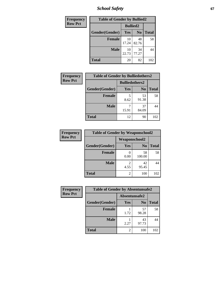*School Safety* **67**

| Frequency      | <b>Table of Gender by Bullied2</b> |                 |                |              |
|----------------|------------------------------------|-----------------|----------------|--------------|
| <b>Row Pct</b> |                                    | <b>Bullied2</b> |                |              |
|                | Gender(Gender)                     | Yes             | N <sub>0</sub> | <b>Total</b> |
|                | <b>Female</b>                      | 10<br>17.24     | 48<br>82.76    | 58           |
|                | <b>Male</b>                        | 10<br>22.73     | 34<br>77.27    | 44           |
|                | <b>Total</b>                       | 20              | 82             | 102          |

| <b>Frequency</b> | <b>Table of Gender by Bulliedothers2</b> |                       |                |              |
|------------------|------------------------------------------|-----------------------|----------------|--------------|
| <b>Row Pct</b>   |                                          | <b>Bulliedothers2</b> |                |              |
|                  | Gender(Gender)                           | <b>Yes</b>            | N <sub>0</sub> | <b>Total</b> |
|                  | <b>Female</b>                            | 5<br>8.62             | 53<br>91.38    | 58           |
|                  | <b>Male</b>                              | 15.91                 | 37<br>84.09    | 44           |
|                  | Total                                    | 12                    | 90             | 102          |

| Frequency      | <b>Table of Gender by Weaponschool2</b> |                      |                |              |
|----------------|-----------------------------------------|----------------------|----------------|--------------|
| <b>Row Pct</b> |                                         | <b>Weaponschool2</b> |                |              |
|                | Gender(Gender)                          | Yes                  | N <sub>0</sub> | <b>Total</b> |
|                | <b>Female</b>                           | 0.00                 | 58<br>100.00   | 58           |
|                | <b>Male</b>                             | 4.55                 | 42<br>95.45    | 44           |
|                | <b>Total</b>                            | 2                    | 100            | 102          |

| Frequency      | <b>Table of Gender by Absentunsafe2</b> |               |                |              |
|----------------|-----------------------------------------|---------------|----------------|--------------|
| <b>Row Pct</b> |                                         | Absentunsafe2 |                |              |
|                | Gender(Gender)                          | Yes           | N <sub>0</sub> | <b>Total</b> |
|                | Female                                  | 1.72          | 57<br>98.28    | 58           |
|                | <b>Male</b>                             | 2.27          | 43<br>97.73    | 44           |
|                | <b>Total</b>                            |               | 100            | 102          |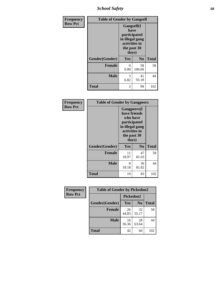*School Safety* **68**

| Frequency      | <b>Table of Gender by Gangself</b> |                                                                                                |                |              |
|----------------|------------------------------------|------------------------------------------------------------------------------------------------|----------------|--------------|
| <b>Row Pct</b> |                                    | Gangself(I<br>have<br>participated<br>in illegal gang<br>activities in<br>the past 30<br>days) |                |              |
|                | Gender(Gender)                     | Yes                                                                                            | N <sub>0</sub> | <b>Total</b> |
|                | <b>Female</b>                      | 0<br>0.00                                                                                      | 58<br>100.00   | 58           |
|                | <b>Male</b>                        | 3<br>6.82                                                                                      | 41<br>93.18    | 44           |
|                | <b>Total</b>                       | 3                                                                                              | 99             | 102          |

| Frequency      |                | <b>Table of Gender by Gangpeers</b>                                                                                         |                |              |
|----------------|----------------|-----------------------------------------------------------------------------------------------------------------------------|----------------|--------------|
| <b>Row Pct</b> |                | <b>Gangpeers</b> (I<br>have friends<br>who have<br>participated<br>in illegal gang<br>activities in<br>the past 30<br>days) |                |              |
|                | Gender(Gender) | Yes                                                                                                                         | N <sub>0</sub> | <b>Total</b> |
|                | <b>Female</b>  | 11<br>18.97                                                                                                                 | 47<br>81.03    | 58           |
|                | <b>Male</b>    | 8<br>18.18                                                                                                                  | 36<br>81.82    | 44           |
|                | Total          | 19                                                                                                                          | 83             | 102          |

| Frequency      | <b>Table of Gender by Pickedon2</b> |             |                |              |
|----------------|-------------------------------------|-------------|----------------|--------------|
| <b>Row Pct</b> |                                     | Pickedon2   |                |              |
|                | Gender(Gender)                      | <b>Yes</b>  | N <sub>0</sub> | <b>Total</b> |
|                | <b>Female</b>                       | 26<br>44.83 | 32<br>55.17    | 58           |
|                | <b>Male</b>                         | 16<br>36.36 | 28<br>63.64    | 44           |
|                | <b>Total</b>                        | 42          | 60             | 102          |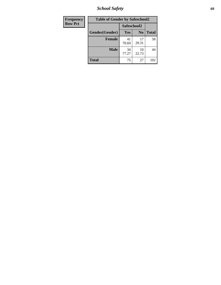*School Safety* **69**

| Frequency      | <b>Table of Gender by Safeschool2</b> |             |                |              |  |
|----------------|---------------------------------------|-------------|----------------|--------------|--|
| <b>Row Pct</b> |                                       | Safeschool2 |                |              |  |
|                | Gender(Gender)                        | Yes         | N <sub>0</sub> | <b>Total</b> |  |
|                | <b>Female</b>                         | 41<br>70.69 | 17<br>29.31    | 58           |  |
|                | <b>Male</b>                           | 34<br>77.27 | 10<br>22.73    | 44           |  |
|                | <b>Total</b>                          | 75          | 27             | 102          |  |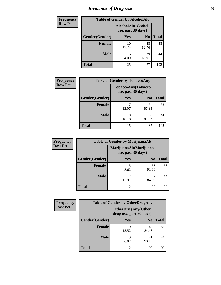# *Incidence of Drug Use* **70**

| <b>Frequency</b> | <b>Table of Gender by AlcoholAlt</b> |                                          |                |              |  |
|------------------|--------------------------------------|------------------------------------------|----------------|--------------|--|
| <b>Row Pct</b>   |                                      | AlcoholAlt(Alcohol<br>use, past 30 days) |                |              |  |
|                  | Gender(Gender)                       | <b>Yes</b>                               | N <sub>0</sub> | <b>Total</b> |  |
|                  | <b>Female</b>                        | 10<br>17.24                              | 48<br>82.76    | 58           |  |
|                  | <b>Male</b>                          | 15<br>34.09                              | 29<br>65.91    | 44           |  |
|                  | <b>Total</b>                         | 25                                       | 77             | 102          |  |

| Frequency      | <b>Table of Gender by TobaccoAny</b> |                    |                    |              |
|----------------|--------------------------------------|--------------------|--------------------|--------------|
| <b>Row Pct</b> |                                      | use, past 30 days) | TobaccoAny(Tobacco |              |
|                | Gender(Gender)                       | Yes                | N <sub>0</sub>     | <b>Total</b> |
|                | <b>Female</b>                        | 12.07              | 51<br>87.93        | 58           |
|                | <b>Male</b>                          | 8<br>18.18         | 36<br>81.82        | 44           |
|                | <b>Total</b>                         | 15                 | 87                 | 102          |

| <b>Frequency</b> | <b>Table of Gender by MarijuanaAlt</b> |            |                                              |              |
|------------------|----------------------------------------|------------|----------------------------------------------|--------------|
| <b>Row Pct</b>   |                                        |            | MarijuanaAlt(Marijuana<br>use, past 30 days) |              |
|                  | Gender(Gender)                         | <b>Yes</b> | N <sub>0</sub>                               | <b>Total</b> |
|                  | Female                                 | 5<br>8.62  | 53<br>91.38                                  | 58           |
|                  | <b>Male</b>                            | 15.91      | 37<br>84.09                                  | 44           |
|                  | <b>Total</b>                           | 12         | 90                                           | 102          |

| <b>Frequency</b> | <b>Table of Gender by OtherDrugAny</b> |                         |                           |              |
|------------------|----------------------------------------|-------------------------|---------------------------|--------------|
| <b>Row Pct</b>   |                                        | drug use, past 30 days) | <b>OtherDrugAny(Other</b> |              |
|                  | Gender(Gender)                         | <b>Yes</b>              | N <sub>0</sub>            | <b>Total</b> |
|                  | <b>Female</b>                          | 9<br>15.52              | 49<br>84.48               | 58           |
|                  | <b>Male</b>                            | 3<br>6.82               | 41<br>93.18               | 44           |
|                  | <b>Total</b>                           | 12                      | 90                        | 102          |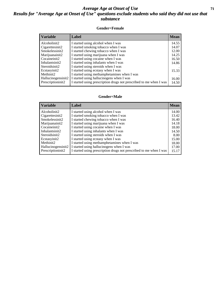### *Average Age at Onset of Use* **71** *Results for "Average Age at Onset of Use" questions exclude students who said they did not use that substance*

#### **Gender=Female**

| <b>Variable</b>    | <b>Label</b>                                                       | <b>Mean</b> |
|--------------------|--------------------------------------------------------------------|-------------|
| Alcoholinit2       | I started using alcohol when I was                                 | 14.55       |
| Cigarettesinit2    | I started smoking tobacco when I was                               | 14.07       |
| Smokelessinit2     | I started chewing tobacco when I was                               | 12.00       |
| Marijuanainit2     | I started using marijuana when I was                               | 14.25       |
| Cocaineinit2       | I started using cocaine when I was                                 | 16.50       |
| Inhalantsinit2     | I started using inhalants when I was                               | 14.86       |
| Steroidsinit2      | I started using steroids when I was                                |             |
| Ecstasyinit2       | I started using ecstasy when I was                                 | 15.33       |
| Methinit2          | I started using methamphetamines when I was                        |             |
| Hallucinogensinit2 | I started using hallucinogens when I was                           | 16.00       |
| Prescription in t2 | I started using prescription drugs not prescribed to me when I was | 14.50       |

#### **Gender=Male**

| <b>Variable</b>                 | Label                                                              | <b>Mean</b> |
|---------------------------------|--------------------------------------------------------------------|-------------|
| Alcoholinit2                    | I started using alcohol when I was                                 | 14.00       |
| Cigarettesinit2                 | I started smoking tobacco when I was                               | 13.42       |
| Smokelessinit2                  | I started chewing tobacco when I was                               | 16.40       |
| Marijuanainit2                  | I started using marijuana when I was                               | 14.18       |
| Cocaineinit2                    | I started using cocaine when I was                                 | 18.00       |
| Inhalantsinit2                  | I started using inhalants when I was                               | 14.50       |
| Steroidsinit2                   | I started using steroids when I was                                | 8.00        |
| Ecstasyinit2                    | I started using ecstasy when I was                                 | 15.00       |
| Methinit2                       | I started using methamphetamines when I was                        | 18.00       |
| Hallucinogensinit2              | I started using hallucinogens when I was                           | 17.00       |
| Prescription in it <sub>2</sub> | I started using prescription drugs not prescribed to me when I was | 15.17       |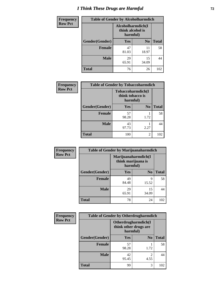# *I Think These Drugs are Harmful* **72**

| <b>Frequency</b> | <b>Table of Gender by Alcoholharmdich</b> |                                                   |                |              |
|------------------|-------------------------------------------|---------------------------------------------------|----------------|--------------|
| <b>Row Pct</b>   |                                           | Alcoholharmdich(I<br>think alcohol is<br>harmful) |                |              |
|                  | Gender(Gender)                            | <b>Yes</b>                                        | N <sub>0</sub> | <b>Total</b> |
|                  | <b>Female</b>                             | 47<br>81.03                                       | 11<br>18.97    | 58           |
|                  | <b>Male</b>                               | 29<br>65.91                                       | 15<br>34.09    | 44           |
|                  | <b>Total</b>                              | 76                                                | 26             | 102          |

| Frequency      | <b>Table of Gender by Tobaccoharmdich</b> |                                                   |                |              |
|----------------|-------------------------------------------|---------------------------------------------------|----------------|--------------|
| <b>Row Pct</b> |                                           | Tobaccoharmdich(I<br>think tobacco is<br>harmful) |                |              |
|                | Gender(Gender)                            | Yes                                               | N <sub>0</sub> | <b>Total</b> |
|                | <b>Female</b>                             | 57<br>98.28                                       | 1.72           | 58           |
|                | <b>Male</b>                               | 43<br>97.73                                       | 2.27           | 44           |
|                | <b>Total</b>                              | 100                                               | $\mathfrak{D}$ | 102          |

| Frequency      | <b>Table of Gender by Marijuanaharmdich</b> |                                                       |                |              |  |
|----------------|---------------------------------------------|-------------------------------------------------------|----------------|--------------|--|
| <b>Row Pct</b> |                                             | Marijuanaharmdich(I<br>think marijuana is<br>harmful) |                |              |  |
|                | Gender(Gender)                              | <b>Yes</b>                                            | N <sub>0</sub> | <b>Total</b> |  |
|                | <b>Female</b>                               | 49<br>84.48                                           | 9<br>15.52     | 58           |  |
|                | <b>Male</b>                                 | 29<br>65.91                                           | 15<br>34.09    | 44           |  |
|                | <b>Total</b>                                | 78                                                    | 24             | 102          |  |

| Frequency      | <b>Table of Gender by Otherdrugharmdich</b> |                                                          |                        |              |
|----------------|---------------------------------------------|----------------------------------------------------------|------------------------|--------------|
| <b>Row Pct</b> |                                             | Otherdrugharmdich(I<br>think other drugs are<br>harmful) |                        |              |
|                | Gender(Gender)                              | <b>Yes</b>                                               | N <sub>0</sub>         | <b>Total</b> |
|                | <b>Female</b>                               | 57<br>98.28                                              | 1.72                   | 58           |
|                | <b>Male</b>                                 | 42<br>95.45                                              | $\overline{2}$<br>4.55 | 44           |
|                | <b>Total</b>                                | 99                                                       | 3                      | 102          |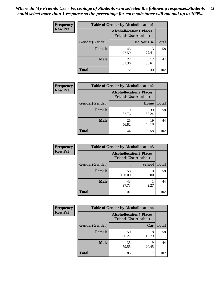| <b>Frequency</b> | <b>Table of Gender by Alcohollocation1</b> |                                                               |             |              |
|------------------|--------------------------------------------|---------------------------------------------------------------|-------------|--------------|
| <b>Row Pct</b>   |                                            | <b>Alcohollocation1(Places</b><br><b>Friends Use Alcohol)</b> |             |              |
|                  | Gender(Gender)                             |                                                               | Do Not Use  | <b>Total</b> |
|                  | <b>Female</b>                              | 45<br>77.59                                                   | 13<br>22.41 | 58           |
|                  | <b>Male</b>                                | 27<br>61.36                                                   | 17<br>38.64 | 44           |
|                  | <b>Total</b>                               | 72                                                            | 30          | 102          |

| <b>Frequency</b> | <b>Table of Gender by Alcohollocation2</b> |                                                               |             |              |
|------------------|--------------------------------------------|---------------------------------------------------------------|-------------|--------------|
| <b>Row Pct</b>   |                                            | <b>Alcohollocation2(Places</b><br><b>Friends Use Alcohol)</b> |             |              |
|                  | Gender(Gender)                             |                                                               | <b>Home</b> | <b>Total</b> |
|                  | <b>Female</b>                              | 19<br>32.76                                                   | 39<br>67.24 | 58           |
|                  | <b>Male</b>                                | 25<br>56.82                                                   | 19<br>43.18 | 44           |
|                  | <b>Total</b>                               | 44                                                            | 58          | 102          |

| Frequency      | <b>Table of Gender by Alcohollocation3</b> |                                                               |               |              |
|----------------|--------------------------------------------|---------------------------------------------------------------|---------------|--------------|
| <b>Row Pct</b> |                                            | <b>Alcohollocation3(Places</b><br><b>Friends Use Alcohol)</b> |               |              |
|                | Gender(Gender)                             |                                                               | <b>School</b> | <b>Total</b> |
|                | <b>Female</b>                              | 58<br>100.00                                                  | 0.00          | 58           |
|                | <b>Male</b>                                | 43<br>97.73                                                   | 2.27          | 44           |
|                | <b>Total</b>                               | 101                                                           |               | 102          |

| Frequency      | <b>Table of Gender by Alcohollocation4</b> |                                                               |            |              |
|----------------|--------------------------------------------|---------------------------------------------------------------|------------|--------------|
| <b>Row Pct</b> |                                            | <b>Alcohollocation4(Places</b><br><b>Friends Use Alcohol)</b> |            |              |
|                | Gender(Gender)                             |                                                               | Car        | <b>Total</b> |
|                | <b>Female</b>                              | 50<br>86.21                                                   | 8<br>13.79 | 58           |
|                | <b>Male</b>                                | 35<br>79.55                                                   | q<br>20.45 | 44           |
|                | <b>Total</b>                               | 85                                                            | 17         | 102          |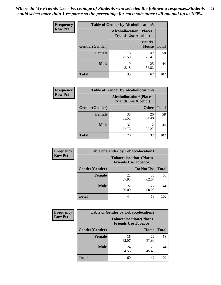| <b>Frequency</b> | <b>Table of Gender by Alcohollocation5</b> |                                                                |                                 |              |
|------------------|--------------------------------------------|----------------------------------------------------------------|---------------------------------|--------------|
| <b>Row Pct</b>   |                                            | <b>Alcohollocation5</b> (Places<br><b>Friends Use Alcohol)</b> |                                 |              |
|                  | <b>Gender</b> (Gender)                     |                                                                | <b>Friend's</b><br><b>House</b> | <b>Total</b> |
|                  | <b>Female</b>                              | 16<br>27.59                                                    | 42<br>72.41                     | 58           |
|                  | <b>Male</b>                                | 19<br>43.18                                                    | 25<br>56.82                     | 44           |
|                  | <b>Total</b>                               | 35                                                             | 67                              | 102          |

| <b>Frequency</b> | <b>Table of Gender by Alcohollocation6</b> |                                                               |              |              |
|------------------|--------------------------------------------|---------------------------------------------------------------|--------------|--------------|
| <b>Row Pct</b>   |                                            | <b>Alcohollocation6(Places</b><br><b>Friends Use Alcohol)</b> |              |              |
|                  | Gender(Gender)                             |                                                               | <b>Other</b> | <b>Total</b> |
|                  | <b>Female</b>                              | 38<br>65.52                                                   | 20<br>34.48  | 58           |
|                  | <b>Male</b>                                | 32<br>72.73                                                   | 12<br>27.27  | 44           |
|                  | <b>Total</b>                               | 70                                                            | 32           | 102          |

| Frequency      | <b>Table of Gender by Tobaccolocation1</b> |                                                               |             |              |  |
|----------------|--------------------------------------------|---------------------------------------------------------------|-------------|--------------|--|
| <b>Row Pct</b> |                                            | <b>Tobaccolocation1(Places</b><br><b>Friends Use Tobacco)</b> |             |              |  |
|                | <b>Gender</b> (Gender)                     |                                                               | Do Not Use  | <b>Total</b> |  |
|                | Female                                     | 22<br>37.93                                                   | 36<br>62.07 | 58           |  |
|                | <b>Male</b>                                | 22<br>50.00                                                   | 22<br>50.00 | 44           |  |
|                | <b>Total</b>                               | 44                                                            | 58          | 102          |  |

| <b>Frequency</b> | <b>Table of Gender by Tobaccolocation2</b> |                                                               |             |              |  |
|------------------|--------------------------------------------|---------------------------------------------------------------|-------------|--------------|--|
| <b>Row Pct</b>   |                                            | <b>Tobaccolocation2(Places</b><br><b>Friends Use Tobacco)</b> |             |              |  |
|                  | Gender(Gender)                             |                                                               | Home        | <b>Total</b> |  |
|                  | Female                                     | 36<br>62.07                                                   | 22<br>37.93 | 58           |  |
|                  | <b>Male</b>                                | 24<br>54.55                                                   | 20<br>45.45 | 44           |  |
|                  | <b>Total</b>                               | 60                                                            | 42          | 102          |  |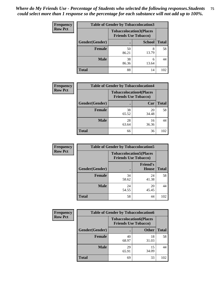| <b>Frequency</b> | <b>Table of Gender by Tobaccolocation3</b> |                                                               |               |              |  |
|------------------|--------------------------------------------|---------------------------------------------------------------|---------------|--------------|--|
| <b>Row Pct</b>   |                                            | <b>Tobaccolocation3(Places</b><br><b>Friends Use Tobacco)</b> |               |              |  |
|                  | Gender(Gender)                             |                                                               | <b>School</b> | <b>Total</b> |  |
|                  | <b>Female</b>                              | 50<br>86.21                                                   | 8<br>13.79    | 58           |  |
|                  | <b>Male</b>                                | 38<br>86.36                                                   | 13.64         | 44           |  |
|                  | <b>Total</b>                               | 88                                                            | 14            | 102          |  |

| <b>Frequency</b> | <b>Table of Gender by Tobaccolocation4</b> |                                                               |             |              |
|------------------|--------------------------------------------|---------------------------------------------------------------|-------------|--------------|
| <b>Row Pct</b>   |                                            | <b>Tobaccolocation4(Places</b><br><b>Friends Use Tobacco)</b> |             |              |
|                  | Gender(Gender)                             |                                                               | Car         | <b>Total</b> |
|                  | <b>Female</b>                              | 38<br>65.52                                                   | 20<br>34.48 | 58           |
|                  | <b>Male</b>                                | 28<br>63.64                                                   | 16<br>36.36 | 44           |
|                  | <b>Total</b>                               | 66                                                            | 36          | 102          |

| <b>Frequency</b> | <b>Table of Gender by Tobaccolocation5</b> |                                                               |                          |              |
|------------------|--------------------------------------------|---------------------------------------------------------------|--------------------------|--------------|
| <b>Row Pct</b>   |                                            | <b>Tobaccolocation5(Places</b><br><b>Friends Use Tobacco)</b> |                          |              |
|                  | Gender(Gender)                             |                                                               | <b>Friend's</b><br>House | <b>Total</b> |
|                  | <b>Female</b>                              | 34<br>58.62                                                   | 24<br>41.38              | 58           |
|                  | <b>Male</b>                                | 24<br>54.55                                                   | 20<br>45.45              | 44           |
|                  | <b>Total</b>                               | 58                                                            | 44                       | 102          |

| <b>Frequency</b> | <b>Table of Gender by Tobaccolocation6</b> |                                                               |              |              |  |
|------------------|--------------------------------------------|---------------------------------------------------------------|--------------|--------------|--|
| <b>Row Pct</b>   |                                            | <b>Tobaccolocation6(Places</b><br><b>Friends Use Tobacco)</b> |              |              |  |
|                  | Gender(Gender)                             |                                                               | <b>Other</b> | <b>Total</b> |  |
|                  | Female                                     | 40<br>68.97                                                   | 18<br>31.03  | 58           |  |
|                  | <b>Male</b>                                | 29<br>65.91                                                   | 15<br>34.09  | 44           |  |
|                  | <b>Total</b>                               | 69                                                            | 33           | 102          |  |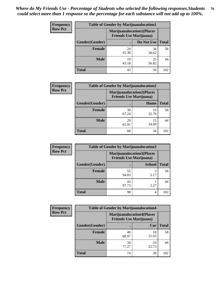| <b>Frequency</b> | <b>Table of Gender by Marijuanalocation1</b> |                                                                    |             |              |
|------------------|----------------------------------------------|--------------------------------------------------------------------|-------------|--------------|
| <b>Row Pct</b>   |                                              | <b>Marijuanalocation1(Places</b><br><b>Friends Use Marijuana</b> ) |             |              |
|                  | Gender(Gender)                               |                                                                    | Do Not Use  | <b>Total</b> |
|                  | <b>Female</b>                                | 24<br>41.38                                                        | 34<br>58.62 | 58           |
|                  | <b>Male</b>                                  | 19<br>43.18                                                        | 25<br>56.82 | 44           |
|                  | <b>Total</b>                                 | 43                                                                 | 59          | 102          |

| <b>Frequency</b> | <b>Table of Gender by Marijuanalocation2</b> |                                                                    |             |              |  |
|------------------|----------------------------------------------|--------------------------------------------------------------------|-------------|--------------|--|
| <b>Row Pct</b>   |                                              | <b>Marijuanalocation2(Places</b><br><b>Friends Use Marijuana</b> ) |             |              |  |
|                  | Gender(Gender)                               |                                                                    | Home        | <b>Total</b> |  |
|                  | Female                                       | 39<br>67.24                                                        | 19<br>32.76 | 58           |  |
|                  | <b>Male</b>                                  | 29<br>65.91                                                        | 15<br>34.09 | 44           |  |
|                  | <b>Total</b>                                 | 68                                                                 | 34          | 102          |  |

| <b>Frequency</b> | <b>Table of Gender by Marijuanalocation3</b> |                                                                    |               |              |  |
|------------------|----------------------------------------------|--------------------------------------------------------------------|---------------|--------------|--|
| <b>Row Pct</b>   |                                              | <b>Marijuanalocation3(Places</b><br><b>Friends Use Marijuana</b> ) |               |              |  |
|                  | Gender(Gender)                               |                                                                    | <b>School</b> | <b>Total</b> |  |
|                  | Female                                       | 55<br>94.83                                                        | 3<br>5.17     | 58           |  |
|                  | <b>Male</b>                                  | 43<br>97.73                                                        | 2.27          | 44           |  |
|                  | <b>Total</b>                                 | 98                                                                 | 4             | 102          |  |

| <b>Frequency</b> | <b>Table of Gender by Marijuanalocation4</b> |                                |                                  |              |  |
|------------------|----------------------------------------------|--------------------------------|----------------------------------|--------------|--|
| <b>Row Pct</b>   |                                              | <b>Friends Use Marijuana</b> ) | <b>Marijuanalocation4(Places</b> |              |  |
|                  | Gender(Gender)                               |                                | Car                              | <b>Total</b> |  |
|                  | <b>Female</b>                                | 40<br>68.97                    | 18<br>31.03                      | 58           |  |
|                  | <b>Male</b>                                  | 34<br>77.27                    | 10<br>22.73                      | 44           |  |
|                  | <b>Total</b>                                 | 74                             | 28                               | 102          |  |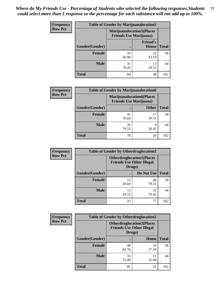| <b>Frequency</b> | <b>Table of Gender by Marijuanalocation5</b> |                                                                    |                          |              |
|------------------|----------------------------------------------|--------------------------------------------------------------------|--------------------------|--------------|
| <b>Row Pct</b>   |                                              | <b>Marijuanalocation5(Places</b><br><b>Friends Use Marijuana</b> ) |                          |              |
|                  | Gender(Gender)                               |                                                                    | <b>Friend's</b><br>House | <b>Total</b> |
|                  | <b>Female</b>                                | 33<br>56.90                                                        | 25<br>43.10              | 58           |
|                  | <b>Male</b>                                  | 31<br>70.45                                                        | 13<br>29.55              | 44           |
|                  | <b>Total</b>                                 | 64                                                                 | 38                       | 102          |

| <b>Frequency</b> | <b>Table of Gender by Marijuanalocation6</b> |                                                                    |              |       |  |
|------------------|----------------------------------------------|--------------------------------------------------------------------|--------------|-------|--|
| <b>Row Pct</b>   |                                              | <b>Marijuanalocation6(Places</b><br><b>Friends Use Marijuana</b> ) |              |       |  |
|                  | <b>Gender</b> (Gender)                       |                                                                    | <b>Other</b> | Total |  |
|                  | <b>Female</b>                                | 41<br>70.69                                                        | 17<br>29.31  | 58    |  |
|                  | <b>Male</b>                                  | 35<br>79.55                                                        | 9<br>20.45   | 44    |  |
|                  | <b>Total</b>                                 | 76                                                                 | 26           | 102   |  |

| <b>Frequency</b> | <b>Table of Gender by Otherdruglocation1</b> |                                                                                |             |              |
|------------------|----------------------------------------------|--------------------------------------------------------------------------------|-------------|--------------|
| <b>Row Pct</b>   |                                              | <b>Otherdruglocation1(Places</b><br><b>Friends Use Other Illegal</b><br>Drugs) |             |              |
|                  | Gender(Gender)                               |                                                                                | Do Not Use  | <b>Total</b> |
|                  | Female                                       | 12<br>20.69                                                                    | 46<br>79.31 | 58           |
|                  | <b>Male</b>                                  | 13<br>29.55                                                                    | 31<br>70.45 | 44           |
|                  | <b>Total</b>                                 | 25                                                                             | 77          | 102          |

| <b>Frequency</b> | <b>Table of Gender by Otherdruglocation2</b> |                                            |                                  |              |
|------------------|----------------------------------------------|--------------------------------------------|----------------------------------|--------------|
| <b>Row Pct</b>   |                                              | <b>Friends Use Other Illegal</b><br>Drugs) | <b>Otherdruglocation2(Places</b> |              |
|                  | Gender(Gender)                               |                                            | Home                             | <b>Total</b> |
|                  | Female                                       | 48<br>82.76                                | 10<br>17.24                      | 58           |
|                  | <b>Male</b>                                  | 33<br>75.00                                | 11<br>25.00                      | 44           |
|                  | <b>Total</b>                                 | 81                                         | 21                               | 102          |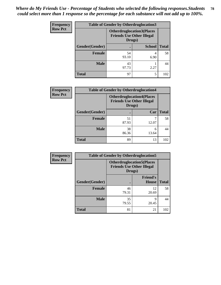| <b>Frequency</b> | <b>Table of Gender by Otherdruglocation3</b> |                                            |                                  |              |
|------------------|----------------------------------------------|--------------------------------------------|----------------------------------|--------------|
| <b>Row Pct</b>   |                                              | <b>Friends Use Other Illegal</b><br>Drugs) | <b>Otherdruglocation3(Places</b> |              |
|                  | Gender(Gender)                               |                                            | <b>School</b>                    | <b>Total</b> |
|                  | <b>Female</b>                                | 54<br>93.10                                | 6.90                             | 58           |
|                  | <b>Male</b>                                  | 43<br>97.73                                | 2.27                             | 44           |
|                  | <b>Total</b>                                 | 97                                         | 5                                | 102          |

| Frequency      | <b>Table of Gender by Otherdruglocation4</b> |                                                                                |            |              |
|----------------|----------------------------------------------|--------------------------------------------------------------------------------|------------|--------------|
| <b>Row Pct</b> |                                              | <b>Otherdruglocation4(Places</b><br><b>Friends Use Other Illegal</b><br>Drugs) |            |              |
|                | Gender(Gender)                               |                                                                                | Car        | <b>Total</b> |
|                | <b>Female</b>                                | 51<br>87.93                                                                    | 12.07      | 58           |
|                | <b>Male</b>                                  | 38<br>86.36                                                                    | 6<br>13.64 | 44           |
|                | <b>Total</b>                                 | 89                                                                             | 13         | 102          |

| Frequency      | <b>Table of Gender by Otherdruglocation5</b> |                                                                                |                                 |              |
|----------------|----------------------------------------------|--------------------------------------------------------------------------------|---------------------------------|--------------|
| <b>Row Pct</b> |                                              | <b>Otherdruglocation5(Places</b><br><b>Friends Use Other Illegal</b><br>Drugs) |                                 |              |
|                | Gender(Gender)                               |                                                                                | <b>Friend's</b><br><b>House</b> | <b>Total</b> |
|                | <b>Female</b>                                | 46<br>79.31                                                                    | 12<br>20.69                     | 58           |
|                | <b>Male</b>                                  | 35<br>79.55                                                                    | q<br>20.45                      | 44           |
|                | <b>Total</b>                                 | 81                                                                             | 21                              | 102          |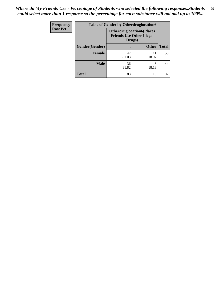| <b>Frequency</b> | <b>Table of Gender by Otherdruglocation6</b> |                                                                                |              |              |  |
|------------------|----------------------------------------------|--------------------------------------------------------------------------------|--------------|--------------|--|
| <b>Row Pct</b>   |                                              | <b>Otherdruglocation6(Places</b><br><b>Friends Use Other Illegal</b><br>Drugs) |              |              |  |
|                  | Gender(Gender)                               |                                                                                | <b>Other</b> | <b>Total</b> |  |
|                  | <b>Female</b>                                | 47<br>81.03                                                                    | 11<br>18.97  | 58           |  |
|                  | <b>Male</b>                                  | 36<br>81.82                                                                    | 8<br>18.18   | 44           |  |
|                  | <b>Total</b>                                 | 83                                                                             | 19           | 102          |  |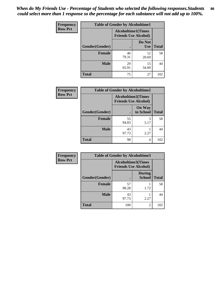| <b>Frequency</b> | <b>Table of Gender by Alcoholtime1</b> |                                                          |                      |              |
|------------------|----------------------------------------|----------------------------------------------------------|----------------------|--------------|
| <b>Row Pct</b>   |                                        | <b>Alcoholtime1(Times</b><br><b>Friends Use Alcohol)</b> |                      |              |
|                  | Gender(Gender)                         | $\bullet$                                                | Do Not<br><b>Use</b> | <b>Total</b> |
|                  | <b>Female</b>                          | 46<br>79.31                                              | 12<br>20.69          | 58           |
|                  | <b>Male</b>                            | 29<br>65.91                                              | 15<br>34.09          | 44           |
|                  | <b>Total</b>                           | 75                                                       | 27                   | 102          |

| Frequency      | <b>Table of Gender by Alcoholtime2</b> |                                                          |                            |              |
|----------------|----------------------------------------|----------------------------------------------------------|----------------------------|--------------|
| <b>Row Pct</b> |                                        | <b>Alcoholtime2(Times</b><br><b>Friends Use Alcohol)</b> |                            |              |
|                | Gender(Gender)                         |                                                          | <b>On Way</b><br>to School | <b>Total</b> |
|                | <b>Female</b>                          | 55<br>94.83                                              | 3<br>5.17                  | 58           |
|                | <b>Male</b>                            | 43<br>97.73                                              | 2.27                       | 44           |
|                | <b>Total</b>                           | 98                                                       | 4                          | 102          |

| <b>Frequency</b> | <b>Table of Gender by Alcoholtime3</b> |                                                          |                                |              |
|------------------|----------------------------------------|----------------------------------------------------------|--------------------------------|--------------|
| <b>Row Pct</b>   |                                        | <b>Alcoholtime3(Times</b><br><b>Friends Use Alcohol)</b> |                                |              |
|                  | Gender(Gender)                         |                                                          | <b>During</b><br><b>School</b> | <b>Total</b> |
|                  | Female                                 | 57<br>98.28                                              | 1.72                           | 58           |
|                  | <b>Male</b>                            | 43<br>97.73                                              | 2.27                           | 44           |
|                  | <b>Total</b>                           | 100                                                      | 2                              | 102          |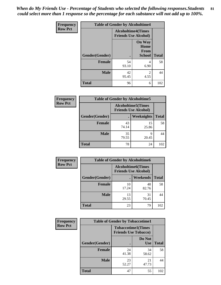*When do My Friends Use - Percentage of Students who selected the following responses.Students could select more than 1 response so the percentage for each substance will not add up to 100%.* **81**

| <b>Frequency</b> | <b>Table of Gender by Alcoholtime4</b> |                                                          |                                                       |              |
|------------------|----------------------------------------|----------------------------------------------------------|-------------------------------------------------------|--------------|
| <b>Row Pct</b>   |                                        | <b>Alcoholtime4(Times</b><br><b>Friends Use Alcohol)</b> |                                                       |              |
|                  | <b>Gender</b> (Gender)                 | $\bullet$                                                | <b>On Way</b><br>Home<br><b>From</b><br><b>School</b> | <b>Total</b> |
|                  | <b>Female</b>                          | 54<br>93.10                                              | 4<br>6.90                                             | 58           |
|                  | <b>Male</b>                            | 42<br>95.45                                              | 2<br>4.55                                             | 44           |
|                  | <b>Total</b>                           | 96                                                       | 6                                                     | 102          |

| <b>Frequency</b> | <b>Table of Gender by Alcoholtime5</b> |                                                           |             |              |
|------------------|----------------------------------------|-----------------------------------------------------------|-------------|--------------|
| <b>Row Pct</b>   |                                        | <b>Alcoholtime5</b> (Times<br><b>Friends Use Alcohol)</b> |             |              |
|                  | Gender(Gender)                         |                                                           | Weeknights  | <b>Total</b> |
|                  | <b>Female</b>                          | 43<br>74.14                                               | 15<br>25.86 | 58           |
|                  | <b>Male</b>                            | 35<br>79.55                                               | 9<br>20.45  | 44           |
|                  | <b>Total</b>                           | 78                                                        | 24          | 102          |

| <b>Frequency</b> |                | <b>Table of Gender by Alcoholtime6</b> |                                                          |              |
|------------------|----------------|----------------------------------------|----------------------------------------------------------|--------------|
| <b>Row Pct</b>   |                |                                        | <b>Alcoholtime6(Times</b><br><b>Friends Use Alcohol)</b> |              |
|                  | Gender(Gender) |                                        | Weekends                                                 | <b>Total</b> |
|                  | Female         | 10<br>17.24                            | 48<br>82.76                                              | 58           |
|                  | <b>Male</b>    | 13<br>29.55                            | 31<br>70.45                                              | 44           |
|                  | <b>Total</b>   | 23                                     | 79                                                       | 102          |

| <b>Frequency</b> | <b>Table of Gender by Tobaccotime1</b> |                             |                           |              |
|------------------|----------------------------------------|-----------------------------|---------------------------|--------------|
| <b>Row Pct</b>   |                                        | <b>Friends Use Tobacco)</b> | <b>Tobaccotime1(Times</b> |              |
|                  | Gender(Gender)                         |                             | Do Not<br>Use             | <b>Total</b> |
|                  | <b>Female</b>                          | 24<br>41.38                 | 34<br>58.62               | 58           |
|                  | <b>Male</b>                            | 23<br>52.27                 | 21<br>47.73               | 44           |
|                  | <b>Total</b>                           | 47                          | 55                        | 102          |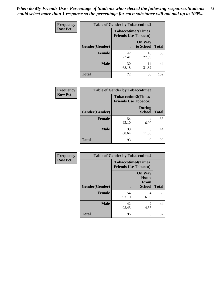| <b>Frequency</b> | <b>Table of Gender by Tobaccotime2</b> |                                                          |                            |              |
|------------------|----------------------------------------|----------------------------------------------------------|----------------------------|--------------|
| <b>Row Pct</b>   |                                        | <b>Tobaccotime2(Times</b><br><b>Friends Use Tobacco)</b> |                            |              |
|                  | Gender(Gender)                         |                                                          | <b>On Way</b><br>to School | <b>Total</b> |
|                  | <b>Female</b>                          | 42<br>72.41                                              | 16<br>27.59                | 58           |
|                  | <b>Male</b>                            | 30<br>68.18                                              | 14<br>31.82                | 44           |
|                  | <b>Total</b>                           | 72                                                       | 30                         | 102          |

| <b>Frequency</b> | <b>Table of Gender by Tobaccotime3</b> |                                                          |                                |              |
|------------------|----------------------------------------|----------------------------------------------------------|--------------------------------|--------------|
| <b>Row Pct</b>   |                                        | <b>Tobaccotime3(Times</b><br><b>Friends Use Tobacco)</b> |                                |              |
|                  | Gender(Gender)                         |                                                          | <b>During</b><br><b>School</b> | <b>Total</b> |
|                  | Female                                 | 54<br>93.10                                              | 4<br>6.90                      | 58           |
|                  | <b>Male</b>                            | 39<br>88.64                                              | 5<br>11.36                     | 44           |
|                  | <b>Total</b>                           | 93                                                       | 9                              | 102          |

| <b>Frequency</b> | <b>Table of Gender by Tobaccotime4</b> |                                                          |                                                |              |
|------------------|----------------------------------------|----------------------------------------------------------|------------------------------------------------|--------------|
| <b>Row Pct</b>   |                                        | <b>Tobaccotime4(Times</b><br><b>Friends Use Tobacco)</b> |                                                |              |
|                  | Gender(Gender)                         |                                                          | <b>On Way</b><br>Home<br>From<br><b>School</b> | <b>Total</b> |
|                  | <b>Female</b>                          | 54<br>93.10                                              | 4<br>6.90                                      | 58           |
|                  | <b>Male</b>                            | 42<br>95.45                                              | $\mathfrak{D}$<br>4.55                         | 44           |
|                  | <b>Total</b>                           | 96                                                       | 6                                              | 102          |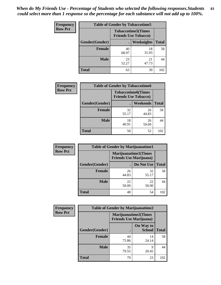| <b>Frequency</b> | <b>Table of Gender by Tobaccotime5</b> |             |                                                           |              |  |
|------------------|----------------------------------------|-------------|-----------------------------------------------------------|--------------|--|
| <b>Row Pct</b>   |                                        |             | <b>Tobaccotime5</b> (Times<br><b>Friends Use Tobacco)</b> |              |  |
|                  | Gender(Gender)                         |             | <b>Weeknights</b>                                         | <b>Total</b> |  |
|                  | <b>Female</b>                          | 40<br>68.97 | 18<br>31.03                                               | 58           |  |
|                  | <b>Male</b>                            | 23<br>52.27 | 21<br>47.73                                               | 44           |  |
|                  | <b>Total</b>                           | 63          | 39                                                        | 102          |  |

| <b>Frequency</b> | <b>Table of Gender by Tobaccotime6</b> |                                                          |                 |              |
|------------------|----------------------------------------|----------------------------------------------------------|-----------------|--------------|
| <b>Row Pct</b>   |                                        | <b>Tobaccotime6(Times</b><br><b>Friends Use Tobacco)</b> |                 |              |
|                  | Gender(Gender)                         |                                                          | <b>Weekends</b> | <b>Total</b> |
|                  | Female                                 | 32<br>55.17                                              | 26<br>44.83     | 58           |
|                  | <b>Male</b>                            | 18<br>40.91                                              | 26<br>59.09     | 44           |
|                  | <b>Total</b>                           | 50                                                       | 52              | 102          |

| <b>Frequency</b> | <b>Table of Gender by Marijuanatime1</b> |                                |                             |              |
|------------------|------------------------------------------|--------------------------------|-----------------------------|--------------|
| <b>Row Pct</b>   |                                          | <b>Friends Use Marijuana</b> ) | <b>Marijuanatime1(Times</b> |              |
|                  | Gender(Gender)                           |                                | Do Not Use                  | <b>Total</b> |
|                  | <b>Female</b>                            | 26<br>44.83                    | 32<br>55.17                 | 58           |
|                  | <b>Male</b>                              | 22<br>50.00                    | 22<br>50.00                 | 44           |
|                  | <b>Total</b>                             | 48                             | 54                          | 102          |

| <b>Frequency</b> | <b>Table of Gender by Marijuanatime2</b> |                                |                             |              |
|------------------|------------------------------------------|--------------------------------|-----------------------------|--------------|
| <b>Row Pct</b>   |                                          | <b>Friends Use Marijuana</b> ) | <b>Marijuanatime2(Times</b> |              |
|                  | Gender(Gender)                           |                                | On Way to<br><b>School</b>  | <b>Total</b> |
|                  | Female                                   | 44<br>75.86                    | 14<br>24.14                 | 58           |
|                  | <b>Male</b>                              | 35<br>79.55                    | 9<br>20.45                  | 44           |
|                  | <b>Total</b>                             | 79                             | 23                          | 102          |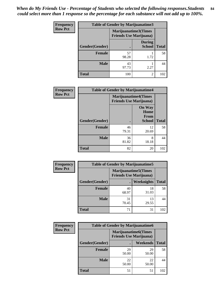*When do My Friends Use - Percentage of Students who selected the following responses.Students could select more than 1 response so the percentage for each substance will not add up to 100%.* **84**

| <b>Frequency</b> | <b>Table of Gender by Marijuanatime3</b> |                                                        |                                |              |
|------------------|------------------------------------------|--------------------------------------------------------|--------------------------------|--------------|
| <b>Row Pct</b>   |                                          | Marijuanatime3(Times<br><b>Friends Use Marijuana</b> ) |                                |              |
|                  | Gender(Gender)                           |                                                        | <b>During</b><br><b>School</b> | <b>Total</b> |
|                  | Female                                   | 57<br>98.28                                            | 1.72                           | 58           |
|                  | <b>Male</b>                              | 43<br>97.73                                            | 2.27                           | 44           |
|                  | <b>Total</b>                             | 100                                                    | $\mathfrak{D}$                 | 102          |

| Frequency      | <b>Table of Gender by Marijuanatime4</b> |                                |                                                       |              |
|----------------|------------------------------------------|--------------------------------|-------------------------------------------------------|--------------|
| <b>Row Pct</b> |                                          | <b>Friends Use Marijuana</b> ) | <b>Marijuanatime4</b> (Times                          |              |
|                | Gender(Gender)                           |                                | <b>On Way</b><br>Home<br><b>From</b><br><b>School</b> | <b>Total</b> |
|                | <b>Female</b>                            | 46<br>79.31                    | 12<br>20.69                                           | 58           |
|                | <b>Male</b>                              | 36<br>81.82                    | 8<br>18.18                                            | 44           |
|                | <b>Total</b>                             | 82                             | 20                                                    | 102          |

| <b>Frequency</b> | <b>Table of Gender by Marijuanatime5</b> |             |                                                                |              |  |
|------------------|------------------------------------------|-------------|----------------------------------------------------------------|--------------|--|
| <b>Row Pct</b>   |                                          |             | <b>Marijuanatime5</b> (Times<br><b>Friends Use Marijuana</b> ) |              |  |
|                  | Gender(Gender)                           |             | Weeknights                                                     | <b>Total</b> |  |
|                  | <b>Female</b>                            | 40<br>68.97 | 18<br>31.03                                                    | 58           |  |
|                  | <b>Male</b>                              | 31<br>70.45 | 13<br>29.55                                                    | 44           |  |
|                  | <b>Total</b>                             | 71          | 31                                                             | 102          |  |

| <b>Frequency</b> | <b>Table of Gender by Marijuanatime6</b> |                                                                |                 |              |  |
|------------------|------------------------------------------|----------------------------------------------------------------|-----------------|--------------|--|
| <b>Row Pct</b>   |                                          | <b>Marijuanatime6</b> (Times<br><b>Friends Use Marijuana</b> ) |                 |              |  |
|                  | <b>Gender</b> (Gender)                   |                                                                | <b>Weekends</b> | <b>Total</b> |  |
|                  | <b>Female</b>                            | 29<br>50.00                                                    | 29<br>50.00     | 58           |  |
|                  | <b>Male</b>                              | 22<br>50.00                                                    | 22<br>50.00     | 44           |  |
|                  | <b>Total</b>                             | 51                                                             | 51              | 102          |  |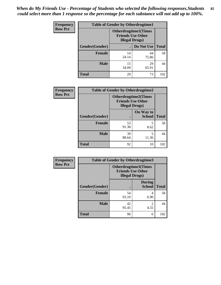*When do My Friends Use - Percentage of Students who selected the following responses.Students could select more than 1 response so the percentage for each substance will not add up to 100%.* **85**

| <b>Frequency</b> | <b>Table of Gender by Otherdrugtime1</b> |                        |                                                          |              |  |
|------------------|------------------------------------------|------------------------|----------------------------------------------------------|--------------|--|
| <b>Row Pct</b>   |                                          | <b>Illegal Drugs</b> ) | <b>Otherdrugtime1</b> (Times<br><b>Friends Use Other</b> |              |  |
|                  | Gender(Gender)                           |                        | Do Not Use                                               | <b>Total</b> |  |
|                  | <b>Female</b>                            | 14<br>24.14            | 44<br>75.86                                              | 58           |  |
|                  | <b>Male</b>                              | 15<br>34.09            | 29<br>65.91                                              | 44           |  |
|                  | <b>Total</b>                             | 29                     | 73                                                       | 102          |  |

| Frequency      | <b>Table of Gender by Otherdrugtime2</b> |                                                                                   |                            |              |
|----------------|------------------------------------------|-----------------------------------------------------------------------------------|----------------------------|--------------|
| <b>Row Pct</b> |                                          | <b>Otherdrugtime2(Times</b><br><b>Friends Use Other</b><br><b>Illegal Drugs</b> ) |                            |              |
|                | Gender(Gender)                           |                                                                                   | On Way to<br><b>School</b> | <b>Total</b> |
|                | <b>Female</b>                            | 53<br>91.38                                                                       | 5<br>8.62                  | 58           |
|                | <b>Male</b>                              | 39<br>88.64                                                                       | 5<br>11.36                 | 44           |
|                | <b>Total</b>                             | 92                                                                                | 10                         | 102          |

| Frequency      | <b>Table of Gender by Otherdrugtime3</b> |                                                    |                                |              |
|----------------|------------------------------------------|----------------------------------------------------|--------------------------------|--------------|
| <b>Row Pct</b> |                                          | <b>Friends Use Other</b><br><b>Illegal Drugs</b> ) | Otherdrugtime3(Times           |              |
|                | Gender(Gender)                           |                                                    | <b>During</b><br><b>School</b> | <b>Total</b> |
|                | <b>Female</b>                            | 54<br>93.10                                        | 4<br>6.90                      | 58           |
|                | <b>Male</b>                              | 42<br>95.45                                        | $\overline{c}$<br>4.55         | 44           |
|                | <b>Total</b>                             | 96                                                 | 6                              | 102          |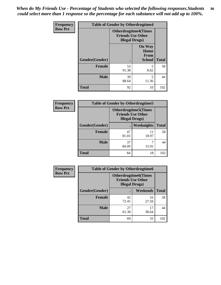*When do My Friends Use - Percentage of Students who selected the following responses.Students could select more than 1 response so the percentage for each substance will not add up to 100%.* **86**

| <b>Frequency</b> | <b>Table of Gender by Otherdrugtime4</b> |                                                    |                                                |              |
|------------------|------------------------------------------|----------------------------------------------------|------------------------------------------------|--------------|
| <b>Row Pct</b>   |                                          | <b>Friends Use Other</b><br><b>Illegal Drugs</b> ) | <b>Otherdrugtime4(Times</b>                    |              |
|                  | Gender(Gender)                           |                                                    | <b>On Way</b><br>Home<br>From<br><b>School</b> | <b>Total</b> |
|                  | Female                                   | 53<br>91.38                                        | 5<br>8.62                                      | 58           |
|                  | <b>Male</b>                              | 39<br>88.64                                        | 5<br>11.36                                     | 44           |
|                  | <b>Total</b>                             | 92                                                 | 10                                             | 102          |

| <b>Frequency</b> | <b>Table of Gender by Otherdrugtime5</b> |                                                                                    |                   |              |
|------------------|------------------------------------------|------------------------------------------------------------------------------------|-------------------|--------------|
| <b>Row Pct</b>   |                                          | <b>Otherdrugtime5</b> (Times<br><b>Friends Use Other</b><br><b>Illegal Drugs</b> ) |                   |              |
|                  | Gender(Gender)                           |                                                                                    | <b>Weeknights</b> | <b>Total</b> |
|                  | <b>Female</b>                            | 47<br>81.03                                                                        | 11<br>18.97       | 58           |
|                  | <b>Male</b>                              | 37<br>84.09                                                                        | 15.91             | 44           |
|                  | <b>Total</b>                             | 84                                                                                 | 18                | 102          |

| <b>Frequency</b> | <b>Table of Gender by Otherdrugtime6</b> |                                                                                   |             |              |
|------------------|------------------------------------------|-----------------------------------------------------------------------------------|-------------|--------------|
| <b>Row Pct</b>   |                                          | <b>Otherdrugtime6(Times</b><br><b>Friends Use Other</b><br><b>Illegal Drugs</b> ) |             |              |
|                  | Gender(Gender)                           |                                                                                   | Weekends    | <b>Total</b> |
|                  | <b>Female</b>                            | 42<br>72.41                                                                       | 16<br>27.59 | 58           |
|                  | <b>Male</b>                              | 27<br>61.36                                                                       | 17<br>38.64 | 44           |
|                  | <b>Total</b>                             | 69                                                                                | 33          | 102          |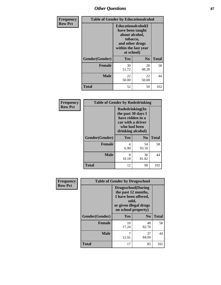# *Other Questions* **87**

| Frequency      |                | <b>Table of Gender by Educationalcohol</b>                                                                                    |                |              |  |  |
|----------------|----------------|-------------------------------------------------------------------------------------------------------------------------------|----------------|--------------|--|--|
| <b>Row Pct</b> |                | Educationalcohol(I<br>have been taught<br>about alcohol,<br>tobacco,<br>and other drugs<br>within the last year<br>at school) |                |              |  |  |
|                | Gender(Gender) | Yes                                                                                                                           | N <sub>0</sub> | <b>Total</b> |  |  |
|                | Female         | 30<br>51.72                                                                                                                   | 28<br>48.28    | 58           |  |  |
|                | <b>Male</b>    | 22<br>50.00                                                                                                                   | 22<br>50.00    | 44           |  |  |
|                | Total          | 52                                                                                                                            | 50             | 102          |  |  |

| Frequency      | <b>Table of Gender by Rodedrinking</b> |                                                                                                                     |             |              |  |
|----------------|----------------------------------------|---------------------------------------------------------------------------------------------------------------------|-------------|--------------|--|
| <b>Row Pct</b> |                                        | Rodedrinking(In<br>the past 30 days I<br>have ridden in a<br>car with a driver<br>who had been<br>drinking alcohol) |             |              |  |
|                | Gender(Gender)                         | Yes                                                                                                                 | $\bf N_0$   | <b>Total</b> |  |
|                | <b>Female</b>                          | 4<br>6.90                                                                                                           | 54<br>93.10 | 58           |  |
|                | <b>Male</b>                            | 8<br>18.18                                                                                                          | 36<br>81.82 | 44           |  |
|                | <b>Total</b>                           | 12                                                                                                                  | 90          | 102          |  |

| Frequency      | <b>Table of Gender by Drugsschool</b> |                                                                                                                                     |                |              |  |
|----------------|---------------------------------------|-------------------------------------------------------------------------------------------------------------------------------------|----------------|--------------|--|
| <b>Row Pct</b> |                                       | <b>Drugsschool</b> (During<br>the past 12 months,<br>I have been offered,<br>sold,<br>or given illegal drugs<br>on school property) |                |              |  |
|                | Gender(Gender)                        | Yes                                                                                                                                 | N <sub>0</sub> | <b>Total</b> |  |
|                | <b>Female</b>                         | 10<br>17.24                                                                                                                         | 48<br>82.76    | 58           |  |
|                | <b>Male</b>                           | 7<br>15.91                                                                                                                          | 37<br>84.09    | 44           |  |
|                | <b>Total</b>                          | 17                                                                                                                                  | 85             | 102          |  |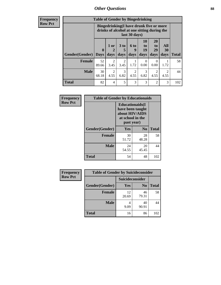# *Other Questions* **88**

**Frequency Row Pct**

| <b>Table of Gender by Bingedrinking</b> |                         |                                                                                                         |                        |                          |                        |                               |                                     |              |
|-----------------------------------------|-------------------------|---------------------------------------------------------------------------------------------------------|------------------------|--------------------------|------------------------|-------------------------------|-------------------------------------|--------------|
|                                         |                         | Bingedrinking(I have drunk five or more<br>drinks of alcohol at one sitting during the<br>last 30 days) |                        |                          |                        |                               |                                     |              |
| <b>Gender</b> (Gender)                  | $\bf{0}$<br><b>Days</b> | $1$ or<br>days                                                                                          | 3 to<br>5<br>days      | <b>6 to</b><br>9<br>days | 10<br>to<br>19<br>days | <b>20</b><br>to<br>29<br>days | All<br>30<br>days                   | <b>Total</b> |
|                                         |                         |                                                                                                         |                        |                          |                        |                               |                                     |              |
| <b>Female</b>                           | 52<br>89.66             | 3.45                                                                                                    | $\overline{2}$<br>3.45 | 1.72                     | $\Omega$<br>0.00       | $\Omega$<br>0.00              | 1.72                                | 58           |
| <b>Male</b>                             | 30<br>68.18             | 2<br>4.55                                                                                               | 3<br>6.82              | $\mathfrak{D}$<br>4.55   | 3<br>6.82              | 2<br>4.55                     | $\mathcal{D}_{\mathcal{L}}$<br>4.55 | 44           |

| Frequency      |                | <b>Table of Gender by Educationaids</b>                                                         |                |              |  |
|----------------|----------------|-------------------------------------------------------------------------------------------------|----------------|--------------|--|
| <b>Row Pct</b> |                | <b>Educationaids</b> (I<br>have been taught<br>about HIV/AIDS<br>at school in the<br>past year) |                |              |  |
|                | Gender(Gender) | Yes                                                                                             | N <sub>0</sub> | <b>Total</b> |  |
|                | <b>Female</b>  | 30<br>51.72                                                                                     | 28<br>48.28    | 58           |  |
|                | <b>Male</b>    | 24<br>54.55                                                                                     | 20<br>45.45    | 44           |  |
|                | <b>Total</b>   | 54                                                                                              | 48             | 102          |  |

| <b>Frequency</b> | <b>Table of Gender by Suicideconsider</b> |                 |                |              |  |
|------------------|-------------------------------------------|-----------------|----------------|--------------|--|
| <b>Row Pct</b>   |                                           | Suicideconsider |                |              |  |
|                  | Gender(Gender)                            | Yes             | N <sub>0</sub> | <b>Total</b> |  |
|                  | <b>Female</b>                             | 12<br>20.69     | 46<br>79.31    | 58           |  |
|                  | <b>Male</b>                               | 9.09            | 40<br>90.91    | 44           |  |
|                  | <b>Total</b>                              | 16              | 86             | 102          |  |